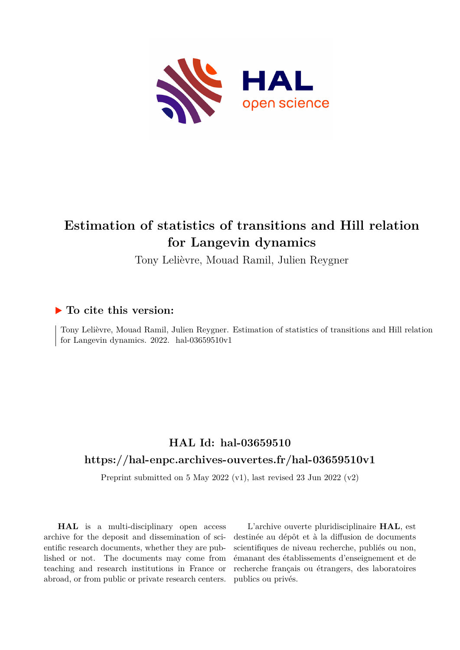

# **Estimation of statistics of transitions and Hill relation for Langevin dynamics**

Tony Lelièvre, Mouad Ramil, Julien Reygner

# **To cite this version:**

Tony Lelièvre, Mouad Ramil, Julien Reygner. Estimation of statistics of transitions and Hill relation for Langevin dynamics. 2022. hal-03659510v1

# **HAL Id: hal-03659510 <https://hal-enpc.archives-ouvertes.fr/hal-03659510v1>**

Preprint submitted on 5 May 2022 (v1), last revised 23 Jun 2022 (v2)

**HAL** is a multi-disciplinary open access archive for the deposit and dissemination of scientific research documents, whether they are published or not. The documents may come from teaching and research institutions in France or abroad, or from public or private research centers.

L'archive ouverte pluridisciplinaire **HAL**, est destinée au dépôt et à la diffusion de documents scientifiques de niveau recherche, publiés ou non, émanant des établissements d'enseignement et de recherche français ou étrangers, des laboratoires publics ou privés.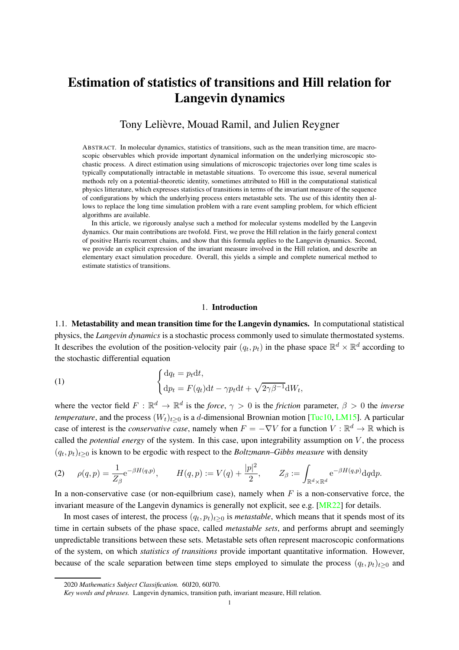# Estimation of statistics of transitions and Hill relation for Langevin dynamics

# Tony Lelièvre, Mouad Ramil, and Julien Reygner

ABSTRACT. In molecular dynamics, statistics of transitions, such as the mean transition time, are macroscopic observables which provide important dynamical information on the underlying microscopic stochastic process. A direct estimation using simulations of microscopic trajectories over long time scales is typically computationally intractable in metastable situations. To overcome this issue, several numerical methods rely on a potential-theoretic identity, sometimes attributed to Hill in the computational statistical physics litterature, which expresses statistics of transitions in terms of the invariant measure of the sequence of configurations by which the underlying process enters metastable sets. The use of this identity then allows to replace the long time simulation problem with a rare event sampling problem, for which efficient algorithms are available.

In this article, we rigorously analyse such a method for molecular systems modelled by the Langevin dynamics. Our main contributions are twofold. First, we prove the Hill relation in the fairly general context of positive Harris recurrent chains, and show that this formula applies to the Langevin dynamics. Second, we provide an explicit expression of the invariant measure involved in the Hill relation, and describe an elementary exact simulation procedure. Overall, this yields a simple and complete numerical method to estimate statistics of transitions.

## 1. Introduction

1.1. Metastability and mean transition time for the Langevin dynamics. In computational statistical physics, the *Langevin dynamics* is a stochastic process commonly used to simulate thermostated systems. It describes the evolution of the position-velocity pair  $(q_t, p_t)$  in the phase space  $\mathbb{R}^d \times \mathbb{R}^d$  according to the stochastic differential equation

(1) 
$$
\begin{cases} dq_t = p_t dt, \\ dp_t = F(q_t)dt - \gamma p_t dt + \sqrt{2\gamma\beta^{-1}}dW_t, \end{cases}
$$

where the vector field  $F : \mathbb{R}^d \to \mathbb{R}^d$  is the *force*,  $\gamma > 0$  is the *friction* parameter,  $\beta > 0$  the *inverse temperature*, and the process  $(W_t)_{t>0}$  is a d-dimensional Brownian motion [Tuc10, LM15]. A particular case of interest is the *conservative case*, namely when  $F = -\nabla V$  for a function  $V : \mathbb{R}^d \to \mathbb{R}$  which is called the *potential energy* of the system. In this case, upon integrability assumption on V, the process  $(q_t, p_t)_{t \geq 0}$  is known to be ergodic with respect to the *Boltzmann–Gibbs measure* with density

(2) 
$$
\rho(q,p) = \frac{1}{Z_{\beta}} e^{-\beta H(q,p)}, \qquad H(q,p) := V(q) + \frac{|p|^2}{2}, \qquad Z_{\beta} := \int_{\mathbb{R}^d \times \mathbb{R}^d} e^{-\beta H(q,p)} dq dp.
$$

In a non-conservative case (or non-equilbrium case), namely when  $F$  is a non-conservative force, the invariant measure of the Langevin dynamics is generally not explicit, see e.g. [MR22] for details.

In most cases of interest, the process  $(q_t, p_t)_{t \geq 0}$  is *metastable*, which means that it spends most of its time in certain subsets of the phase space, called *metastable sets*, and performs abrupt and seemingly unpredictable transitions between these sets. Metastable sets often represent macroscopic conformations of the system, on which *statistics of transitions* provide important quantitative information. However, because of the scale separation between time steps employed to simulate the process  $(q_t, p_t)_{t\geq 0}$  and

<sup>2020</sup> *Mathematics Subject Classification.* 60J20, 60J70.

*Key words and phrases.* Langevin dynamics, transition path, invariant measure, Hill relation.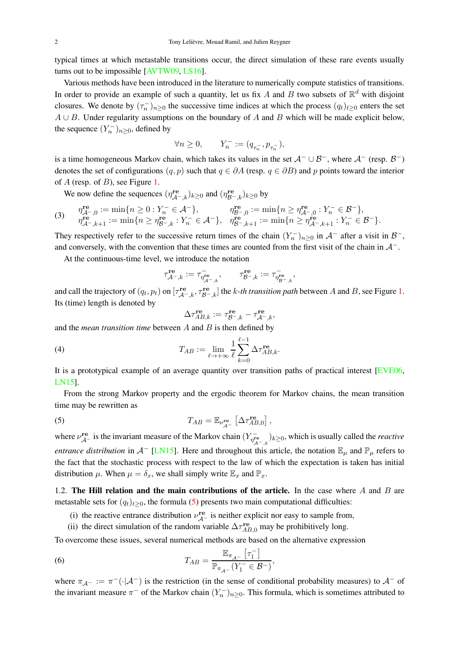typical times at which metastable transitions occur, the direct simulation of these rare events usually turns out to be impossible [AVTW09, LS16].

Various methods have been introduced in the literature to numerically compute statistics of transitions. In order to provide an example of such a quantity, let us fix A and B two subsets of  $\mathbb{R}^d$  with disjoint closures. We denote by  $(\tau_n^-)_{n\geq 0}$  the successive time indices at which the process  $(q_t)_{t\geq 0}$  enters the set  $A \cup B$ . Under regularity assumptions on the boundary of A and B which will be made explicit below, the sequence  $(Y_n^-)_{n\geq 0}$ , defined by

$$
\forall n \ge 0, \qquad Y_n^- := (q_{\tau_n^-}, p_{\tau_n^-}),
$$

is a time homogeneous Markov chain, which takes its values in the set  $A^- \cup B^-$ , where  $A^-$  (resp.  $B^-$ ) denotes the set of configurations  $(q, p)$  such that  $q \in \partial A$  (resp.  $q \in \partial B$ ) and p points toward the interior of  $A$  (resp. of  $B$ ), see Figure 1.

We now define the sequences  $(\eta_{\mathcal{A}^-,\mathcal{k}}^{\text{re}})_{\mathcal{k}\geq 0}$  and  $(\eta_{\mathcal{B}^-,\mathcal{k}}^{\text{re}})_{\mathcal{k}\geq 0}$  by

(3) 
$$
\eta_{\mathcal{A}^{-},0}^{\mathbf{re}} := \min\{n \ge 0 : Y_n^- \in \mathcal{A}^{-}\}, \qquad \eta_{\mathcal{B}^{-},0}^{\mathbf{re}} := \min\{n \ge \eta_{\mathcal{A}^{-},0}^{\mathbf{re}} : Y_n^- \in \mathcal{B}^{-}\},
$$
  
\n
$$
\eta_{\mathcal{A}^{-},k+1}^{\mathbf{re}} := \min\{n \ge \eta_{\mathcal{B}^{-},k}^{\mathbf{re}} : Y_n^- \in \mathcal{A}^{-}\}, \quad \eta_{\mathcal{B}^{-},k+1}^{\mathbf{re}} := \min\{n \ge \eta_{\mathcal{A}^{-},k+1}^{\mathbf{re}} : Y_n^- \in \mathcal{B}^{-}\}.
$$

They respectively refer to the successive return times of the chain  $(Y_n^-)_{n\geq 0}$  in  $\mathcal{A}^-$  after a visit in  $\mathcal{B}^-$ , and conversely, with the convention that these times are counted from the first visit of the chain in  $\mathcal{A}^-$ .

At the continuous-time level, we introduce the notation

$$
\tau_{\mathcal{A}^-,k}^{\mathbf{re}}:=\tau_{\eta_{\mathcal{A}^-,k}^{\mathbf{re}}},\qquad \tau_{\mathcal{B}^-,k}^{\mathbf{re}}:=\tau_{\eta_{\mathcal{B}^-,k}^{\mathbf{re}}},
$$

and call the trajectory of  $(q_t, p_t)$  on  $[\tau_{A^-,\,k}^{\text{re}}, \tau_{B^-,\,k}^{\text{re}}]$  the k-th transition path between A and B, see Figure 1. Its (time) length is denoted by

$$
\Delta\tau_{AB,k}^{\mathbf{re}}:=\tau_{\mathcal{B}^-,k}^{\mathbf{re}}-\tau_{\mathcal{A}^-,k}^{\mathbf{re}},
$$

and the *mean transition time* between A and B is then defined by

(4) 
$$
T_{AB} := \lim_{\ell \to +\infty} \frac{1}{\ell} \sum_{k=0}^{\ell-1} \Delta \tau_{AB,k}^{\mathbf{re}}.
$$

It is a prototypical example of an average quantity over transition paths of practical interest [EVE06, LN15].

From the strong Markov property and the ergodic theorem for Markov chains, the mean transition time may be rewritten as

(5) 
$$
T_{AB} = \mathbb{E}_{\nu_{\mathcal{A}}^{\text{re}}} \left[ \Delta \tau_{AB,0}^{\text{re}} \right],
$$

where  $\nu_{\mathcal{A}^-}^{\mathbf{re}}$  is the invariant measure of the Markov chain  $(Y_{\eta_{\mathcal{A}^-}^{\mathbf{r}}}^-)$  $\overline{m}_{\mathcal{A}^-,\,k}^{\mathbf{r}_{\mathbf{e}}}$  ) $k \geq 0$ , which is usually called the *reactive entrance distribution* in  $\mathcal{A}^-$  [LN15]. Here and throughout this article, the notation  $\mathbb{E}_{\mu}$  and  $\mathbb{P}_{\mu}$  refers to the fact that the stochastic process with respect to the law of which the expectation is taken has initial distribution  $\mu$ . When  $\mu = \delta_x$ , we shall simply write  $\mathbb{E}_x$  and  $\mathbb{P}_x$ .

1.2. The Hill relation and the main contributions of the article. In the case where  $A$  and  $B$  are metastable sets for  $(q_t)_{t>0}$ , the formula (5) presents two main computational difficulties:

- (i) the reactive entrance distribution  $v_{\mathcal{A}^-}^{\text{re}}$  is neither explicit nor easy to sample from,
- (ii) the direct simulation of the random variable  $\Delta \tau_{AB,0}^{re}$  may be prohibitively long.

To overcome these issues, several numerical methods are based on the alternative expression

(6) 
$$
T_{AB} = \frac{\mathbb{E}_{\pi_{A^{-}}}[\tau_1^{-}]}{\mathbb{P}_{\pi_{A^{-}}} (Y_1^{-} \in \mathcal{B}^{-})},
$$

where  $\pi_{A^-} := \pi^{-}(\cdot | A^-)$  is the restriction (in the sense of conditional probability measures) to  $A^-$  of the invariant measure  $\pi^-$  of the Markov chain  $(Y_n^-)_{n\geq 0}$ . This formula, which is sometimes attributed to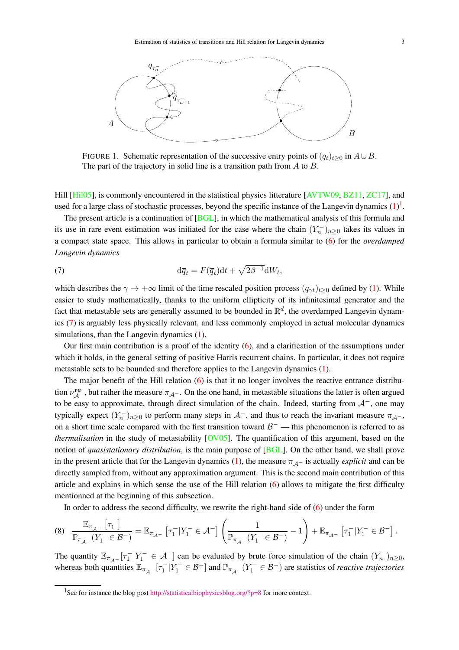

FIGURE 1. Schematic representation of the successive entry points of  $(q_t)_{t>0}$  in  $A \cup B$ . The part of the trajectory in solid line is a transition path from A to B.

Hill [Hil05], is commonly encountered in the statistical physics litterature [AVTW09, BZ11, ZC17], and used for a large class of stochastic processes, beyond the specific instance of the Langevin dynamics  $(1)^1$ .

The present article is a continuation of [BGL], in which the mathematical analysis of this formula and its use in rare event estimation was initiated for the case where the chain  $(Y_n^-)_{n\geq 0}$  takes its values in a compact state space. This allows in particular to obtain a formula similar to (6) for the *overdamped Langevin dynamics*

(7) 
$$
\mathrm{d}\overline{q}_t = F(\overline{q}_t)\mathrm{d}t + \sqrt{2\beta^{-1}}\mathrm{d}W_t,
$$

which describes the  $\gamma \to +\infty$  limit of the time rescaled position process  $(q_{\gamma t})_{t>0}$  defined by (1). While easier to study mathematically, thanks to the uniform ellipticity of its infinitesimal generator and the fact that metastable sets are generally assumed to be bounded in  $\mathbb{R}^d$ , the overdamped Langevin dynamics (7) is arguably less physically relevant, and less commonly employed in actual molecular dynamics simulations, than the Langevin dynamics (1).

Our first main contribution is a proof of the identity (6), and a clarification of the assumptions under which it holds, in the general setting of positive Harris recurrent chains. In particular, it does not require metastable sets to be bounded and therefore applies to the Langevin dynamics (1).

The major benefit of the Hill relation (6) is that it no longer involves the reactive entrance distribution  $v_{\mathcal{A}^-}^{\text{re}}$ , but rather the measure  $\pi_{\mathcal{A}^-}$ . On the one hand, in metastable situations the latter is often argued to be easy to approximate, through direct simulation of the chain. Indeed, starting from  $A^-$ , one may typically expect  $(Y_n^-)_{n\geq 0}$  to perform many steps in  $\mathcal{A}^-$ , and thus to reach the invariant measure  $\pi_{\mathcal{A}^-}$ , on a short time scale compared with the first transition toward  $\mathcal{B}^-$  — this phenomenon is referred to as *thermalisation* in the study of metastability [OV05]. The quantification of this argument, based on the notion of *quasistationary distribution*, is the main purpose of [BGL]. On the other hand, we shall prove in the present article that for the Langevin dynamics (1), the measure  $\pi_{A}$ - is actually *explicit* and can be directly sampled from, without any approximation argument. This is the second main contribution of this article and explains in which sense the use of the Hill relation (6) allows to mitigate the first difficulty mentionned at the beginning of this subsection.

In order to address the second difficulty, we rewrite the right-hand side of (6) under the form

$$
(8) \quad \frac{\mathbb{E}_{\pi_{\mathcal{A}^{-}}}[\tau_{1}^{-}]}{\mathbb{P}_{\pi_{\mathcal{A}^{-}}} (Y_{1}^{-} \in \mathcal{B}^{-})} = \mathbb{E}_{\pi_{\mathcal{A}^{-}}} [\tau_{1}^{-} | Y_{1}^{-} \in \mathcal{A}^{-}] \left( \frac{1}{\mathbb{P}_{\pi_{\mathcal{A}^{-}}} (Y_{1}^{-} \in \mathcal{B}^{-})} - 1 \right) + \mathbb{E}_{\pi_{\mathcal{A}^{-}}} [\tau_{1}^{-} | Y_{1}^{-} \in \mathcal{B}^{-}] .
$$

The quantity  $\mathbb{E}_{\pi_{A-}}[\tau_1^-|Y_1^- \in A^-]$  can be evaluated by brute force simulation of the chain  $(Y_n^-)_{n \geq 0}$ , whereas both quantities  $\mathbb{E}_{\pi_{\mathcal{A}^-}}[\tau_1^-|Y_1^- \in \mathcal{B}^-]$  and  $\mathbb{P}_{\pi_{\mathcal{A}^-}}(Y_1^- \in \mathcal{B}^-)$  are statistics of *reactive trajectories* 

<sup>&</sup>lt;sup>1</sup>See for instance the blog post <http://statisticalbiophysicsblog.org/?p=8> for more context.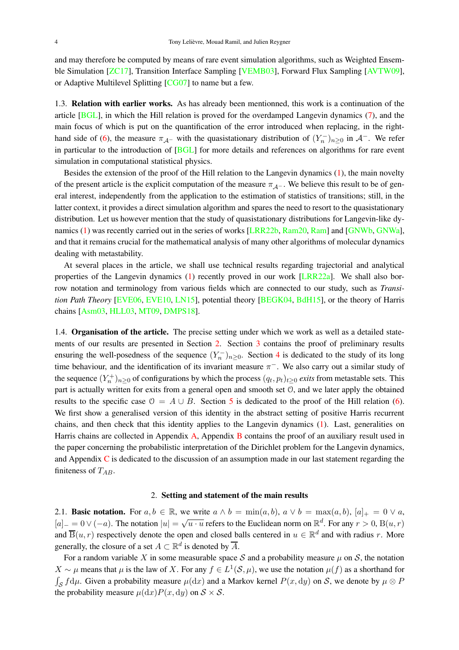and may therefore be computed by means of rare event simulation algorithms, such as Weighted Ensemble Simulation [ZC17], Transition Interface Sampling [VEMB03], Forward Flux Sampling [AVTW09], or Adaptive Multilevel Splitting [CG07] to name but a few.

1.3. Relation with earlier works. As has already been mentionned, this work is a continuation of the article [BGL], in which the Hill relation is proved for the overdamped Langevin dynamics (7), and the main focus of which is put on the quantification of the error introduced when replacing, in the righthand side of (6), the measure  $\pi_{A}$ - with the quasistationary distribution of  $(Y_n^-)_{n\geq 0}$  in  $A^-$ . We refer in particular to the introduction of [BGL] for more details and references on algorithms for rare event simulation in computational statistical physics.

Besides the extension of the proof of the Hill relation to the Langevin dynamics (1), the main novelty of the present article is the explicit computation of the measure  $\pi_{A-}$ . We believe this result to be of general interest, independently from the application to the estimation of statistics of transitions; still, in the latter context, it provides a direct simulation algorithm and spares the need to resort to the quasistationary distribution. Let us however mention that the study of quasistationary distributions for Langevin-like dynamics (1) was recently carried out in the series of works [LRR22b, Ram20, Ram] and [GNWb, GNWa], and that it remains crucial for the mathematical analysis of many other algorithms of molecular dynamics dealing with metastability.

At several places in the article, we shall use technical results regarding trajectorial and analytical properties of the Langevin dynamics (1) recently proved in our work [LRR22a]. We shall also borrow notation and terminology from various fields which are connected to our study, such as *Transition Path Theory* [EVE06, EVE10, LN15], potential theory [BEGK04, BdH15], or the theory of Harris chains [Asm03, HLL03, MT09, DMPS18].

1.4. **Organisation of the article.** The precise setting under which we work as well as a detailed statements of our results are presented in Section 2. Section 3 contains the proof of preliminary results ensuring the well-posedness of the sequence  $(Y_n^-)_{n\geq 0}$ . Section 4 is dedicated to the study of its long time behaviour, and the identification of its invariant measure  $\pi^-$ . We also carry out a similar study of the sequence  $(Y_n^+)_{n\geq 0}$  of configurations by which the process  $(q_t, p_t)_{t\geq 0}$  *exits* from metastable sets. This part is actually written for exits from a general open and smooth set O, and we later apply the obtained results to the specific case  $\mathcal{O} = A \cup B$ . Section 5 is dedicated to the proof of the Hill relation (6). We first show a generalised version of this identity in the abstract setting of positive Harris recurrent chains, and then check that this identity applies to the Langevin dynamics (1). Last, generalities on Harris chains are collected in Appendix A, Appendix B contains the proof of an auxiliary result used in the paper concerning the probabilistic interpretation of the Dirichlet problem for the Langevin dynamics, and Appendix C is dedicated to the discussion of an assumption made in our last statement regarding the finiteness of  $T_{AB}$ .

### 2. Setting and statement of the main results

2.1. **Basic notation.** For  $a, b \in \mathbb{R}$ , we write  $a \wedge b = \min(a, b)$ ,  $a \vee b = \max(a, b)$ ,  $[a]_+ = 0 \vee a$ ,  $[a]_-=0 \vee (-a)$ . The notation  $|u|=\sqrt{u\cdot u}$  refers to the Euclidean norm on  $\mathbb{R}^d$ . For any  $r>0$ ,  $B(u,r)$ and  $\overline{B}(u,r)$  respectively denote the open and closed balls centered in  $u \in \mathbb{R}^d$  and with radius r. More generally, the closure of a set  $A \subset \mathbb{R}^d$  is denoted by  $\overline{A}$ .

For a random variable X in some measurable space S and a probability measure  $\mu$  on S, the notation  $X \sim \mu$  means that  $\mu$  is the law of X. For any  $f \in L^1(\mathcal{S}, \mu)$ , we use the notation  $\mu(f)$  as a shorthand for  $\int_{\mathcal{S}} f d\mu$ . Given a probability measure  $\mu(dx)$  and a Markov kernel  $P(x, dy)$  on S, we denote by  $\mu \otimes P$ the probability measure  $\mu(dx)P(x, dy)$  on  $S \times S$ .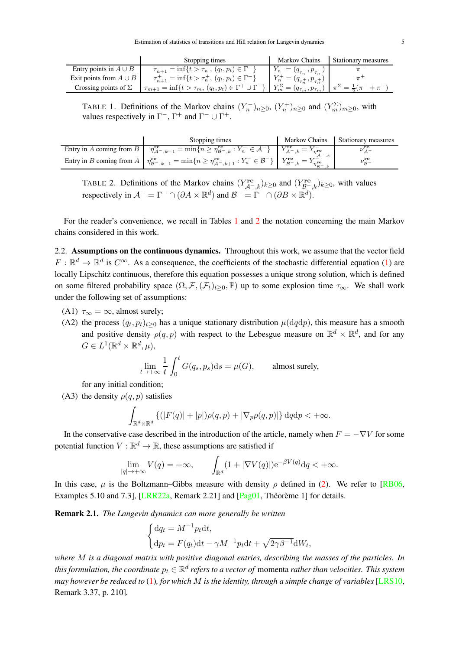|                             | Stopping times                                                                                                                                                  | Markov Chains                            | Stationary measures |
|-----------------------------|-----------------------------------------------------------------------------------------------------------------------------------------------------------------|------------------------------------------|---------------------|
| Entry points in $A \cup B$  | $\tau_{n+1}^- = \inf\{t > \tau_n^-, (q_t, p_t) \in \Gamma^-\}\$                                                                                                 | $Y_n^- = (q_{\tau_n^-}, p_{\tau_n^-})$ 1 |                     |
| Exit points from $A \cup B$ | $\tau_{n+1}^+ = \inf\{t > \tau_n^+, (q_t, p_t) \in \Gamma^+\}$                                                                                                  | $Y_n^+ = (q_{\tau_n^+}, p_{\tau_n^+})$   |                     |
| Crossing points of $\Sigma$ | $T_{m+1} = \inf\{t > \tau_m, (q_t, p_t) \in \Gamma^+ \cup \Gamma^-\}\mid Y_m^{\Sigma} = (q_{\tau_m}, p_{\tau_m})\mid \pi^{\Sigma} = \frac{1}{2}(\pi^- + \pi^+)$ |                                          |                     |

TABLE 1. Definitions of the Markov chains  $(Y_n^-)_{n\geq 0}$ ,  $(Y_n^+)_{n\geq 0}$  and  $(Y_m^{\Sigma})_{m\geq 0}$ , with values respectively in  $\Gamma^-$ ,  $\Gamma^+$  and  $\Gamma^- \cup \Gamma^+$ .

| Stopping times                                                                                                                                                                                                                          | Markov Chains | Stationary measures |
|-----------------------------------------------------------------------------------------------------------------------------------------------------------------------------------------------------------------------------------------|---------------|---------------------|
| Entry in A coming from $B \mid \eta_{A^- , k+1}^{\mathbf{re}} = \min \{ n \geq \eta_{B^- , k}^{\mathbf{re}} : Y_n^- \in \mathcal{A}^- \} \mid Y_{A^- , k}^{\mathbf{re}} = Y_{\eta^{\mathbf{re}}}^-$                                     |               |                     |
| Entry in B coming from $A \mid \eta_{\mathcal{B}^-,k+1}^{\mathbf{re}} = \min\{n \geq \eta_{\mathcal{A}^-,k+1}^{\mathbf{re}} : Y_n^- \in \mathcal{B}^-\}\mid Y_{\mathcal{B}^-,k}^{\mathbf{re}} = Y_{\eta_{\mathcal{B}^-}}^{\mathbf{re}}$ |               |                     |

TABLE 2. Definitions of the Markov chains  $(Y_{\mathcal{A}^-,\kappa}^{\text{re}})_{k\geq 0}$  and  $(Y_{\mathcal{B}^-,\kappa}^{\text{re}})_{k\geq 0}$ , with values respectively in  $\mathcal{A}^- = \Gamma^- \cap (\partial A \times \mathbb{R}^d)$  and  $\mathcal{B}^- = \Gamma^- \cap (\partial B \times \mathbb{R}^d)$ .

For the reader's convenience, we recall in Tables 1 and 2 the notation concerning the main Markov chains considered in this work.

2.2. Assumptions on the continuous dynamics. Throughout this work, we assume that the vector field  $F: \mathbb{R}^d \to \mathbb{R}^d$  is  $C^\infty$ . As a consequence, the coefficients of the stochastic differential equation (1) are locally Lipschitz continuous, therefore this equation possesses a unique strong solution, which is defined on some filtered probability space  $(\Omega, \mathcal{F}, (\mathcal{F}_t)_{t>0}, \mathbb{P})$  up to some explosion time  $\tau_{\infty}$ . We shall work under the following set of assumptions:

- (A1)  $\tau_{\infty} = \infty$ , almost surely;
- (A2) the process  $(q_t, p_t)_{t\geq 0}$  has a unique stationary distribution  $\mu(\text{d}q\text{d}p)$ , this measure has a smooth and positive density  $\rho(q, p)$  with respect to the Lebesgue measure on  $\mathbb{R}^d \times \mathbb{R}^d$ , and for any  $G \in L^1(\mathbb{R}^d \times \mathbb{R}^d, \mu),$

$$
\lim_{t \to +\infty} \frac{1}{t} \int_0^t G(q_s, p_s) \mathrm{d}s = \mu(G), \qquad \text{almost surely},
$$

for any initial condition;

(A3) the density  $\rho(q, p)$  satisfies

$$
\int_{\mathbb{R}^d \times \mathbb{R}^d} \left\{ (|F(q)| + |p|) \rho(q, p) + |\nabla_p \rho(q, p)| \right\} dq dp < +\infty.
$$

In the conservative case described in the introduction of the article, namely when  $F = -\nabla V$  for some potential function  $V : \mathbb{R}^d \to \mathbb{R}$ , these assumptions are satisfied if

$$
\lim_{|q| \to +\infty} V(q) = +\infty, \qquad \int_{\mathbb{R}^d} (1 + |\nabla V(q)|) e^{-\beta V(q)} dq < +\infty.
$$

In this case,  $\mu$  is the Boltzmann–Gibbs measure with density  $\rho$  defined in (2). We refer to [RB06, Examples 5.10 and 7.3], [LRR22a, Remark 2.21] and [Pag01, Théorème 1] for details.

Remark 2.1. *The Langevin dynamics can more generally be written*

$$
\begin{cases} dq_t = M^{-1} p_t dt, \\ dp_t = F(q_t) dt - \gamma M^{-1} p_t dt + \sqrt{2\gamma \beta^{-1}} dW_t, \end{cases}
$$

*where* M *is a diagonal matrix with positive diagonal entries, describing the masses of the particles. In* this formulation, the coordinate  $p_t \in \mathbb{R}^d$  refers to a vector of momenta rather than velocities. This system *may however be reduced to* (1)*, for which* M *is the identity, through a simple change of variables* [LRS10, Remark 3.37, p. 210]*.*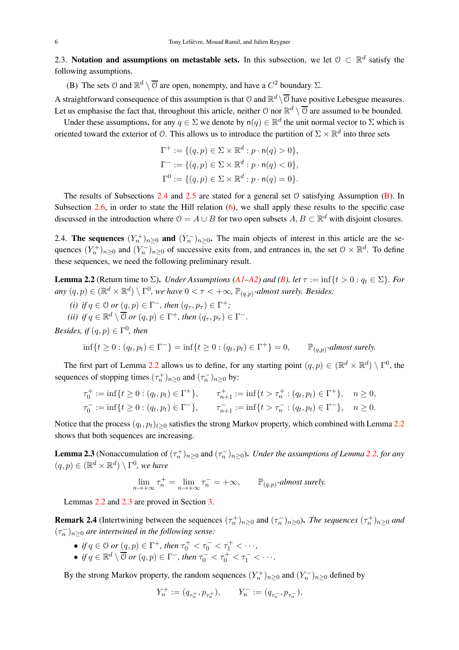2.3. Notation and assumptions on metastable sets. In this subsection, we let  $\mathcal{O} \subset \mathbb{R}^d$  satisfy the following assumptions.

(B) The sets  $\mathcal O$  and  $\mathbb R^d \setminus \overline{\mathcal O}$  are open, nonempty, and have a  $C^2$  boundary  $\Sigma$ .

A straightforward consequence of this assumption is that  $\mathcal{O}$  and  $\mathbb{R}^d \setminus \overline{\mathcal{O}}$  have positive Lebesgue measures. Let us emphasise the fact that, throughout this article, neither  $\mathcal O$  nor  $\mathbb R^d \setminus \overline{\mathcal O}$  are assumed to be bounded.

Under these assumptions, for any  $q \in \Sigma$  we denote by  $n(q) \in \mathbb{R}^d$  the unit normal vector to  $\Sigma$  which is oriented toward the exterior of  $\emptyset$ . This allows us to introduce the partition of  $\Sigma \times \mathbb{R}^d$  into three sets

$$
\Gamma^+ := \{ (q, p) \in \Sigma \times \mathbb{R}^d : p \cdot \mathsf{n}(q) > 0 \},
$$
  

$$
\Gamma^- := \{ (q, p) \in \Sigma \times \mathbb{R}^d : p \cdot \mathsf{n}(q) < 0 \},
$$
  

$$
\Gamma^0 := \{ (q, p) \in \Sigma \times \mathbb{R}^d : p \cdot \mathsf{n}(q) = 0 \}.
$$

The results of Subsections 2.4 and 2.5 are stated for a general set  $\theta$  satisfying Assumption (B). In Subsection 2.6, in order to state the Hill relation (6), we shall apply these results to the specific case discussed in the introduction where  $0 = A \cup B$  for two open subsets  $A, B \subset \mathbb{R}^d$  with disjoint closures.

2.4. The sequences  $(Y_n^+)_{n\geq 0}$  and  $(Y_n^-)_{n\geq 0}$ . The main objects of interest in this article are the sequences  $(Y_n^+)_{n\geq 0}$  and  $(Y_n^-)_{n\geq 0}$  of successive exits from, and entrances in, the set  $\mathcal{O}\times\mathbb{R}^d$ . To define these sequences, we need the following preliminary result.

**Lemma 2.2** (Return time to  $\Sigma$ ). *Under Assumptions (A1–A2) and (B), let*  $\tau := \inf\{t > 0 : q_t \in \Sigma\}$ *. For*  $any (q, p) \in (\mathbb{R}^d \times \mathbb{R}^d) \setminus \Gamma^0$ , we have  $0 < \tau < +\infty$ ,  $\mathbb{P}_{(q,p)}$ -almost surely. Besides:

- (*i*) if  $q \in \mathcal{O}$  or  $(q, p) \in \Gamma^-$ , then  $(q_\tau, p_\tau) \in \Gamma^+$ ;
- *(ii) if*  $q \in \mathbb{R}^d \setminus \overline{O}$  *or*  $(q, p) \in \Gamma^+$ *, then*  $(q_\tau, p_\tau) \in \Gamma^-$ *.*

*Besides, if*  $(q, p) \in \Gamma^0$ *, then* 

$$
\inf\{t \ge 0 : (q_t, p_t) \in \Gamma^-\} = \inf\{t \ge 0 : (q_t, p_t) \in \Gamma^+\} = 0, \qquad \mathbb{P}_{(q,p)}\text{-almost surely.}
$$

The first part of Lemma 2.2 allows us to define, for any starting point  $(q, p) \in (\mathbb{R}^d \times \mathbb{R}^d) \setminus \Gamma^0$ , the sequences of stopping times  $(\tau_n^+)_{n\geq 0}$  and  $(\tau_n^-)_{n\geq 0}$  by:

$$
\tau_0^+ := \inf\{t \ge 0 : (q_t, p_t) \in \Gamma^+\}, \qquad \tau_{n+1}^+ := \inf\{t > \tau_n^+ : (q_t, p_t) \in \Gamma^+\}, \qquad n \ge 0,
$$
  

$$
\tau_0^- := \inf\{t \ge 0 : (q_t, p_t) \in \Gamma^-\}, \qquad \tau_{n+1}^- := \inf\{t > \tau_n^- : (q_t, p_t) \in \Gamma^-\}, \qquad n \ge 0.
$$

Notice that the process  $(q_t, p_t)_{t\geq 0}$  satisfies the strong Markov property, which combined with Lemma 2.2 shows that both sequences are increasing.

**Lemma 2.3** (Nonaccumulation of  $(\tau_n^+)_{n\geq 0}$  and  $(\tau_n^-)_{n\geq 0}$ ). *Under the assumptions of Lemma 2.2, for any*  $(q, p) \in (\mathbb{R}^d \times \mathbb{R}^d) \setminus \Gamma^0$ , we have

$$
\lim_{n \to +\infty} \tau_n^+ = \lim_{n \to +\infty} \tau_n^- = +\infty, \qquad \mathbb{P}_{(q,p)}\text{-almost surely.}
$$

Lemmas 2.2 and 2.3 are proved in Section 3.

**Remark 2.4** (Intertwining between the sequences  $(\tau_n^+)_{n\geq 0}$  and  $(\tau_n^-)_{n\geq 0}$ ). *The sequences*  $(\tau_n^+)_{n\geq 0}$  and  $(\tau_n^-)_{n\geq 0}$  are intertwined in the following sense:

- *if*  $q \in \mathcal{O}$  *or*  $(q, p) \in \Gamma^+$ *, then*  $\tau_0^+ < \tau_0^- < \tau_1^+ < \cdots$ *,*
- *if*  $q \in \mathbb{R}^d \setminus \overline{\mathcal{O}}$  or  $(q, p) \in \Gamma^-$ , then  $\tau_0^- < \tau_0^+ < \tau_1^- < \cdots$ .

By the strong Markov property, the random sequences  $(Y_n^+)_{n\geq 0}$  and  $(Y_n^-)_{n\geq 0}$  defined by

$$
Y_n^+ := (q_{\tau_n^+}, p_{\tau_n^+}), \qquad Y_n^- := (q_{\tau_n^-}, p_{\tau_n^-}),
$$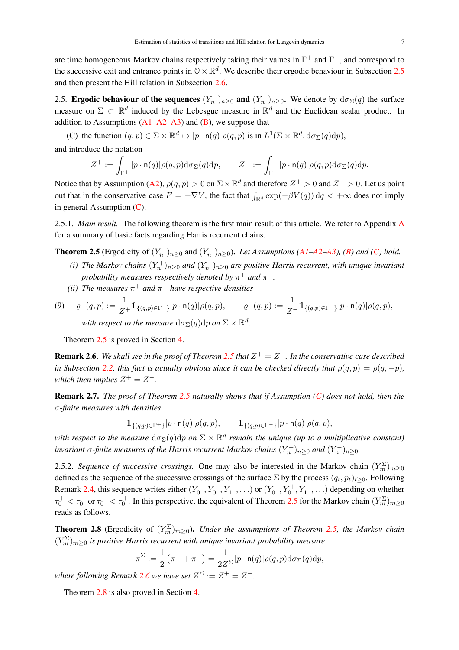are time homogeneous Markov chains respectively taking their values in  $\Gamma^+$  and  $\Gamma^-$ , and correspond to the successive exit and entrance points in  $0 \times \mathbb{R}^d$ . We describe their ergodic behaviour in Subsection 2.5 and then present the Hill relation in Subsection 2.6.

2.5. Ergodic behaviour of the sequences  $(Y_n^+)_{n\geq 0}$  and  $(Y_n^-)_{n\geq 0}$ . We denote by  $d\sigma_{\Sigma}(q)$  the surface measure on  $\Sigma \subset \mathbb{R}^d$  induced by the Lebesgue measure in  $\mathbb{R}^d$  and the Euclidean scalar product. In addition to Assumptions  $(A1-A2-A3)$  and  $(B)$ , we suppose that

(C) the function  $(q, p) \in \Sigma \times \mathbb{R}^d \mapsto |p \cdot \mathsf{n}(q)| \rho(q, p)$  is in  $L^1(\Sigma \times \mathbb{R}^d, d\sigma_{\Sigma}(q)dp)$ ,

and introduce the notation

$$
Z^+:=\int_{\Gamma^+}|p\cdot \mathsf{n}(q)|\rho(q,p)\mathrm{d}\sigma_\Sigma(q)\mathrm{d} p,\qquad Z^-:=\int_{\Gamma^-}|p\cdot \mathsf{n}(q)|\rho(q,p)\mathrm{d}\sigma_\Sigma(q)\mathrm{d} p.
$$

Notice that by Assumption (A2),  $\rho(q, p) > 0$  on  $\Sigma \times \mathbb{R}^d$  and therefore  $Z^+ > 0$  and  $Z^- > 0$ . Let us point out that in the conservative case  $F = -\nabla V$ , the fact that  $\int_{\mathbb{R}^d} \exp(-\beta V(q)) dq < +\infty$  does not imply in general Assumption (C).

2.5.1. *Main result.* The following theorem is the first main result of this article. We refer to Appendix A for a summary of basic facts regarding Harris recurrent chains.

**Theorem 2.5** (Ergodicity of  $(Y_n^+)_{n\geq 0}$  and  $(Y_n^-)_{n\geq 0}$ ). *Let Assumptions (A1–A2–A3), (B) and (C) hold.* 

- (*i*) The Markov chains  $(Y_n^+)_{n\geq 0}$  and  $(Y_n^-)_{n\geq 0}$  are positive Harris recurrent, with unique invariant *probability measures respectively denoted by*  $\pi^+$  *and*  $\pi^-$ .
- (*ii*) The measures  $\pi^+$  and  $\pi^-$  have respective densities

(9) 
$$
\varrho^+(q,p) := \frac{1}{Z^+} 1\!\!1_{\{(q,p)\in\Gamma^+\}} |p \cdot n(q)| \rho(q,p), \qquad \varrho^-(q,p) := \frac{1}{Z^-} 1\!\!1_{\{(q,p)\in\Gamma^-\}} |p \cdot n(q)| \rho(q,p),
$$
 with respect to the measure  $d\sigma_P(q) d\eta$  on  $\Sigma \times \mathbb{R}^d$ 

with respect to the measure  $d\sigma_{\Sigma}(q)dp$  on  $\Sigma\times\mathbb{R}^d$ .

Theorem 2.5 is proved in Section 4.

**Remark 2.6.** We shall see in the proof of Theorem 2.5 that  $Z^+ = Z^-$ . In the conservative case described *in Subsection* 2.2, this fact is actually obvious since it can be checked directly that  $\rho(q, p) = \rho(q, -p)$ . *which then implies*  $Z^+ = Z^-$ .

Remark 2.7. *The proof of Theorem 2.5 naturally shows that if Assumption (C) does not hold, then the* σ*-finite measures with densities*

$$
\mathbb{1}_{\{(q,p)\in\Gamma^+\}}|p\cdot \mathsf{n}(q)|\rho(q,p),\qquad \mathbb{1}_{\{(q,p)\in\Gamma^-\}}|p\cdot \mathsf{n}(q)|\rho(q,p),
$$

with respect to the measure  $d\sigma_{\Sigma}(q)dp$  on  $\Sigma\times\mathbb{R}^d$  remain the unique (up to a multiplicative constant) invariant  $\sigma$ -finite measures of the Harris recurrent Markov chains  $(Y_n^+)_{n\geq 0}$  and  $(Y_n^-)_{n\geq 0}$ .

2.5.2. *Sequence of successive crossings*. One may also be interested in the Markov chain  $(Y_m^{\Sigma})_{m\geq 0}$ defined as the sequence of the successive crossings of the surface  $\Sigma$  by the process  $(q_t, p_t)_{t\geq 0}$ . Following Remark 2.4, this sequence writes either  $(Y_0^+, Y_0^-, Y_1^+, \ldots)$  or  $(Y_0^-, Y_0^+, Y_1^-, \ldots)$  depending on whether  $\tau_0^+ < \tau_0^-$  or  $\tau_0^- < \tau_0^+$ . In this perspective, the equivalent of Theorem 2.5 for the Markov chain  $(Y_m^{\Sigma})_{m \ge 0}$ reads as follows.

**Theorem 2.8** (Ergodicity of  $(Y_m^{\Sigma})_{m\geq 0}$ ). *Under the assumptions of Theorem 2.5, the Markov chain*  $(Y_m^{\Sigma})_{m\geq 0}$  is positive Harris recurrent with unique invariant probability measure

$$
\pi^{\Sigma} := \frac{1}{2} \left( \pi^+ + \pi^- \right) = \frac{1}{2Z^{\Sigma}} |p \cdot \mathsf{n}(q)| \rho(q, p) \mathrm{d} \sigma_{\Sigma}(q) \mathrm{d} p,
$$

where following Remark 2.6 we have set  $Z^{\Sigma} := Z^+ = Z^-$ .

Theorem 2.8 is also proved in Section 4.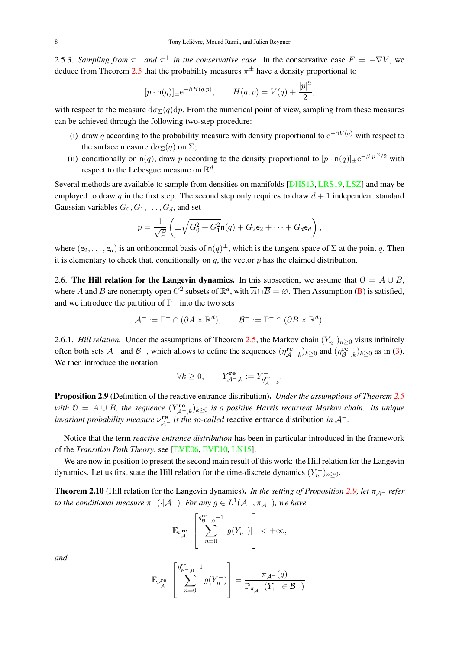2.5.3. *Sampling from*  $\pi^-$  *and*  $\pi^+$  *in the conservative case*. In the conservative case  $F = -\nabla V$ , we deduce from Theorem 2.5 that the probability measures  $\pi^{\pm}$  have a density proportional to

$$
[p \cdot \mathsf{n}(q)]_{\pm} e^{-\beta H(q,p)}, \qquad H(q,p) = V(q) + \frac{|p|^2}{2},
$$

with respect to the measure  $d\sigma_{\Sigma}(q)dp$ . From the numerical point of view, sampling from these measures can be achieved through the following two-step procedure:

- (i) draw q according to the probability measure with density proportional to  $e^{-\beta V(q)}$  with respect to the surface measure  $d\sigma_{\Sigma}(q)$  on  $\Sigma$ ;
- (ii) conditionally on  $n(q)$ , draw p according to the density proportional to  $[p \cdot n(q)]_{\pm} e^{-\beta |p|^2/2}$  with respect to the Lebesgue measure on  $\mathbb{R}^d$ .

Several methods are available to sample from densities on manifolds [DHS13, LRS19, LSZ] and may be employed to draw q in the first step. The second step only requires to draw  $d + 1$  independent standard Gaussian variables  $G_0, G_1, \ldots, G_d$ , and set

$$
p = \frac{1}{\sqrt{\beta}} \left( \pm \sqrt{G_0^2 + G_1^2} \mathsf{n}(q) + G_2 \mathsf{e}_2 + \dots + G_d \mathsf{e}_d \right),
$$

where  $(e_2,\ldots,e_d)$  is an orthonormal basis of  $n(q)^{\perp}$ , which is the tangent space of  $\Sigma$  at the point q. Then it is elementary to check that, conditionally on  $q$ , the vector  $p$  has the claimed distribution.

2.6. The Hill relation for the Langevin dynamics. In this subsection, we assume that  $\mathcal{O} = A \cup B$ , where A and B are nonempty open  $C^2$  subsets of  $\mathbb{R}^d$ , with  $\overline{A} \cap \overline{B} = \emptyset$ . Then Assumption (B) is satisfied, and we introduce the partition of  $\Gamma^-$  into the two sets

$$
\mathcal{A}^- := \Gamma^- \cap (\partial A \times \mathbb{R}^d), \qquad \mathcal{B}^- := \Gamma^- \cap (\partial B \times \mathbb{R}^d).
$$

2.6.1. *Hill relation*. Under the assumptions of Theorem 2.5, the Markov chain  $(Y_n^-)_{n\geq 0}$  visits infinitely often both sets  $\mathcal{A}^-$  and  $\mathcal{B}^-$ , which allows to define the sequences  $(\eta_{\mathcal{A}^-,k}^{\text{re}})_{k\geq 0}$  and  $(\eta_{\mathcal{B}^-,k}^{\text{re}})_{k\geq 0}$  as in (3). We then introduce the notation

$$
\forall k \geq 0, \qquad Y_{\mathcal{A}^-,k}^{\mathbf{re}} := Y_{\eta_{\mathcal{A}^-,k}^-}^-.
$$

Proposition 2.9 (Definition of the reactive entrance distribution). *Under the assumptions of Theorem 2.5* with  $\mathcal{O} = A \cup B$ , the sequence  $(Y_{\mathcal{A}^-,k}^{\text{re}})_{k \geq 0}$  is a positive Harris recurrent Markov chain. Its unique *invariant probability measure*  $v_{\mathcal{A}^-}^{\mathbf{re}}$  *is the so-called* reactive entrance distribution *in*  $\mathcal{A}^-$ *.* 

Notice that the term *reactive entrance distribution* has been in particular introduced in the framework of the *Transition Path Theory*, see [EVE06, EVE10, LN15].

We are now in position to present the second main result of this work: the Hill relation for the Langevin dynamics. Let us first state the Hill relation for the time-discrete dynamics  $(Y_n^-)_{n\geq 0}$ .

**Theorem 2.10** (Hill relation for the Langevin dynamics). *In the setting of Proposition* 2.9, let  $\pi_{A}$ - *refer to the conditional measure*  $\pi^{-}(\cdot | A^{-})$ *. For any*  $g \in L^{1}(A^{-}, \pi_{A^{-}})$ *, we have* 

$$
\mathbb{E}_{\nu_{\mathcal{A}^-}^{\mathbf{re}}} \left[ \sum_{n=0}^{\eta_{\mathcal{B}^-,\mathbf{0}^-}^{\mathbf{re}}-1} \left| g(Y_n^-) \right| \right] < +\infty,
$$

*and*

$$
\mathbb{E}_{\nu_{\mathcal{A}^-}^{\mathbf{re}}} \left[ \sum_{n=0}^{\eta_{\mathcal{B}^-,0}^{\mathbf{re}}-1} g(Y_n^-) \right] = \frac{\pi_{\mathcal{A}^-}(g)}{\mathbb{P}_{\pi_{\mathcal{A}^-}}(Y_1^- \in \mathcal{B}^-)}.
$$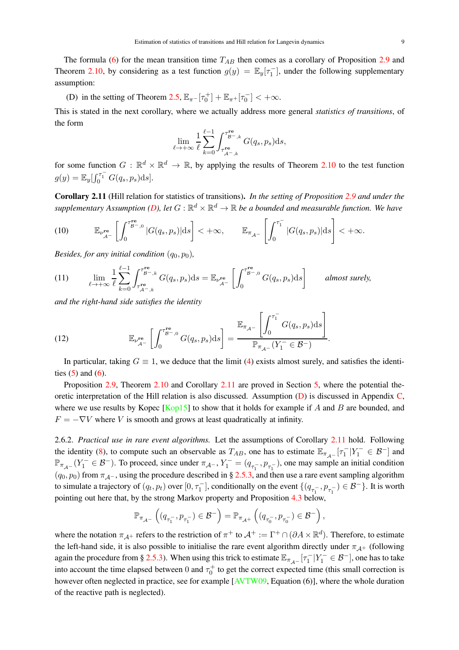The formula (6) for the mean transition time  $T_{AB}$  then comes as a corollary of Proposition 2.9 and Theorem 2.10, by considering as a test function  $g(y) = \mathbb{E}_y[\tau_1^-]$ , under the following supplementary assumption:

(D) in the setting of Theorem 2.5,  $\mathbb{E}_{\pi^-}[\tau_0^+] + \mathbb{E}_{\pi^+}[\tau_0^-] < +\infty$ .

This is stated in the next corollary, where we actually address more general *statistics of transitions*, of the form

$$
\lim_{\ell \to +\infty} \frac{1}{\ell} \sum_{k=0}^{\ell-1} \int_{\tau_{\mathcal{A}^{-},k}^{\mathbf{r}\mathbf{e}}}^{\tau_{\mathcal{B}^{-},k}^{\mathbf{r}\mathbf{e}}} G(q_s, p_s) \mathrm{d}s,
$$

for some function  $G : \mathbb{R}^d \times \mathbb{R}^d \to \mathbb{R}$ , by applying the results of Theorem 2.10 to the test function  $g(y) = \mathbb{E}_{y}[\int_{0}^{\tau_{1}^{-}} G(q_{s}, p_{s})ds].$ 

Corollary 2.11 (Hill relation for statistics of transitions). *In the setting of Proposition 2.9 and under the* supplementary Assumption (D), let  $G:\mathbb{R}^d\times\mathbb{R}^d\to\mathbb{R}$  be a bounded and measurable function. We have

(10) 
$$
\mathbb{E}_{\nu_{\mathcal{A}^-}^{\text{re}}}\left[\int_0^{\tau_{\mathcal{B}^-,\mathbf{0}}^{\text{re}}}|G(q_s,p_s)|\mathrm{d}s\right]<+\infty, \qquad \mathbb{E}_{\pi_{\mathcal{A}^-}}\left[\int_0^{\tau_1^-}|G(q_s,p_s)|\mathrm{d}s\right]<+\infty.
$$

*Besides, for any initial condition*  $(q_0, p_0)$ *,* 

(11) 
$$
\lim_{\ell \to +\infty} \frac{1}{\ell} \sum_{k=0}^{\ell-1} \int_{\tau_{\mathcal{A}^{-},k}^{\mathbf{re}}}^{\tau_{\mathcal{B}^{-},k}^{\mathbf{re}}} G(q_s, p_s) \mathrm{d}s = \mathbb{E}_{\nu_{\mathcal{A}^{-}}^{\mathbf{re}}} \left[ \int_{0}^{\tau_{\mathcal{B}^{-},0}^{\mathbf{re}}} G(q_s, p_s) \mathrm{d}s \right] \quad \text{almost surely,}
$$

*and the right-hand side satisfies the identity*

(12) 
$$
\mathbb{E}_{\nu_{\mathcal{A}^-}^{\mathbf{re}}} \left[ \int_0^{\tau_{\mathcal{B}^-,0}^{\mathbf{re}}} G(q_s, p_s) \mathrm{d}s \right] = \frac{\mathbb{E}_{\pi_{\mathcal{A}^-}} \left[ \int_0^{\tau_1^-} G(q_s, p_s) \mathrm{d}s \right]}{\mathbb{P}_{\pi_{\mathcal{A}^-}} (Y_1^- \in \mathcal{B}^-)}.
$$

In particular, taking  $G \equiv 1$ , we deduce that the limit (4) exists almost surely, and satisfies the identities  $(5)$  and  $(6)$ .

Proposition 2.9, Theorem 2.10 and Corollary 2.11 are proved in Section 5, where the potential theoretic interpretation of the Hill relation is also discussed. Assumption (D) is discussed in Appendix C, where we use results by Kopec  $\kappa$  [Kop15] to show that it holds for example if A and B are bounded, and  $F = -\nabla V$  where V is smooth and grows at least quadratically at infinity.

2.6.2. *Practical use in rare event algorithms.* Let the assumptions of Corollary 2.11 hold. Following the identity (8), to compute such an observable as  $T_{AB}$ , one has to estimate  $\mathbb{E}_{\pi_{A-}}[\tau_1^-|Y_1^- \in \mathcal{B}^-]$  and  $\mathbb{P}_{\pi_{\mathcal{A}^{-}}}(Y_1^{-} \in \mathcal{B}^{-})$ . To proceed, since under  $\pi_{\mathcal{A}^{-}}$ ,  $Y_1^{-} = (q_{\tau_1^{-}} , p_{\tau_1^{-}})$ , one may sample an initial condition  $(q_0, p_0)$  from  $\pi_{\mathcal{A}^-}$ , using the procedure described in § 2.5.3, and then use a rare event sampling algorithm to simulate a trajectory of  $(q_t, p_t)$  over  $[0, \tau_1^-]$ , conditionally on the event  $\{(q_{\tau_1^-}, p_{\tau_1^-}) \in \mathcal{B}^-\}$ . It is worth pointing out here that, by the strong Markov property and Proposition 4.3 below,

$$
\mathbb{P}_{\pi_{\mathcal{A}^-}}\left((q_{\tau_1^-},p_{\tau_1^-})\in\mathcal{B}^-\right)=\mathbb{P}_{\pi_{\mathcal{A}^+}}\left((q_{\tau_0^-},p_{\tau_0^-})\in\mathcal{B}^-\right),
$$

where the notation  $\pi_{A^+}$  refers to the restriction of  $\pi^+$  to  $A^+ := \Gamma^+ \cap (\partial A \times \mathbb{R}^d)$ . Therefore, to estimate the left-hand side, it is also possible to initialise the rare event algorithm directly under  $\pi_{A^+}$  (following again the procedure from § 2.5.3). When using this trick to estimate  $\mathbb{E}_{\pi_{\mathcal{A}^-}}[\tau_1^-|Y_1^- \in \mathcal{B}^-]$ , one has to take into account the time elapsed between 0 and  $\tau_0^+$  to get the correct expected time (this small correction is however often neglected in practice, see for example  $[AVTW09, Equation (6)],$  where the whole duration of the reactive path is neglected).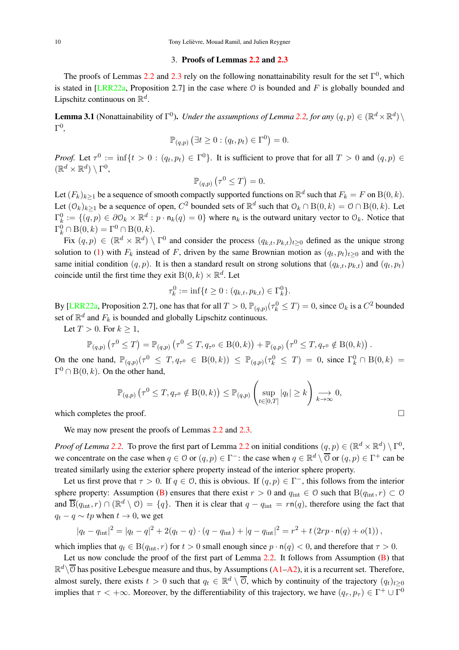#### 3. Proofs of Lemmas 2.2 and 2.3

The proofs of Lemmas 2.2 and 2.3 rely on the following nonattainability result for the set  $\Gamma^0$ , which is stated in [LRR22a, Proposition 2.7] in the case where  $\circ$  is bounded and F is globally bounded and Lipschitz continuous on  $\mathbb{R}^d$ .

**Lemma 3.1** (Nonattainability of  $\Gamma^0$ ). *Under the assumptions of Lemma 2.2, for any*  $(q, p) \in (\mathbb{R}^d \times \mathbb{R}^d) \setminus$ Γ 0 *,*

$$
\mathbb{P}_{(q,p)}\left(\exists t\geq 0:(q_t,p_t)\in \Gamma^0\right)=0.
$$

*Proof.* Let  $\tau^0 := \inf\{t > 0 : (q_t, p_t) \in \Gamma^0\}$ . It is sufficient to prove that for all  $T > 0$  and  $(q, p) \in$  $(\mathbb{R}^d \times \mathbb{R}^d) \setminus \Gamma^0$ 

$$
\mathbb{P}_{(q,p)}\left(\tau^0 \leq T\right) = 0.
$$

Let  $(F_k)_{k\geq 1}$  be a sequence of smooth compactly supported functions on  $\mathbb{R}^d$  such that  $F_k = F$  on  $B(0, k)$ . Let  $(\mathcal{O}_k)_{k\geq 1}$  be a sequence of open,  $C^2$  bounded sets of  $\mathbb{R}^d$  such that  $\mathcal{O}_k \cap B(0,k) = \mathcal{O} \cap B(0,k)$ . Let  $\Gamma_k^0 := \{(q, p) \in \partial \mathcal{O}_k \times \mathbb{R}^d : p \cdot \mathsf{n}_k(q) = 0\}$  where  $\mathsf{n}_k$  is the outward unitary vector to  $\mathcal{O}_k$ . Notice that  $\Gamma_k^0 \cap B(0,k) = \Gamma^0 \cap B(0,k).$ 

Fix  $(q, p) \in (\mathbb{R}^d \times \mathbb{R}^d) \setminus \Gamma^0$  and consider the process  $(q_{k,t}, p_{k,t})_{t \geq 0}$  defined as the unique strong solution to (1) with  $F_k$  instead of F, driven by the same Brownian motion as  $(q_t, p_t)_{t\geq0}$  and with the same initial condition  $(q, p)$ . It is then a standard result on strong solutions that  $(q_{k,t}, p_{k,t})$  and  $(q_t, p_t)$ coincide until the first time they exit  $B(0, k) \times \mathbb{R}^d$ . Let

$$
\tau_k^0 := \inf \{ t \ge 0 : (q_{k,t}, p_{k,t}) \in \Gamma_k^0 \}.
$$

By [LRR22a, Proposition 2.7], one has that for all  $T > 0$ ,  $\mathbb{P}_{(q,p)}(\tau_k^0 \le T) = 0$ , since  $\mathbb{O}_k$  is a  $C^2$  bounded set of  $\mathbb{R}^d$  and  $F_k$  is bounded and globally Lipschitz continuous.

Let  $T > 0$ . For  $k > 1$ ,

$$
\mathbb{P}_{(q,p)}\left(\tau^{0} \leq T\right) = \mathbb{P}_{(q,p)}\left(\tau^{0} \leq T, q_{\tau^{0}} \in B(0,k)\right) + \mathbb{P}_{(q,p)}\left(\tau^{0} \leq T, q_{\tau^{0}} \notin B(0,k)\right).
$$

On the one hand,  $\mathbb{P}_{(q,p)}(\tau^0 \leq T, q_{\tau^0} \in B(0,k)) \leq \mathbb{P}_{(q,p)}(\tau^0_k \leq T) = 0$ , since  $\Gamma_k^0 \cap B(0,k) =$  $\Gamma^0 \cap B(0, k)$ . On the other hand,

$$
\mathbb{P}_{(q,p)}\left(\tau^0 \leq T, q_{\tau^0} \notin \mathcal{B}(0,k)\right) \leq \mathbb{P}_{(q,p)}\left(\sup_{t \in [0,T]} |q_t| \geq k\right) \underset{k \to \infty}{\longrightarrow} 0,
$$

which completes the proof.  $\Box$ 

We may now present the proofs of Lemmas 2.2 and 2.3.

*Proof of Lemma* 2.2. To prove the first part of Lemma 2.2 on initial conditions  $(q, p) \in (\mathbb{R}^d \times \mathbb{R}^d) \setminus \Gamma^0$ , we concentrate on the case when  $q \in \mathbb{O}$  or  $(q, p) \in \Gamma^-$ : the case when  $q \in \mathbb{R}^d \setminus \overline{\mathbb{O}}$  or  $(q, p) \in \Gamma^+$  can be treated similarly using the exterior sphere property instead of the interior sphere property.

Let us first prove that  $\tau > 0$ . If  $q \in \mathcal{O}$ , this is obvious. If  $(q, p) \in \Gamma^-$ , this follows from the interior sphere property: Assumption (B) ensures that there exist  $r > 0$  and  $q_{int} \in \mathcal{O}$  such that  $B(q_{int}, r) \subset \mathcal{O}$ and  $\overline{B}(q_{int}, r) \cap (\mathbb{R}^d \setminus \mathcal{O}) = \{q\}$ . Then it is clear that  $q - q_{int} = rn(q)$ , therefore using the fact that  $q_t - q \sim tp$  when  $t \to 0$ , we get

$$
|q_t - q_{\rm int}|^2 = |q_t - q|^2 + 2(q_t - q) \cdot (q - q_{\rm int}) + |q - q_{\rm int}|^2 = r^2 + t(2rp \cdot n(q) + o(1)),
$$

which implies that  $q_t \in B(q_{\text{int}}, r)$  for  $t > 0$  small enough since  $p \cdot n(q) < 0$ , and therefore that  $\tau > 0$ .

Let us now conclude the proof of the first part of Lemma 2.2. It follows from Assumption (B) that  $\mathbb{R}^d\setminus\overline{0}$  has positive Lebesgue measure and thus, by Assumptions (A1–A2), it is a recurrent set. Therefore, almost surely, there exists  $t > 0$  such that  $q_t \in \mathbb{R}^d \setminus \overline{0}$ , which by continuity of the trajectory  $(q_t)_{t \geq 0}$ implies that  $\tau < +\infty$ . Moreover, by the differentiability of this trajectory, we have  $(q_\tau, p_\tau) \in \Gamma^+ \cup \Gamma^0$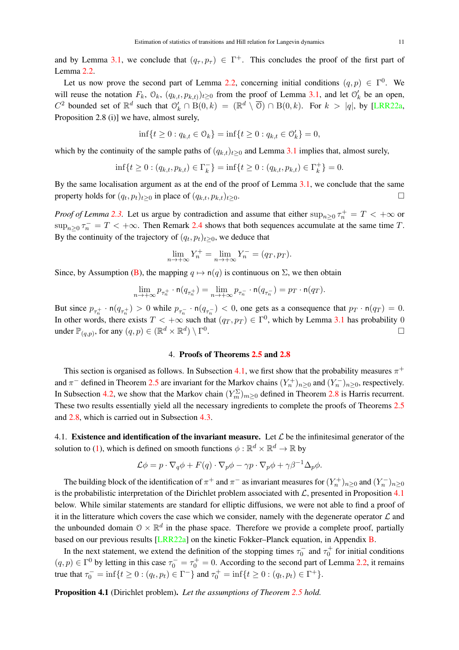and by Lemma 3.1, we conclude that  $(q_\tau, p_\tau) \in \Gamma^+$ . This concludes the proof of the first part of Lemma 2.2.

Let us now prove the second part of Lemma 2.2, concerning initial conditions  $(q, p) \in \Gamma^0$ . We will reuse the notation  $F_k$ ,  $\mathcal{O}_k$ ,  $(q_{k,t}, p_{k,t})$ ,  $\geq 0$  from the proof of Lemma 3.1, and let  $\mathcal{O}'_k$  be an open,  $C^2$  bounded set of  $\mathbb{R}^d$  such that  $\mathcal{O}'_k \cap B(0,k) = (\mathbb{R}^d \setminus \overline{\mathcal{O}}) \cap B(0,k)$ . For  $k > |q|$ , by [LRR22a, Proposition 2.8 (i)] we have, almost surely,

$$
\inf\{t \ge 0 : q_{k,t} \in \mathcal{O}_k\} = \inf\{t \ge 0 : q_{k,t} \in \mathcal{O}'_k\} = 0,
$$

which by the continuity of the sample paths of  $(q_{k,t})_{t\geq0}$  and Lemma 3.1 implies that, almost surely,

$$
\inf\{t\geq 0: (q_{k,t}, p_{k,t}) \in \Gamma_k^-\} = \inf\{t \geq 0: (q_{k,t}, p_{k,t}) \in \Gamma_k^+\} = 0.
$$

By the same localisation argument as at the end of the proof of Lemma 3.1, we conclude that the same property holds for  $(q_t, p_t)_{t\geq 0}$  in place of  $(q_{k,t}, p_{k,t})_{t\geq 0}$ .

*Proof of Lemma* 2.3. Let us argue by contradiction and assume that either  $\sup_{n\geq 0} \tau_n^+ = T < +\infty$  or  $\sup_{n\geq 0} \tau_n^- = T < +\infty$ . Then Remark 2.4 shows that both sequences accumulate at the same time T. By the continuity of the trajectory of  $(q_t, p_t)_{t \geq 0}$ , we deduce that

$$
\lim_{n \to +\infty} Y_n^+ = \lim_{n \to +\infty} Y_n^- = (q_T, p_T).
$$

Since, by Assumption (B), the mapping  $q \mapsto n(q)$  is continuous on  $\Sigma$ , we then obtain

$$
\lim_{n\rightarrow +\infty}p_{\tau_{n}^{+}}\cdot \mathsf{n}(q_{\tau_{n}^{+}})=\lim_{n\rightarrow +\infty}p_{\tau_{n}^{-}}\cdot \mathsf{n}(q_{\tau_{n}^{-}})=p_{T}\cdot \mathsf{n}(q_{T}).
$$

But since  $p_{\tau_n^+} \cdot n(q_{\tau_n^+}) > 0$  while  $p_{\tau_n^-} \cdot n(q_{\tau_n^-}) < 0$ , one gets as a consequence that  $p_T \cdot n(q_T) = 0$ . In other words, there exists  $T < +\infty$  such that  $(q_T, p_T) \in \Gamma^0$ , which by Lemma 3.1 has probability 0 under  $\mathbb{P}_{(q,p)},$  for any  $(q,p)\in (\mathbb{R}^d\times\mathbb{R}^d)\setminus\Gamma^0$ .

# 4. Proofs of Theorems 2.5 and 2.8

This section is organised as follows. In Subsection 4.1, we first show that the probability measures  $\pi^+$ and  $\pi^-$  defined in Theorem 2.5 are invariant for the Markov chains  $(Y_n^+)_{n\geq 0}$  and  $(Y_n^-)_{n\geq 0}$ , respectively. In Subsection 4.2, we show that the Markov chain  $(Y_m^{\Sigma})_{m\geq 0}$  defined in Theorem 2.8 is Harris recurrent. These two results essentially yield all the necessary ingredients to complete the proofs of Theorems 2.5 and 2.8, which is carried out in Subsection 4.3.

4.1. Existence and identification of the invariant measure. Let  $\mathcal L$  be the infinitesimal generator of the solution to (1), which is defined on smooth functions  $\phi : \mathbb{R}^d \times \mathbb{R}^d \to \mathbb{R}$  by

$$
\mathcal{L}\phi = p \cdot \nabla_q \phi + F(q) \cdot \nabla_p \phi - \gamma p \cdot \nabla_p \phi + \gamma \beta^{-1} \Delta_p \phi.
$$

The building block of the identification of  $\pi^+$  and  $\pi^-$  as invariant measures for  $(Y_n^+)_{n\geq 0}$  and  $(Y_n^-)_{n\geq 0}$ is the probabilistic interpretation of the Dirichlet problem associated with  $\mathcal{L}$ , presented in Proposition 4.1 below. While similar statements are standard for elliptic diffusions, we were not able to find a proof of it in the litterature which covers the case which we consider, namely with the degenerate operator  $\mathcal L$  and the unbounded domain  $0 \times \mathbb{R}^d$  in the phase space. Therefore we provide a complete proof, partially based on our previous results [LRR22a] on the kinetic Fokker–Planck equation, in Appendix B.

In the next statement, we extend the definition of the stopping times  $\tau_0^-$  and  $\tau_0^+$  for initial conditions  $(q, p) \in \Gamma^0$  by letting in this case  $\tau_0^- = \tau_0^+ = 0$ . According to the second part of Lemma 2.2, it remains true that  $\tau_0^- = \inf\{t \ge 0 : (q_t, p_t) \in \Gamma^-\}$  and  $\tau_0^+ = \inf\{t \ge 0 : (q_t, p_t) \in \Gamma^+\}$ .

Proposition 4.1 (Dirichlet problem). *Let the assumptions of Theorem 2.5 hold.*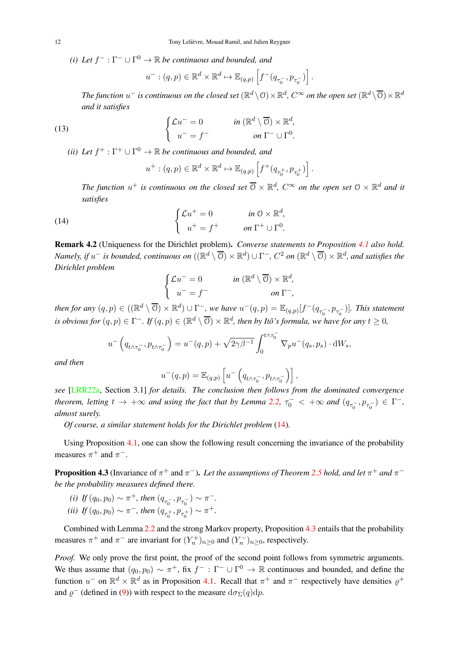(*i*) Let  $f^-$  :  $\Gamma^-$  ∪  $\Gamma^0$  →  $\mathbb R$  *be continuous and bounded, and* 

$$
u^-:(q,p)\in\mathbb{R}^d\times\mathbb{R}^d\mapsto\mathbb{E}_{(q,p)}\left[f^-(q_{\tau_0^-},p_{\tau_0^-})\right].
$$

The function  $u^-$  is continuous on the closed set  $(\R^d\setminus\mathcal{O})\times\R^d$ ,  $C^\infty$  on the open set  $(\R^d\setminus\overline{\mathcal{O}})\times\R^d$ *and it satisfies*

(13) 
$$
\begin{cases} \mathcal{L}u^{-} = 0 & \text{in } (\mathbb{R}^{d} \setminus \overline{\mathbb{O}}) \times \mathbb{R}^{d}, \\ u^{-} = f^{-} & \text{on } \Gamma^{-} \cup \Gamma^{0}. \end{cases}
$$

(*ii*) Let  $f^+ : \Gamma^+ \cup \Gamma^0 \to \mathbb{R}$  be continuous and bounded, and

$$
u^+:(q,p)\in\mathbb{R}^d\times\mathbb{R}^d\mapsto\mathbb{E}_{(q,p)}\left[f^+(q_{\tau_0^+},p_{\tau_0^+})\right].
$$

The function  $u^+$  is continuous on the closed set  $\overline{0} \times \mathbb{R}^d$ ,  $C^\infty$  on the open set  $0 \times \mathbb{R}^d$  and it *satisfies*

(14) 
$$
\begin{cases} \mathcal{L}u^+ = 0 & \text{in } \mathbb{O} \times \mathbb{R}^d, \\ u^+ = f^+ & \text{on } \Gamma^+ \cup \Gamma^0. \end{cases}
$$

Remark 4.2 (Uniqueness for the Dirichlet problem). *Converse statements to Proposition 4.1 also hold.*  $\noindent\textit{Namely, if } u^- \textit{ is bounded, continuous on } ((\mathbb{R}^d \setminus \overline{\mathbb{O}}) \times \mathbb{R}^d) \cup \Gamma^-, C^2 \textit{ on } (\mathbb{R}^d \setminus \overline{\mathbb{O}}) \times \mathbb{R}^d, \textit{ and satisfies the }$ *Dirichlet problem*

$$
\begin{cases}\n\mathcal{L}u^- = 0 & \text{in } (\mathbb{R}^d \setminus \overline{\mathbb{O}}) \times \mathbb{R}^d, \\
u^- = f^- & \text{on } \Gamma^-, \n\end{cases}
$$

then for any  $(q, p) \in ((\mathbb{R}^d \setminus \overline{O}) \times \mathbb{R}^d) \cup \Gamma^-$ , we have  $u^-(q,p) = \mathbb{E}_{(q,p)}[f^-(q_{\tau_0^-}, p_{\tau_0^-})]$ . This statement *is obvious for*  $(q, p) \in \Gamma^-$ *. If*  $(q, p) \in (\mathbb{R}^d \setminus \overline{O}) \times \mathbb{R}^d$ *, then by Itô's formula, we have for any*  $t \ge 0$ *,* 

$$
u^{-}\left(q_{t\wedge\tau_{0}^{-}},p_{t\wedge\tau_{0}^{-}}\right) = u^{-}(q,p) + \sqrt{2\gamma\beta^{-1}} \int_{0}^{t\wedge\tau_{0}^{-}} \nabla_{p} u^{-}(q_{s},p_{s}) \cdot dW_{s},
$$

*and then*

$$
u^-(q,p) = \mathbb{E}_{(q,p)}\left[u^-\left(q_{t\wedge\tau_0^-},p_{t\wedge\tau_0^-}\right)\right],
$$

*see* [LRR22a, Section 3.1] *for details. The conclusion then follows from the dominated convergence theorem, letting*  $t \to +\infty$  *and using the fact that by Lemma 2.2,*  $\tau_0^- < +\infty$  *and*  $(q_{\tau_0^-}, p_{\tau_0^-}) \in \Gamma^-$ , *almost surely.*

*Of course, a similar statement holds for the Dirichlet problem* (14)*.*

Using Proposition 4.1, one can show the following result concerning the invariance of the probability measures  $\pi^+$  and  $\pi^-$ .

**Proposition 4.3** (Invariance of  $\pi^+$  and  $\pi^-$ ). Let the assumptions of Theorem 2.5 hold, and let  $\pi^+$  and  $\pi^$ *be the probability measures defined there.*

(i) If 
$$
(q_0, p_0) \sim \pi^+
$$
, then  $(q_{\tau_0^-}, p_{\tau_0^-}) \sim \pi^-$ .

(*ii*) If 
$$
(q_0, p_0) \sim \pi^-
$$
, then  $(q_{\tau_0^+}, p_{\tau_0^+}) \sim \pi^+$ .

Combined with Lemma 2.2 and the strong Markov property, Proposition 4.3 entails that the probability measures  $\pi^+$  and  $\pi^-$  are invariant for  $(Y_n^+)_{n\geq 0}$  and  $(Y_n^-)_{n\geq 0}$ , respectively.

*Proof.* We only prove the first point, the proof of the second point follows from symmetric arguments. We thus assume that  $(q_0, p_0) \sim \pi^+$ , fix  $f^- : \Gamma^- \cup \Gamma^0 \to \mathbb{R}$  continuous and bounded, and define the function  $u^-$  on  $\mathbb{R}^d \times \mathbb{R}^d$  as in Proposition 4.1. Recall that  $\pi^+$  and  $\pi^-$  respectively have densities  $\varrho^+$ and  $\varrho$ <sup>-</sup> (defined in (9)) with respect to the measure  $d\sigma_{\Sigma}(q)dp$ .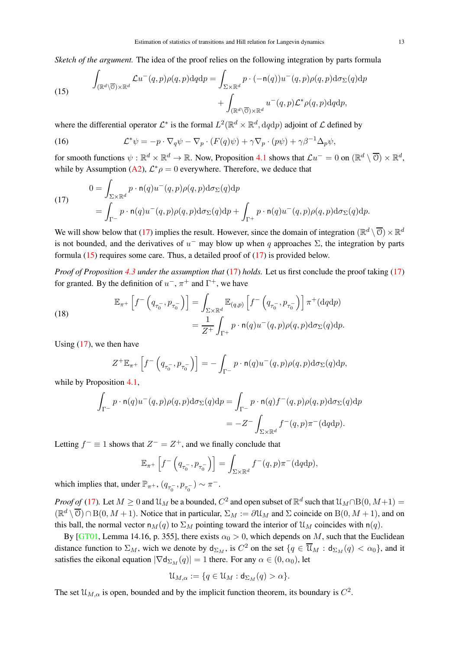*Sketch of the argument.* The idea of the proof relies on the following integration by parts formula

(15) 
$$
\int_{(\mathbb{R}^d \setminus \overline{\mathbb{O}}) \times \mathbb{R}^d} \mathcal{L}u^-(q,p)\rho(q,p) \mathrm{d}q \mathrm{d}p = \int_{\Sigma \times \mathbb{R}^d} p \cdot (-\mathsf{n}(q))u^-(q,p)\rho(q,p) \mathrm{d}\sigma_{\Sigma}(q) \mathrm{d}p + \int_{(\mathbb{R}^d \setminus \overline{\mathbb{O}}) \times \mathbb{R}^d} u^-(q,p) \mathcal{L}^*\rho(q,p) \mathrm{d}q \mathrm{d}p,
$$

where the differential operator  $\mathcal{L}^*$  is the formal  $L^2(\mathbb{R}^d \times \mathbb{R}^d, dqdp)$  adjoint of  $\mathcal L$  defined by

(16) 
$$
\mathcal{L}^*\psi = -p \cdot \nabla_q \psi - \nabla_p \cdot (F(q)\psi) + \gamma \nabla_p \cdot (p\psi) + \gamma \beta^{-1} \Delta_p \psi,
$$

for smooth functions  $\psi : \mathbb{R}^d \times \mathbb{R}^d \to \mathbb{R}$ . Now, Proposition 4.1 shows that  $\mathcal{L}u^- = 0$  on  $(\mathbb{R}^d \setminus \overline{O}) \times \mathbb{R}^d$ , while by Assumption (A2),  $\mathcal{L}^*\rho = 0$  everywhere. Therefore, we deduce that

(17)  
\n
$$
0 = \int_{\Sigma \times \mathbb{R}^d} p \cdot \mathsf{n}(q) u^-(q, p) \rho(q, p) \mathrm{d}\sigma_{\Sigma}(q) \mathrm{d}p
$$
\n
$$
= \int_{\Gamma^-} p \cdot \mathsf{n}(q) u^-(q, p) \rho(q, p) \mathrm{d}\sigma_{\Sigma}(q) \mathrm{d}p + \int_{\Gamma^+} p \cdot \mathsf{n}(q) u^-(q, p) \rho(q, p) \mathrm{d}\sigma_{\Sigma}(q) \mathrm{d}p.
$$

We will show below that (17) implies the result. However, since the domain of integration  $(\mathbb{R}^d \setminus \overline{O}) \times \mathbb{R}^d$ is not bounded, and the derivatives of  $u^-$  may blow up when q approaches  $\Sigma$ , the integration by parts formula (15) requires some care. Thus, a detailed proof of (17) is provided below.

*Proof of Proposition 4.3 under the assumption that* (17) *holds.* Let us first conclude the proof taking (17) for granted. By the definition of  $u^-, \pi^+$  and  $\Gamma^+,$  we have

(18)  

$$
\mathbb{E}_{\pi^+}\left[f^{-}\left(q_{\tau_0^-}, p_{\tau_0^-}\right)\right] = \int_{\Sigma \times \mathbb{R}^d} \mathbb{E}_{(q,p)}\left[f^{-}\left(q_{\tau_0^-}, p_{\tau_0^-}\right)\right] \pi^+(\text{d}q\text{d}p)
$$

$$
= \frac{1}{Z^+} \int_{\Gamma^+} p \cdot \mathsf{n}(q) u^{-}(q,p) \rho(q,p) \text{d}\sigma_{\Sigma}(q) \text{d}p.
$$

Using  $(17)$ , we then have

$$
Z^+\mathbb{E}_{\pi^+}\left[f^-\left(q_{\tau_0^-},p_{\tau_0^-}\right)\right]=-\int_{\Gamma^-}p\cdot\mathsf{n}(q)u^-(q,p)\rho(q,p)\mathrm{d}\sigma_\Sigma(q)\mathrm{d}p,
$$

while by Proposition 4.1,

$$
\int_{\Gamma^-} p \cdot \mathsf{n}(q) u^-(q, p) \rho(q, p) \mathrm{d}\sigma_{\Sigma}(q) \mathrm{d}p = \int_{\Gamma^-} p \cdot \mathsf{n}(q) f^-(q, p) \rho(q, p) \mathrm{d}\sigma_{\Sigma}(q) \mathrm{d}p
$$
\n
$$
= -Z^- \int_{\Sigma \times \mathbb{R}^d} f^-(q, p) \pi^-(\mathrm{d}q \mathrm{d}p).
$$

Letting  $f^- \equiv 1$  shows that  $Z^- = Z^+$ , and we finally conclude that

$$
\mathbb{E}_{\pi^+}\left[f^{-}\left(q_{\tau_0^{-}}, p_{\tau_0^{-}}\right)\right] = \int_{\Sigma \times \mathbb{R}^d} f^{-}(q, p)\pi^{-}(\mathrm{d}q\mathrm{d}p),
$$

which implies that, under  $\mathbb{P}_{\pi^+}$ ,  $(q_{\tau_0^-}, p_{\tau_0^-}) \sim \pi^-$ .

*Proof of* (17). Let  $M \ge 0$  and  $\mathfrak{U}_M$  be a bounded,  $C^2$  and open subset of  $\mathbb{R}^d$  such that  $\mathfrak{U}_M \cap \mathrm{B}(0,M+1) = 0$  $(\mathbb{R}^d \setminus \overline{O}) \cap B(0, M + 1)$ . Notice that in particular,  $\Sigma_M := \partial \mathcal{U}_M$  and  $\Sigma$  coincide on  $B(0, M + 1)$ , and on this ball, the normal vector  $n_M(q)$  to  $\Sigma_M$  pointing toward the interior of  $\mathfrak{U}_M$  coincides with  $n(q)$ .

By [GT01, Lemma 14.16, p. 355], there exists  $\alpha_0 > 0$ , which depends on M, such that the Euclidean distance function to  $\Sigma_M$ , wich we denote by  $d_{\Sigma_M}$ , is  $C^2$  on the set  $\{q \in \overline{\mathcal{U}}_M : d_{\Sigma_M}(q) < \alpha_0\}$ , and it satisfies the eikonal equation  $|\nabla \mathsf{d}_{\Sigma_M}(q)| = 1$  there. For any  $\alpha \in (0, \alpha_0)$ , let

$$
\mathfrak{U}_{M,\alpha}:=\{q\in\mathfrak{U}_M:\mathsf{d}_{\Sigma_M}(q)>\alpha\}.
$$

The set  $\mathcal{U}_{M,\alpha}$  is open, bounded and by the implicit function theorem, its boundary is  $C^2$ .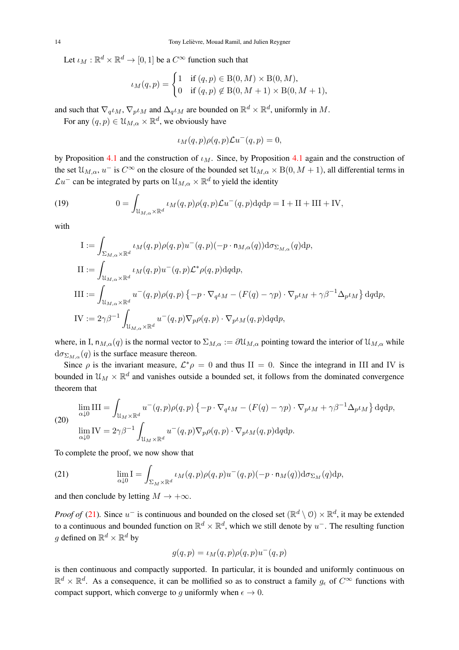Let  $\iota_M : \mathbb{R}^d \times \mathbb{R}^d \to [0, 1]$  be a  $C^\infty$  function such that

$$
\iota_M(q,p) = \begin{cases} 1 & \text{if } (q,p) \in B(0,M) \times B(0,M), \\ 0 & \text{if } (q,p) \notin B(0,M+1) \times B(0,M+1), \end{cases}
$$

and such that  $\nabla_q \iota_M$ ,  $\nabla_p \iota_M$  and  $\Delta_q \iota_M$  are bounded on  $\mathbb{R}^d \times \mathbb{R}^d$ , uniformly in  $M$ .

For any  $(q, p) \in \mathcal{U}_{M, \alpha} \times \mathbb{R}^d$ , we obviously have

$$
\iota_M(q,p)\rho(q,p)\mathcal{L}u^-(q,p)=0,
$$

by Proposition 4.1 and the construction of  $\iota_M$ . Since, by Proposition 4.1 again and the construction of the set  $\mathcal{U}_{M,\alpha}$ ,  $u^-$  is  $C^{\infty}$  on the closure of the bounded set  $\mathcal{U}_{M,\alpha} \times B(0, M + 1)$ , all differential terms in  $\mathcal{L}u^-$  can be integrated by parts on  $\mathcal{U}_{M,\alpha}\times\mathbb{R}^d$  to yield the identity

(19) 
$$
0 = \int_{\mathcal{U}_{M,\alpha} \times \mathbb{R}^d} \iota_M(q,p) \rho(q,p) \mathcal{L}u^-(q,p) dq dp = I + II + III + IV,
$$

with

$$
I := \int_{\Sigma_{M,\alpha} \times \mathbb{R}^d} \iota_M(q,p) \rho(q,p) u^-(q,p) (-p \cdot \mathbf{n}_{M,\alpha}(q)) d\sigma_{\Sigma_{M,\alpha}}(q) dp,
$$
  
\n
$$
II := \int_{\mathcal{U}_{M,\alpha} \times \mathbb{R}^d} \iota_M(q,p) u^-(q,p) \mathcal{L}^* \rho(q,p) dq dp,
$$
  
\n
$$
III := \int_{\mathcal{U}_{M,\alpha} \times \mathbb{R}^d} u^-(q,p) \rho(q,p) \{-p \cdot \nabla_q \iota_M - (F(q) - \gamma p) \cdot \nabla_p \iota_M + \gamma \beta^{-1} \Delta_p \iota_M \} dq dp,
$$
  
\n
$$
IV := 2\gamma \beta^{-1} \int_{\mathcal{U}_{M,\alpha} \times \mathbb{R}^d} u^-(q,p) \nabla_p \rho(q,p) \cdot \nabla_p \iota_M(q,p) dq dp,
$$

where, in I,  $n_{M,\alpha}(q)$  is the normal vector to  $\Sigma_{M,\alpha} := \partial \mathfrak{U}_{M,\alpha}$  pointing toward the interior of  $\mathfrak{U}_{M,\alpha}$  while  $d\sigma_{\Sigma_{M}Q}(q)$  is the surface measure thereon.

Since  $\rho$  is the invariant measure,  $\mathcal{L}^*\rho = 0$  and thus II = 0. Since the integrand in III and IV is bounded in  $\mathcal{U}_M \times \mathbb{R}^d$  and vanishes outside a bounded set, it follows from the dominated convergence theorem that

$$
\lim_{\alpha \downarrow 0} III = \int_{\mathcal{U}_M \times \mathbb{R}^d} u^-(q, p) \rho(q, p) \{-p \cdot \nabla_q \iota_M - (F(q) - \gamma p) \cdot \nabla_p \iota_M + \gamma \beta^{-1} \Delta_p \iota_M \} \, dq dp,
$$
\n
$$
\lim_{\alpha \downarrow 0} IV = 2\gamma \beta^{-1} \int_{\mathcal{U}_M \times \mathbb{R}^d} u^-(q, p) \nabla_p \rho(q, p) \cdot \nabla_p \iota_M(q, p) dq dp.
$$

To complete the proof, we now show that

(21) 
$$
\lim_{\alpha \downarrow 0} I = \int_{\Sigma_M \times \mathbb{R}^d} \iota_M(q, p) \rho(q, p) u^-(q, p) (-p \cdot \mathsf{n}_M(q)) \mathrm{d} \sigma_{\Sigma_M}(q) \mathrm{d} p,
$$

and then conclude by letting  $M \to +\infty$ .

*Proof of* (21). Since  $u^-$  is continuous and bounded on the closed set  $(\mathbb{R}^d \setminus \mathcal{O}) \times \mathbb{R}^d$ , it may be extended to a continuous and bounded function on  $\mathbb{R}^d \times \mathbb{R}^d$ , which we still denote by  $u^-$ . The resulting function g defined on  $\mathbb{R}^d \times \mathbb{R}^d$  by

$$
g(q,p) = \iota_M(q,p)\rho(q,p)u^-(q,p)
$$

is then continuous and compactly supported. In particular, it is bounded and uniformly continuous on  $\mathbb{R}^d \times \mathbb{R}^d$ . As a consequence, it can be mollified so as to construct a family  $g_\epsilon$  of  $C^\infty$  functions with compact support, which converge to q uniformly when  $\epsilon \to 0$ .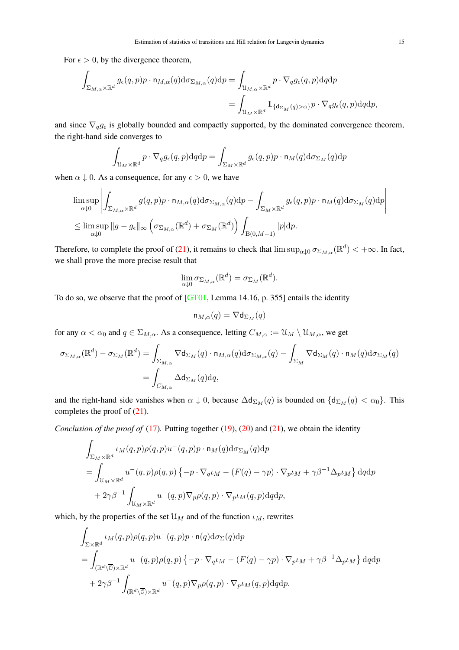For  $\epsilon > 0$ , by the divergence theorem,

$$
\begin{aligned} \int_{\Sigma_{M,\alpha}\times\mathbb{R}^d}g_\epsilon(q,p)p\cdot\mathbf{n}_{M,\alpha}(q)\mathrm{d}\sigma_{\Sigma_{M,\alpha}}(q)\mathrm{d}p &=\int_{\mathcal{U}_{M,\alpha}\times\mathbb{R}^d}p\cdot\nabla_qg_\epsilon(q,p)\mathrm{d}q\mathrm{d}p\\ &=\int_{\mathcal{U}_M\times\mathbb{R}^d}\mathbbm{1}_{\{\mathsf{d}_{\Sigma_M}(q)>\alpha\}}p\cdot\nabla_qg_\epsilon(q,p)\mathrm{d}q\mathrm{d}p, \end{aligned}
$$

and since  $\nabla_q g_\epsilon$  is globally bounded and compactly supported, by the dominated convergence theorem, the right-hand side converges to

$$
\int_{\mathcal{U}_M \times \mathbb{R}^d} p \cdot \nabla_q g_\epsilon(q,p) \mathrm{d} q \mathrm{d} p = \int_{\Sigma_M \times \mathbb{R}^d} g_\epsilon(q,p) p \cdot \mathsf{n}_M(q) \mathrm{d} \sigma_{\Sigma_M}(q) \mathrm{d} p
$$

when  $\alpha \downarrow 0$ . As a consequence, for any  $\epsilon > 0$ , we have

$$
\limsup_{\alpha \downarrow 0} \left| \int_{\Sigma_{M,\alpha} \times \mathbb{R}^d} g(q,p) p \cdot \mathbf{n}_{M,\alpha}(q) d\sigma_{\Sigma_{M,\alpha}}(q) dp - \int_{\Sigma_{M} \times \mathbb{R}^d} g_{\epsilon}(q,p) p \cdot \mathbf{n}_{M}(q) d\sigma_{\Sigma_{M}}(q) dp \right|
$$
  

$$
\leq \limsup_{\alpha \downarrow 0} ||g - g_{\epsilon}||_{\infty} \left( \sigma_{\Sigma_{M,\alpha}}(\mathbb{R}^d) + \sigma_{\Sigma_{M}}(\mathbb{R}^d) \right) \int_{B(0,M+1)} |p| dp.
$$

Therefore, to complete the proof of (21), it remains to check that  $\limsup_{\alpha\downarrow 0} \sigma_{\Sigma_{M,\alpha}}(\mathbb{R}^d) < +\infty$ . In fact, we shall prove the more precise result that

$$
\lim_{\alpha \downarrow 0} \sigma_{\Sigma_{M,\alpha}}(\mathbb{R}^d) = \sigma_{\Sigma_M}(\mathbb{R}^d).
$$

To do so, we observe that the proof of [GT01, Lemma 14.16, p. 355] entails the identity

$$
\mathsf{n}_{M,\alpha}(q)=\nabla \mathsf{d}_{\Sigma_M}(q)
$$

for any  $\alpha < \alpha_0$  and  $q \in \Sigma_{M,\alpha}$ . As a consequence, letting  $C_{M,\alpha} := \mathcal{U}_M \setminus \mathcal{U}_{M,\alpha}$ , we get

$$
\sigma_{\Sigma_{M,\alpha}}(\mathbb{R}^d) - \sigma_{\Sigma_M}(\mathbb{R}^d) = \int_{\Sigma_{M,\alpha}} \nabla d_{\Sigma_M}(q) \cdot \mathbf{n}_{M,\alpha}(q) d\sigma_{\Sigma_{M,\alpha}}(q) - \int_{\Sigma_M} \nabla d_{\Sigma_M}(q) \cdot \mathbf{n}_M(q) d\sigma_{\Sigma_M}(q)
$$

$$
= \int_{C_{M,\alpha}} \Delta d_{\Sigma_M}(q) dq,
$$

and the right-hand side vanishes when  $\alpha \downarrow 0$ , because  $\Delta d_{\Sigma_M}(q)$  is bounded on  $\{d_{\Sigma_M}(q) < \alpha_0\}$ . This completes the proof of (21).

*Conclusion of the proof of* (17). Putting together (19), (20) and (21), we obtain the identity

$$
\begin{aligned} &\int_{\Sigma_{M}\times\mathbb{R}^{d}}\iota_{M}(q,p)\rho(q,p)u^{-}(q,p)p\cdot\mathbf{n}_{M}(q)\mathrm{d}\sigma_{\Sigma_{M}}(q)\mathrm{d}p\\ &=\int_{\mathfrak{U}_{M}\times\mathbb{R}^{d}}u^{-}(q,p)\rho(q,p)\left\{-p\cdot\nabla_{q}\iota_{M}-(F(q)-\gamma p)\cdot\nabla_{p}\iota_{M}+\gamma\beta^{-1}\Delta_{p}\iota_{M}\right\}\mathrm{d}q\mathrm{d}p\\ &+2\gamma\beta^{-1}\int_{\mathfrak{U}_{M}\times\mathbb{R}^{d}}u^{-}(q,p)\nabla_{p}\rho(q,p)\cdot\nabla_{p}\iota_{M}(q,p)\mathrm{d}q\mathrm{d}p, \end{aligned}
$$

which, by the properties of the set  $\mathfrak{U}_M$  and of the function  $\iota_M$ , rewrites

$$
\int_{\Sigma \times \mathbb{R}^d} \iota_M(q, p) \rho(q, p) u^-(q, p) p \cdot \mathsf{n}(q) \mathrm{d} \sigma_{\Sigma}(q) \mathrm{d} p
$$
\n
$$
= \int_{(\mathbb{R}^d \backslash \overline{\mathbb{O}}) \times \mathbb{R}^d} u^-(q, p) \rho(q, p) \{-p \cdot \nabla_q \iota_M - (F(q) - \gamma p) \cdot \nabla_p \iota_M + \gamma \beta^{-1} \Delta_p \iota_M \} \mathrm{d} q \mathrm{d} p
$$
\n
$$
+ 2\gamma \beta^{-1} \int_{(\mathbb{R}^d \backslash \overline{\mathbb{O}}) \times \mathbb{R}^d} u^-(q, p) \nabla_p \rho(q, p) \cdot \nabla_p \iota_M(q, p) \mathrm{d} q \mathrm{d} p.
$$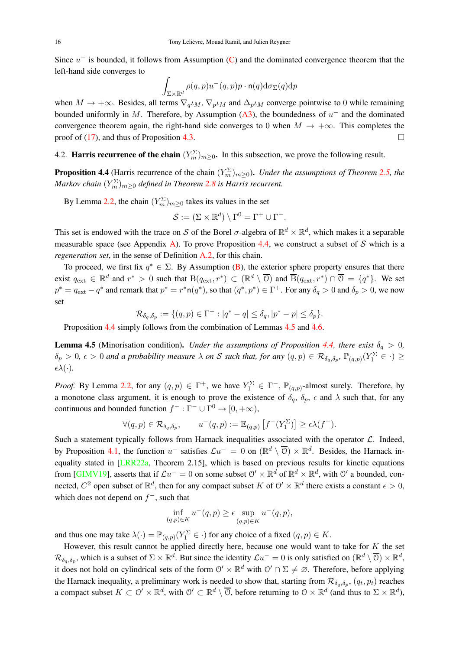Since  $u^-$  is bounded, it follows from Assumption (C) and the dominated convergence theorem that the left-hand side converges to

$$
\int_{\Sigma\times{\mathbb R}^d}\rho(q,p)u^-(q,p)p\cdot{\mathsf n}(q){\rm d}\sigma_\Sigma(q){\rm d} p
$$

when  $M \to +\infty$ . Besides, all terms  $\nabla_q \iota_M$ ,  $\nabla_p \iota_M$  and  $\Delta_p \iota_M$  converge pointwise to 0 while remaining bounded uniformly in M. Therefore, by Assumption  $(A3)$ , the boundedness of  $u^-$  and the dominated convergence theorem again, the right-hand side converges to 0 when  $M \to +\infty$ . This completes the proof of (17), and thus of Proposition 4.3.

4.2. **Harris recurrence of the chain**  $(Y_m^{\Sigma})_{m \geq 0}$ . In this subsection, we prove the following result.

**Proposition 4.4** (Harris recurrence of the chain  $(Y_m^{\Sigma})_{m\geq 0}$ ). *Under the assumptions of Theorem 2.5, the*  $M$ arkov chain  $(Y_m^{\Sigma})_{m\geq 0}$  defined in Theorem 2.8 is Harris recurrent.

By Lemma 2.2, the chain  $(Y_m^{\Sigma})_{m \geq 0}$  takes its values in the set

$$
\mathcal{S} := (\Sigma \times \mathbb{R}^d) \setminus \Gamma^0 = \Gamma^+ \cup \Gamma^-.
$$

This set is endowed with the trace on S of the Borel  $\sigma$ -algebra of  $\mathbb{R}^d \times \mathbb{R}^d$ , which makes it a separable measurable space (see Appendix A). To prove Proposition 4.4, we construct a subset of S which is a *regeneration set*, in the sense of Definition A.2, for this chain.

To proceed, we first fix  $q^* \in \Sigma$ . By Assumption (B), the exterior sphere property ensures that there exist  $q_{ext} \in \mathbb{R}^d$  and  $r^* > 0$  such that  $B(q_{ext}, r^*) \subset (\mathbb{R}^d \setminus \overline{0})$  and  $\overline{B}(q_{ext}, r^*) \cap \overline{0} = \{q^*\}$ . We set  $p^* = q_{ext} - q^*$  and remark that  $p^* = r^* \cdot n(q^*)$ , so that  $(q^*, p^*) \in \Gamma^+$ . For any  $\delta_q > 0$  and  $\delta_p > 0$ , we now set

$$
\mathcal{R}_{\delta_q,\delta_p}:=\{(q,p)\in\Gamma^+: |q^*-q|\leq \delta_q, |p^*-p|\leq \delta_p\}.
$$

Proposition 4.4 simply follows from the combination of Lemmas 4.5 and 4.6.

**Lemma 4.5** (Minorisation condition). *Under the assumptions of Proposition 4.4, there exist*  $\delta_q > 0$ ,  $\delta_p > 0$ ,  $\epsilon > 0$  and a probability measure  $\lambda$  on S such that, for any  $(q, p) \in \mathcal{R}_{\delta_q, \delta_p}$ ,  $\mathbb{P}_{(q, p)}(Y_1^{\Sigma} \in \cdot) \geq$  $\epsilon \lambda(\cdot)$ .

*Proof.* By Lemma 2.2, for any  $(q, p) \in \Gamma^+$ , we have  $Y_1^{\Sigma} \in \Gamma^-$ ,  $\mathbb{P}_{(q,p)}$ -almost surely. Therefore, by a monotone class argument, it is enough to prove the existence of  $\delta_q$ ,  $\delta_p$ ,  $\epsilon$  and  $\lambda$  such that, for any continuous and bounded function  $f^- : \Gamma^- \cup \Gamma^0 \to [0, +\infty)$ ,

$$
\forall (q,p) \in \mathcal{R}_{\delta_q, \delta_p}, \qquad u^-(q,p) := \mathbb{E}_{(q,p)} \left[ f^-(Y_1^{\Sigma}) \right] \ge \epsilon \lambda(f^-).
$$

Such a statement typically follows from Harnack inequalities associated with the operator  $\mathcal{L}$ . Indeed, by Proposition 4.1, the function  $u^-$  satisfies  $\mathcal{L}u^- = 0$  on  $(\mathbb{R}^d \setminus \overline{0}) \times \mathbb{R}^d$ . Besides, the Harnack inequality stated in [LRR22a, Theorem 2.15], which is based on previous results for kinetic equations from [GIMV19], asserts that if  $\mathcal{L}u^- = 0$  on some subset  $\mathcal{O}' \times \mathbb{R}^d$  of  $\mathbb{R}^d \times \mathbb{R}^d$ , with  $\mathcal{O}'$  a bounded, connected,  $C^2$  open subset of  $\mathbb{R}^d$ , then for any compact subset K of  $\mathcal{O}' \times \mathbb{R}^d$  there exists a constant  $\epsilon > 0$ , which does not depend on  $f^-$ , such that

$$
\inf_{(q,p)\in K} u^-(q,p) \ge \epsilon \sup_{(q,p)\in K} u^-(q,p),
$$

and thus one may take  $\lambda(\cdot) = \mathbb{P}_{(q,p)}(Y_1^{\Sigma} \in \cdot)$  for any choice of a fixed  $(q, p) \in K$ .

However, this result cannot be applied directly here, because one would want to take for  $K$  the set  $\mathcal{R}_{\delta_q,\delta_p}$ , which is a subset of  $\Sigma\times\mathbb{R}^d$ . But since the identity  $\mathcal{L}u^- = 0$  is only satisfied on  $(\mathbb{R}^d\setminus\overline{\mathcal{O}})\times\mathbb{R}^d$ , it does not hold on cylindrical sets of the form  $\mathcal{O}' \times \mathbb{R}^d$  with  $\mathcal{O}' \cap \Sigma \neq \emptyset$ . Therefore, before applying the Harnack inequality, a preliminary work is needed to show that, starting from  $\mathcal{R}_{\delta_q, \delta_p}$ ,  $(q_t, p_t)$  reaches a compact subset  $K \subset \mathcal{O}' \times \mathbb{R}^d$ , with  $\mathcal{O}' \subset \mathbb{R}^d \setminus \overline{\mathcal{O}}$ , before returning to  $\mathcal{O} \times \mathbb{R}^d$  (and thus to  $\Sigma \times \mathbb{R}^d$ ),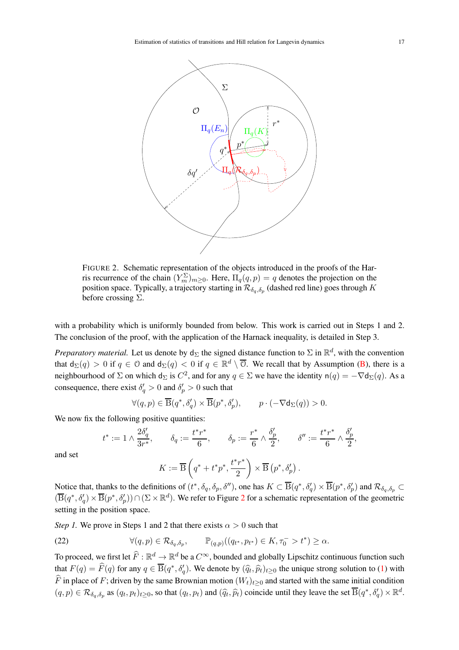

FIGURE 2. Schematic representation of the objects introduced in the proofs of the Harris recurrence of the chain  $(Y_m^{\Sigma})_{m \geq 0}$ . Here,  $\Pi_q(q, p) = q$  denotes the projection on the position space. Typically, a trajectory starting in  $\mathcal{R}_{\delta_q, \delta_p}$  (dashed red line) goes through K before crossing  $\Sigma$ .

with a probability which is uniformly bounded from below. This work is carried out in Steps 1 and 2. The conclusion of the proof, with the application of the Harnack inequality, is detailed in Step 3.

*Preparatory material.* Let us denote by  $d_{\Sigma}$  the signed distance function to  $\Sigma$  in  $\mathbb{R}^d$ , with the convention that  $d_{\Sigma}(q) > 0$  if  $q \in \mathbb{O}$  and  $d_{\Sigma}(q) < 0$  if  $q \in \mathbb{R}^d \setminus \overline{\mathbb{O}}$ . We recall that by Assumption (B), there is a neighbourhood of  $\Sigma$  on which  $d_{\Sigma}$  is  $C^2$ , and for any  $q \in \Sigma$  we have the identity  $n(q) = -\nabla d_{\Sigma}(q)$ . As a consequence, there exist  $\delta'_q > 0$  and  $\delta'_p > 0$  such that

$$
\forall (q,p) \in \overline{\mathcal{B}}(q^*,\delta_q') \times \overline{\mathcal{B}}(p^*,\delta_p'), \qquad p \cdot (-\nabla \mathsf{d}_{\Sigma}(q)) > 0.
$$

We now fix the following positive quantities:

t

$$
f^* := 1 \wedge \frac{2\delta_q'}{3r^*}, \qquad \delta_q := \frac{t^*r^*}{6}, \qquad \delta_p := \frac{r^*}{6} \wedge \frac{\delta_p'}{2}, \qquad \delta'' := \frac{t^*r^*}{6} \wedge \frac{\delta_p'}{2},
$$

and set

$$
K := \overline{\mathcal{B}}\left(q^* + t^*p^*, \frac{t^*r^*}{2}\right) \times \overline{\mathcal{B}}\left(p^*, \delta_p'\right).
$$

Notice that, thanks to the definitions of  $(t^*, \delta_q, \delta_p, \delta'')$ , one has  $K \subset \overline{\text{B}}(q^*, \delta'_q) \times \overline{\text{B}}(p^*, \delta'_p)$  and  $\mathcal{R}_{\delta_q, \delta_p} \subset \overline{\text{B}}(q^*, \delta'_q)$  $(\overline{B}(q^*, \delta'_q) \times \overline{B}(p^*, \delta'_p)) \cap (\Sigma \times \mathbb{R}^d)$ . We refer to Figure 2 for a schematic representation of the geometric setting in the position space.

*Step 1.* We prove in Steps 1 and 2 that there exists  $\alpha > 0$  such that

(22) 
$$
\forall (q,p) \in \mathcal{R}_{\delta_q, \delta_p}, \qquad \mathbb{P}_{(q,p)}((q_{t^*}, p_{t^*}) \in K, \tau_0^- > t^*) \ge \alpha.
$$

To proceed, we first let  $\widehat{F} : \mathbb{R}^d \to \mathbb{R}^d$  be a  $C^\infty$ , bounded and globally Lipschitz continuous function such that  $F(q) = \widehat{F}(q)$  for any  $q \in \overline{B}(q^*, \delta'_q)$ . We denote by  $(\widehat{q}_t, \widehat{p}_t)_{t \geq 0}$  the unique strong solution to (1) with  $\widehat{F}$  in place of F; driven by the same Brownian motion  $(W_t)_{t>0}$  and started with the same initial condition  $(q, p) \in \mathcal{R}_{\delta_q, \delta_p}$  as  $(q_t, p_t)_{t \geq 0}$ , so that  $(q_t, p_t)$  and  $(\widehat{q}_t, \widehat{p}_t)$  coincide until they leave the set  $\overline{B}(q^*, \delta'_q) \times \mathbb{R}^d$ .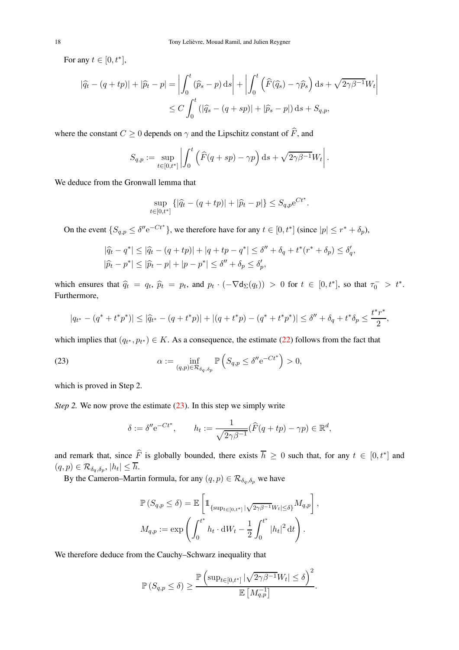For any  $t \in [0, t^*]$ ,

$$
|\widehat{q}_t - (q+tp)| + |\widehat{p}_t - p| = \left| \int_0^t (\widehat{p}_s - p) ds \right| + \left| \int_0^t (\widehat{F}(\widehat{q}_s) - \gamma \widehat{p}_s) ds + \sqrt{2\gamma\beta^{-1}} W_t \right|
$$
  

$$
\leq C \int_0^t (|\widehat{q}_s - (q+sp)| + |\widehat{p}_s - p|) ds + S_{q,p},
$$

where the constant  $C \ge 0$  depends on  $\gamma$  and the Lipschitz constant of  $\widehat{F}$ , and

$$
S_{q,p} := \sup_{t \in [0,t^*]} \left| \int_0^t \left( \widehat{F}(q+sp) - \gamma p \right) ds + \sqrt{2\gamma \beta^{-1}} W_t \right|.
$$

We deduce from the Gronwall lemma that

$$
\sup_{t \in [0,t^*]} \{ |\widehat{q}_t - (q + tp)| + |\widehat{p}_t - p| \} \le S_{q,p} e^{Ct^*}.
$$

On the event  $\{S_{q,p} \leq \delta'' e^{-Ct^*}\}\$ , we therefore have for any  $t \in [0, t^*]$  (since  $|p| \leq r^* + \delta_p$ ),

$$
|\hat{q}_t - q^*| \le |\hat{q}_t - (q + tp)| + |q + tp - q^*| \le \delta'' + \delta_q + t^*(r^* + \delta_p) \le \delta'_q,
$$
  

$$
|\hat{p}_t - p^*| \le |\hat{p}_t - p| + |p - p^*| \le \delta'' + \delta_p \le \delta'_p,
$$

which ensures that  $\hat{q}_t = q_t$ ,  $\hat{p}_t = p_t$ , and  $p_t \cdot (-\nabla d_{\Sigma}(q_t)) > 0$  for  $t \in [0, t^*]$ , so that  $\tau_0^- > t^*$ . Furthermore,

$$
|q_{t^*} - (q^* + t^*p^*)| \le |\widehat{q}_{t^*} - (q + t^*p)| + |(q + t^*p) - (q^* + t^*p^*)| \le \delta'' + \delta_q + t^*\delta_p \le \frac{t^*r^*}{2},
$$

which implies that  $(q_{t^*}, p_{t^*}) \in K$ . As a consequence, the estimate (22) follows from the fact that

(23) 
$$
\alpha := \inf_{(q,p)\in\mathcal{R}_{\delta_q,\delta_p}} \mathbb{P}\left(S_{q,p} \leq \delta'' e^{-Ct^*}\right) > 0,
$$

which is proved in Step 2.

*Step 2.* We now prove the estimate (23). In this step we simply write

$$
\delta := \delta'' e^{-Ct^*}, \qquad h_t := \frac{1}{\sqrt{2\gamma\beta^{-1}}} (\widehat{F}(q+tp) - \gamma p) \in \mathbb{R}^d,
$$

and remark that, since  $\widehat{F}$  is globally bounded, there exists  $\overline{h} \ge 0$  such that, for any  $t \in [0, t^*]$  and  $(q,p) \in \mathcal{R}_{\delta_q, \delta_p}, |h_t| \leq \overline{h}.$ 

By the Cameron–Martin formula, for any  $(q, p) \in \mathcal{R}_{\delta_q, \delta_p}$  we have

$$
\mathbb{P}\left(S_{q,p} \leq \delta\right) = \mathbb{E}\left[\mathbb{1}_{\{\sup_{t\in[0,t^*]}\left|\sqrt{2\gamma\beta^{-1}}W_t\right| \leq \delta\}}M_{q,p}\right],
$$
  

$$
M_{q,p} := \exp\left(\int_0^{t^*} h_t \cdot \mathrm{d}W_t - \frac{1}{2}\int_0^{t^*} |h_t|^2 \mathrm{d}t\right).
$$

We therefore deduce from the Cauchy–Schwarz inequality that

$$
\mathbb{P}\left(S_{q,p}\leq \delta\right) \geq \frac{\mathbb{P}\left(\sup_{t\in[0,t^*]}|\sqrt{2\gamma\beta^{-1}}W_t|\leq \delta\right)^2}{\mathbb{E}\left[M_{q,p}^{-1}\right]}.
$$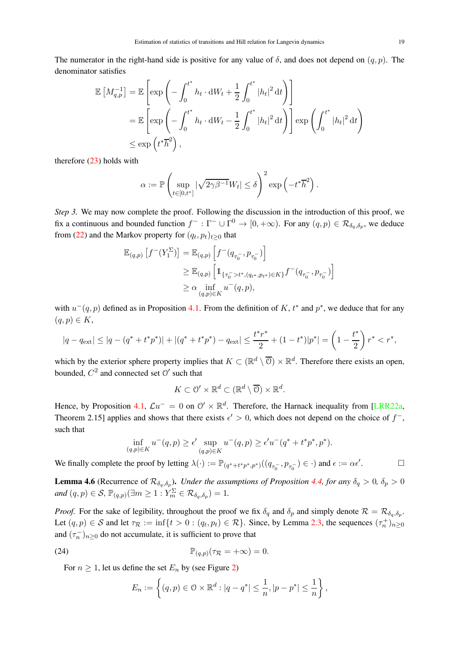The numerator in the right-hand side is positive for any value of  $\delta$ , and does not depend on  $(q, p)$ . The denominator satisfies

$$
\mathbb{E}\left[M_{q,p}^{-1}\right] = \mathbb{E}\left[\exp\left(-\int_0^{t^*} h_t \cdot \mathrm{d}W_t + \frac{1}{2} \int_0^{t^*} |h_t|^2 \, \mathrm{d}t\right)\right]
$$
  
\n
$$
= \mathbb{E}\left[\exp\left(-\int_0^{t^*} h_t \cdot \mathrm{d}W_t - \frac{1}{2} \int_0^{t^*} |h_t|^2 \, \mathrm{d}t\right)\right] \exp\left(\int_0^{t^*} |h_t|^2 \, \mathrm{d}t\right)
$$
  
\n
$$
\leq \exp\left(t^*\overline{h}^2\right),
$$

therefore (23) holds with

$$
\alpha := \mathbb{P}\left(\sup_{t \in [0,t^*]} |\sqrt{2\gamma\beta^{-1}}W_t| \le \delta\right)^2 \exp\left(-t^*\overline{h}^2\right).
$$

*Step 3.* We may now complete the proof. Following the discussion in the introduction of this proof, we fix a continuous and bounded function  $f^- : \Gamma^- \cup \Gamma^0 \to [0, +\infty)$ . For any  $(q, p) \in \mathcal{R}_{\delta_q, \delta_p}$ , we deduce from (22) and the Markov property for  $(q_t, p_t)_{t \geq 0}$  that

$$
\mathbb{E}_{(q,p)} [f^{-}(Y_1^{\Sigma})] = \mathbb{E}_{(q,p)} [f^{-}(q_{\tau_0^{-}}, p_{\tau_0^{-}})]
$$
  
\n
$$
\geq \mathbb{E}_{(q,p)} [1_{\{\tau_0^{-}>t^*, (q_{t^*}, p_{t^*}) \in K\}} f^{-}(q_{\tau_0^{-}}, p_{\tau_0^{-}})]
$$
  
\n
$$
\geq \alpha \inf_{(q,p) \in K} u^{-}(q,p),
$$

with  $u^-(q, p)$  defined as in Proposition 4.1. From the definition of K,  $t^*$  and  $p^*$ , we deduce that for any  $(q, p) \in K$ ,

$$
|q - q_{\text{ext}}| \le |q - (q^* + t^* p^*)| + |(q^* + t^* p^*) - q_{\text{ext}}| \le \frac{t^* r^*}{2} + (1 - t^*)|p^*| = \left(1 - \frac{t^*}{2}\right)r^* < r^*,
$$

which by the exterior sphere property implies that  $K \subset (\mathbb{R}^d \setminus \overline{O}) \times \mathbb{R}^d$ . Therefore there exists an open, bounded,  $C^2$  and connected set  $\mathcal{O}'$  such that

$$
K\subset \Theta'\times \mathbb{R}^d\subset (\mathbb{R}^d\setminus\overline{\Theta})\times \mathbb{R}^d.
$$

Hence, by Proposition 4.1,  $\mathcal{L}u^{-} = 0$  on  $\mathcal{O}' \times \mathbb{R}^{d}$ . Therefore, the Harnack inequality from [LRR22a, Theorem 2.15] applies and shows that there exists  $\epsilon' > 0$ , which does not depend on the choice of  $f^-,$ such that

$$
\inf_{(q,p)\in K} u^-(q,p) \ge \epsilon' \sup_{(q,p)\in K} u^-(q,p) \ge \epsilon' u^-(q^* + t^*p^*, p^*).
$$

We finally complete the proof by letting  $\lambda(\cdot) := \mathbb{P}_{(q^*+ t^* p^*, p^*)}((q_{\tau_0^-}, p_{\tau_0^-}) \in \cdot)$  and  $\epsilon := \alpha \epsilon'$  $\Box$ 

**Lemma 4.6** (Recurrence of  $\mathcal{R}_{\delta_q,\delta_p}$ ). *Under the assumptions of Proposition 4.4, for any*  $\delta_q > 0$ ,  $\delta_p > 0$  $and (q, p) \in S$ ,  $\mathbb{P}_{(q,p)}(\exists m \geq 1 : Y_m^{\Sigma} \in \mathcal{R}_{\delta_q, \delta_p}) = 1$ .

*Proof.* For the sake of legibility, throughout the proof we fix  $\delta_q$  and  $\delta_p$  and simply denote  $\mathcal{R} = \mathcal{R}_{\delta_q, \delta_p}$ . Let  $(q, p) \in S$  and let  $\tau_{\mathcal{R}} := \inf\{t > 0 : (q_t, p_t) \in \mathcal{R}\}\$ . Since, by Lemma 2.3, the sequences  $(\tau_n^+)_{n \ge 0}$ and  $(\tau_n^{-})_{n\geq 0}$  do not accumulate, it is sufficient to prove that

(24) 
$$
\mathbb{P}_{(q,p)}(\tau_{\mathcal{R}} = +\infty) = 0.
$$

For  $n \geq 1$ , let us define the set  $E_n$  by (see Figure 2)

$$
E_n := \left\{ (q, p) \in \mathcal{O} \times \mathbb{R}^d : |q - q^*| \leq \frac{1}{n}, |p - p^*| \leq \frac{1}{n} \right\},\
$$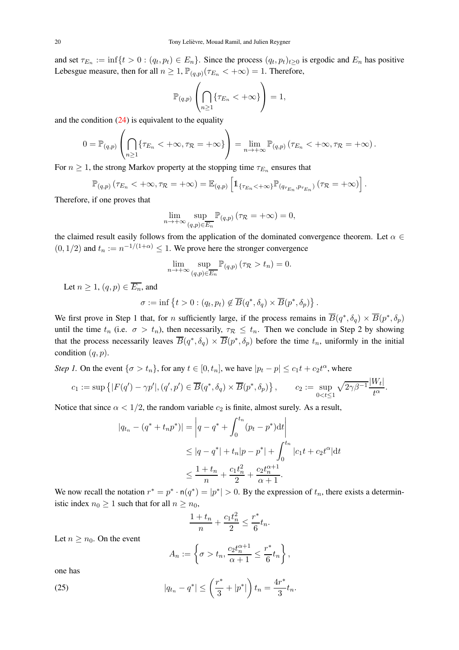and set  $\tau_{E_n} := \inf\{t > 0 : (q_t, p_t) \in E_n\}$ . Since the process  $(q_t, p_t)_{t \geq 0}$  is ergodic and  $E_n$  has positive Lebesgue measure, then for all  $n \geq 1$ ,  $\mathbb{P}_{(q,p)}(\tau_{E_n} < +\infty) = 1$ . Therefore,

$$
\mathbb{P}_{(q,p)}\left(\bigcap_{n\geq 1} \{\tau_{E_n} < +\infty\}\right) = 1,
$$

and the condition  $(24)$  is equivalent to the equality

$$
0 = \mathbb{P}_{(q,p)}\left(\bigcap_{n\geq 1} \{\tau_{E_n} < +\infty, \tau_{\mathcal{R}} = +\infty\}\right) = \lim_{n\to+\infty} \mathbb{P}_{(q,p)}\left(\tau_{E_n} < +\infty, \tau_{\mathcal{R}} = +\infty\right).
$$

For  $n \geq 1$ , the strong Markov property at the stopping time  $\tau_{E_n}$  ensures that

$$
\mathbb{P}_{(q,p)}\left(\tau_{E_n} < +\infty, \tau_{\mathcal{R}} = +\infty\right) = \mathbb{E}_{(q,p)}\left[\mathbb{1}_{\{\tau_{E_n} < +\infty\}}\mathbb{P}_{(q_{\tau_{E_n}}, p_{\tau_{E_n}})}\left(\tau_{\mathcal{R}} = +\infty\right)\right].
$$

Therefore, if one proves that

$$
\lim_{n \to +\infty} \sup_{(q,p) \in \overline{E_n}} \mathbb{P}_{(q,p)} (\tau_{\mathcal{R}} = +\infty) = 0,
$$

the claimed result easily follows from the application of the dominated convergence theorem. Let  $\alpha \in$  $(0, 1/2)$  and  $t_n := n^{-1/(1+\alpha)} \leq 1$ . We prove here the stronger convergence

$$
\lim_{n \to +\infty} \sup_{(q,p)\in \overline{E_n}} \mathbb{P}_{(q,p)} (\tau_{\mathcal{R}} > t_n) = 0.
$$

Let  $n \geq 1$ ,  $(q, p) \in \overline{E_n}$ , and

$$
\sigma := \inf \left\{ t > 0 : (q_t, p_t) \notin \overline{B}(q^*, \delta_q) \times \overline{B}(p^*, \delta_p) \right\}.
$$

We first prove in Step 1 that, for *n* sufficiently large, if the process remains in  $\overline{B}(q^*, \delta_q) \times \overline{B}(p^*, \delta_p)$ until the time  $t_n$  (i.e.  $\sigma > t_n$ ), then necessarily,  $\tau_R \leq t_n$ . Then we conclude in Step 2 by showing that the process necessarily leaves  $\overline{B}(q^*, \delta_q) \times \overline{B}(p^*, \delta_p)$  before the time  $t_n$ , uniformly in the initial condition  $(q, p)$ .

*Step 1*. On the event  $\{\sigma > t_n\}$ , for any  $t \in [0, t_n]$ , we have  $|p_t - p| \leq c_1 t + c_2 t^{\alpha}$ , where

$$
c_1 := \sup \left\{ |F(q') - \gamma p'|, (q', p') \in \overline{B}(q^*, \delta_q) \times \overline{B}(p^*, \delta_p) \right\}, \qquad c_2 := \sup_{0 < t \leq 1} \sqrt{2\gamma \beta^{-1}} \frac{|W_t|}{t^{\alpha}}.
$$

 $|T(T)|$ 

Notice that since  $\alpha < 1/2$ , the random variable  $c_2$  is finite, almost surely. As a result,

$$
|q_{t_n} - (q^* + t_n p^*)| = \left| q - q^* + \int_0^{t_n} (p_t - p^*) dt \right|
$$
  
\n
$$
\leq |q - q^*| + t_n |p - p^*| + \int_0^{t_n} |c_1 t + c_2 t^{\alpha}| dt
$$
  
\n
$$
\leq \frac{1 + t_n}{n} + \frac{c_1 t_n^2}{2} + \frac{c_2 t_n^{\alpha+1}}{\alpha + 1}.
$$

We now recall the notation  $r^* = p^* \cdot n(q^*) = |p^*| > 0$ . By the expression of  $t_n$ , there exists a deterministic index  $n_0 \geq 1$  such that for all  $n \geq n_0$ ,

$$
\frac{1+t_n}{n} + \frac{c_1t_n^2}{2} \le \frac{r^*}{6}t_n.
$$

Let  $n > n_0$ . On the event

$$
A_n := \left\{ \sigma > t_n, \frac{c_2 t_n^{\alpha+1}}{\alpha+1} \le \frac{r^*}{6} t_n \right\},\,
$$

one has

(25) 
$$
|q_{t_n} - q^*| \le \left(\frac{r^*}{3} + |p^*|\right) t_n = \frac{4r^*}{3} t_n.
$$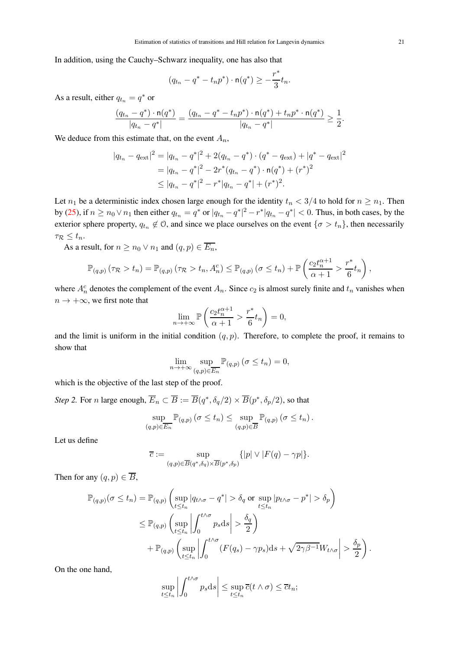In addition, using the Cauchy–Schwarz inequality, one has also that

$$
(q_{t_n} - q^* - t_n p^*) \cdot \mathsf{n}(q^*) \ge -\frac{r^*}{3} t_n.
$$

As a result, either  $q_{t_n} = q^*$  or

$$
\frac{(q_{t_n}-q^*)\cdot \mathsf{n}(q^*)}{|q_{t_n}-q^*|}=\frac{(q_{t_n}-q^*-t_np^*)\cdot \mathsf{n}(q^*)+t_np^*\cdot \mathsf{n}(q^*)}{|q_{t_n}-q^*|}\geq \frac{1}{2}.
$$

We deduce from this estimate that, on the event  $A_n$ ,

$$
|q_{t_n} - q_{\text{ext}}|^2 = |q_{t_n} - q^*|^2 + 2(q_{t_n} - q^*) \cdot (q^* - q_{\text{ext}}) + |q^* - q_{\text{ext}}|^2
$$
  
=  $|q_{t_n} - q^*|^2 - 2r^*(q_{t_n} - q^*) \cdot n(q^*) + (r^*)^2$   

$$
\leq |q_{t_n} - q^*|^2 - r^*|q_{t_n} - q^*| + (r^*)^2.
$$

Let  $n_1$  be a deterministic index chosen large enough for the identity  $t_n < 3/4$  to hold for  $n \ge n_1$ . Then by (25), if  $n \ge n_0 \vee n_1$  then either  $q_{t_n} = q^*$  or  $|q_{t_n} - q^*|^2 - r^* |q_{t_n} - q^*| < 0$ . Thus, in both cases, by the exterior sphere property,  $q_{t_n} \notin \mathcal{O}$ , and since we place ourselves on the event  $\{\sigma > t_n\}$ , then necessarily  $\tau_{\mathcal{R}} \leq t_n$ .

As a result, for  $n \ge n_0 \vee n_1$  and  $(q, p) \in \overline{E_n}$ ,

$$
\mathbb{P}_{(q,p)}(\tau_{\mathcal{R}} > t_n) = \mathbb{P}_{(q,p)}(\tau_{\mathcal{R}} > t_n, A_n^c) \leq \mathbb{P}_{(q,p)}(\sigma \leq t_n) + \mathbb{P}\left(\frac{c_2 t_n^{\alpha+1}}{\alpha+1} > \frac{r^*}{6} t_n\right),
$$

where  $A_n^c$  denotes the complement of the event  $A_n$ . Since  $c_2$  is almost surely finite and  $t_n$  vanishes when  $n \to +\infty$ , we first note that

$$
\lim_{n \to +\infty} \mathbb{P}\left(\frac{c_2 t_n^{\alpha+1}}{\alpha+1} > \frac{r^*}{6} t_n\right) = 0,
$$

and the limit is uniform in the initial condition  $(q, p)$ . Therefore, to complete the proof, it remains to show that

$$
\lim_{n \to +\infty} \sup_{(q,p)\in \overline{E_n}} \mathbb{P}_{(q,p)}\left(\sigma \le t_n\right) = 0,
$$

which is the objective of the last step of the proof.

*Step 2.* For *n* large enough,  $\overline{E}_n \subset \overline{B} := \overline{B}(q^*, \delta_q/2) \times \overline{B}(p^*, \delta_p/2)$ , so that

$$
\sup_{(q,p)\in\overline{E_n}}\mathbb{P}_{(q,p)}\left(\sigma\leq t_n\right)\leq \sup_{(q,p)\in\overline{B}}\mathbb{P}_{(q,p)}\left(\sigma\leq t_n\right).
$$

Let us define

$$
\overline{c} := \sup_{(q,p)\in \overline{B}(q^*,\delta_q)\times \overline{B}(p^*,\delta_p)} \{ |p| \vee |F(q) - \gamma p| \}.
$$

Then for any  $(q, p) \in \overline{B}$ ,

$$
\mathbb{P}_{(q,p)}(\sigma \leq t_n) = \mathbb{P}_{(q,p)}\left(\sup_{t \leq t_n} |q_{t \wedge \sigma} - q^*| > \delta_q \text{ or } \sup_{t \leq t_n} |p_{t \wedge \sigma} - p^*| > \delta_p\right)
$$
  

$$
\leq \mathbb{P}_{(q,p)}\left(\sup_{t \leq t_n} \left|\int_0^{t \wedge \sigma} p_s \, ds\right| > \frac{\delta_q}{2}\right)
$$
  

$$
+ \mathbb{P}_{(q,p)}\left(\sup_{t \leq t_n} \left|\int_0^{t \wedge \sigma} (F(q_s) - \gamma p_s) \, ds + \sqrt{2\gamma\beta^{-1}} W_{t \wedge \sigma}\right| > \frac{\delta_p}{2}\right).
$$

On the one hand,

$$
\sup_{t\leq t_n}\left|\int_0^{t\wedge\sigma}p_s\mathrm{d}s\right|\leq \sup_{t\leq t_n}\overline{c}(t\wedge\sigma)\leq \overline{c}t_n;
$$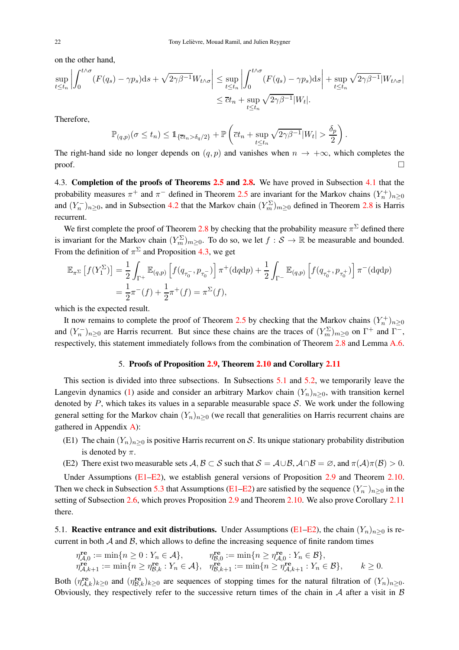on the other hand,

$$
\sup_{t \le t_n} \left| \int_0^{t \wedge \sigma} (F(q_s) - \gamma p_s) \mathrm{d}s + \sqrt{2\gamma \beta^{-1}} W_{t \wedge \sigma} \right| \le \sup_{t \le t_n} \left| \int_0^{t \wedge \sigma} (F(q_s) - \gamma p_s) \mathrm{d}s \right| + \sup_{t \le t_n} \sqrt{2\gamma \beta^{-1}} |W_{t \wedge \sigma}|
$$
  

$$
\le \overline{c} t_n + \sup_{t \le t_n} \sqrt{2\gamma \beta^{-1}} |W_t|.
$$

Therefore,

$$
\mathbb{P}_{(q,p)}(\sigma \leq t_n) \leq \mathbb{1}_{\{\overline{c}t_n > \delta_q/2\}} + \mathbb{P}\left(\overline{c}t_n + \sup_{t \leq t_n} \sqrt{2\gamma\beta^{-1}}|W_t| > \frac{\delta_p}{2}\right).
$$

The right-hand side no longer depends on  $(q, p)$  and vanishes when  $n \to +\infty$ , which completes the proof.  $\Box$ 

4.3. Completion of the proofs of Theorems 2.5 and 2.8. We have proved in Subsection 4.1 that the probability measures  $\pi^+$  and  $\pi^-$  defined in Theorem 2.5 are invariant for the Markov chains  $(Y_n^+)_{n\geq 0}$ and  $(Y_n^-)_{n\geq 0}$ , and in Subsection 4.2 that the Markov chain  $(Y_m^{\Sigma})_{m\geq 0}$  defined in Theorem 2.8 is Harris recurrent.

We first complete the proof of Theorem 2.8 by checking that the probability measure  $\pi^{\Sigma}$  defined there is invariant for the Markov chain  $(Y_m^{\Sigma})_{m\geq 0}$ . To do so, we let  $f : \mathcal{S} \to \mathbb{R}$  be measurable and bounded. From the definition of  $\pi^{\Sigma}$  and Proposition 4.3, we get

$$
\mathbb{E}_{\pi^{\Sigma}}[f(Y_1^{\Sigma})] = \frac{1}{2} \int_{\Gamma^+} \mathbb{E}_{(q,p)} \left[ f(q_{\tau_0^-}, p_{\tau_0^-}) \right] \pi^+ (\text{d}q \text{d}p) + \frac{1}{2} \int_{\Gamma^-} \mathbb{E}_{(q,p)} \left[ f(q_{\tau_0^+}, p_{\tau_0^+}) \right] \pi^- (\text{d}q \text{d}p)
$$
  
=  $\frac{1}{2} \pi^- (f) + \frac{1}{2} \pi^+ (f) = \pi^{\Sigma}(f),$ 

which is the expected result.

It now remains to complete the proof of Theorem 2.5 by checking that the Markov chains  $(Y_n^+)_{n\geq 0}$ and  $(Y_n^-)_{n\geq 0}$  are Harris recurrent. But since these chains are the traces of  $(Y_m^{\Sigma})_{m\geq 0}$  on  $\Gamma^+$  and  $\Gamma^-$ , respectively, this statement immediately follows from the combination of Theorem 2.8 and Lemma A.6.

# 5. Proofs of Proposition 2.9, Theorem 2.10 and Corollary 2.11

This section is divided into three subsections. In Subsections 5.1 and 5.2, we temporarily leave the Langevin dynamics (1) aside and consider an arbitrary Markov chain  $(Y_n)_{n>0}$ , with transition kernel denoted by  $P$ , which takes its values in a separable measurable space  $S$ . We work under the following general setting for the Markov chain  $(Y_n)_{n\geq 0}$  (we recall that generalities on Harris recurrent chains are gathered in Appendix A):

- (E1) The chain  $(Y_n)_{n>0}$  is positive Harris recurrent on S. Its unique stationary probability distribution is denoted by  $\pi$ .
- (E2) There exist two measurable sets  $A, B \subset S$  such that  $S = A \cup B, A \cap B = \emptyset$ , and  $\pi(A)\pi(B) > 0$ .

Under Assumptions (E1–E2), we establish general versions of Proposition 2.9 and Theorem 2.10. Then we check in Subsection 5.3 that Assumptions (E1–E2) are satisfied by the sequence  $(Y_n^-)_{n\geq 0}$  in the setting of Subsection 2.6, which proves Proposition 2.9 and Theorem 2.10. We also prove Corollary 2.11 there.

5.1. Reactive entrance and exit distributions. Under Assumptions (E1–E2), the chain  $(Y_n)_{n>0}$  is recurrent in both  $A$  and  $B$ , which allows to define the increasing sequence of finite random times

$$
\begin{array}{ll}\n\eta_{\mathcal{A},0}^{\mathbf{re}} := \min\{n \ge 0 : Y_n \in \mathcal{A}\}, & \eta_{\mathcal{B},0}^{\mathbf{re}} := \min\{n \ge \eta_{\mathcal{A},0}^{\mathbf{re}} : Y_n \in \mathcal{B}\}, \\
\eta_{\mathcal{A},k+1}^{\mathbf{re}} := \min\{n \ge \eta_{\mathcal{B},k}^{\mathbf{re}} : Y_n \in \mathcal{A}\}, & \eta_{\mathcal{B},k+1}^{\mathbf{re}} := \min\{n \ge \eta_{\mathcal{A},k+1}^{\mathbf{re}} : Y_n \in \mathcal{B}\}, & k \ge 0.\n\end{array}
$$

Both  $(\eta_{\mathcal{A},k}^{\text{re}})_{k\geq0}$  and  $(\eta_{\mathcal{B},k}^{\text{re}})_{k\geq0}$  are sequences of stopping times for the natural filtration of  $(Y_n)_{n\geq0}$ . Obviously, they respectively refer to the successive return times of the chain in  $A$  after a visit in  $B$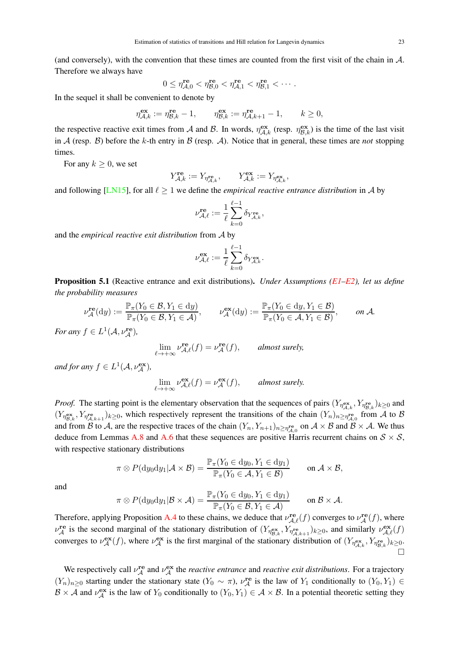(and conversely), with the convention that these times are counted from the first visit of the chain in A. Therefore we always have

$$
0 \leq \eta_{\mathcal{A},0}^{\mathbf{re}} < \eta_{\mathcal{B},0}^{\mathbf{re}} < \eta_{\mathcal{A},1}^{\mathbf{re}} < \eta_{\mathcal{B},1}^{\mathbf{re}} < \cdots.
$$

In the sequel it shall be convenient to denote by

$$
\eta_{\mathcal{A},k}^{\mathbf{ex}} := \eta_{\mathcal{B},k}^{\mathbf{re}} - 1, \qquad \eta_{\mathcal{B},k}^{\mathbf{ex}} := \eta_{\mathcal{A},k+1}^{\mathbf{re}} - 1, \qquad k \ge 0,
$$

the respective reactive exit times from A and B. In words,  $\eta_{A,k}^{\text{ex}}$  (resp.  $\eta_{B,k}^{\text{ex}}$ ) is the time of the last visit in A (resp.  $\beta$ ) before the k-th entry in B (resp.  $\mathcal{A}$ ). Notice that in general, these times are *not* stopping times.

For any  $k \geq 0$ , we set

$$
Y_{\mathcal{A},k}^{\mathbf{re}}:=Y_{\eta_{\mathcal{A},k}^{\mathbf{re}}},\qquad Y_{\mathcal{A},k}^{\mathbf{ex}}:=Y_{\eta_{\mathcal{A},k}^{\mathbf{ex}}},
$$

and following [LN15], for all  $\ell \geq 1$  we define the *empirical reactive entrance distribution* in A by

$$
\nu^{\mathrm{re}}_{\mathcal{A}, \ell} := \frac{1}{\ell} \sum_{k=0}^{\ell-1} \delta_{Y_{\mathcal{A},k}^{\mathrm{re}}},
$$

and the *empirical reactive exit distribution* from A by

$$
\nu^{\mathbf{ex}}_{\mathcal{A}, \ell} := \frac{1}{\ell} \sum_{k=0}^{\ell-1} \delta_{Y_{\mathcal{A},k}^{\mathbf{ex}}}.
$$

Proposition 5.1 (Reactive entrance and exit distributions). *Under Assumptions (E1–E2), let us define the probability measures*

$$
\nu_{\mathcal{A}}^{\mathbf{re}}(\mathrm{d}y) := \frac{\mathbb{P}_{\pi}(Y_0 \in \mathcal{B}, Y_1 \in \mathrm{d}y)}{\mathbb{P}_{\pi}(Y_0 \in \mathcal{B}, Y_1 \in \mathcal{A})}, \qquad \nu_{\mathcal{A}}^{\mathbf{ex}}(\mathrm{d}y) := \frac{\mathbb{P}_{\pi}(Y_0 \in \mathrm{d}y, Y_1 \in \mathcal{B})}{\mathbb{P}_{\pi}(Y_0 \in \mathcal{A}, Y_1 \in \mathcal{B})}, \qquad on \ \mathcal{A}.
$$

*For any*  $f \in L^1(\mathcal{A}, \nu_{\mathcal{A}}^{\mathbf{re}})$ *,* 

$$
\lim_{\ell \to +\infty} \nu_{\mathcal{A},\ell}^{\mathbf{re}}(f) = \nu_{\mathcal{A}}^{\mathbf{re}}(f), \qquad \text{almost surely,}
$$

*and for any*  $f \in L^1(\mathcal{A}, \nu_{\mathcal{A}}^{\mathbf{ex}})$ *,* 

$$
\lim_{\ell \to +\infty} \nu_{\mathcal{A},\ell}^{\mathbf{ex}}(f) = \nu_{\mathcal{A}}^{\mathbf{ex}}(f), \qquad \text{almost surely.}
$$

*Proof.* The starting point is the elementary observation that the sequences of pairs  $(Y_{\eta_{A,k}}^{\text{ex}}, Y_{\eta_{B,k}}^{\text{re}})_{k\geq 0}$  and  $(Y_{\eta_{\mathcal{B},k}}^{\text{ex}}, Y_{\eta_{\mathcal{A},k+1}}^{\text{re}})_{k\geq 0}$ , which respectively represent the transitions of the chain  $(Y_n)_{n\geq \eta_{\mathcal{A},0}^{\text{re}}}$  from A to B and from B to A, are the respective traces of the chain  $(Y_n, Y_{n+1})_{n \ge \eta_{\mathcal{A},0}^{\mathbf{re}}}$  on  $\mathcal{A} \times \mathcal{B}$  and  $\mathcal{B} \times \mathcal{A}$ . We thus deduce from Lemmas A.8 and A.6 that these sequences are positive Harris recurrent chains on  $S \times S$ , with respective stationary distributions

$$
\pi \otimes P(\mathrm{d}y_0 \mathrm{d}y_1 | \mathcal{A} \times \mathcal{B}) = \frac{\mathbb{P}_{\pi}(Y_0 \in \mathrm{d}y_0, Y_1 \in \mathrm{d}y_1)}{\mathbb{P}_{\pi}(Y_0 \in \mathcal{A}, Y_1 \in \mathcal{B})} \quad \text{on } \mathcal{A} \times \mathcal{B},
$$

and

$$
\pi \otimes P(\mathrm{d}y_0 \mathrm{d}y_1 | \mathcal{B} \times \mathcal{A}) = \frac{\mathbb{P}_{\pi}(Y_0 \in \mathrm{d}y_0, Y_1 \in \mathrm{d}y_1)}{\mathbb{P}_{\pi}(Y_0 \in \mathcal{B}, Y_1 \in \mathcal{A})} \quad \text{on } \mathcal{B} \times \mathcal{A}.
$$

Therefore, applying Proposition A.4 to these chains, we deduce that  $\nu_{\mathcal{A},\ell}^{\mathbf{re}}(f)$  converges to  $\nu_{\mathcal{A}}^{\mathbf{re}}(f)$ , where  $\nu_A^{\text{re}}$  is the second marginal of the stationary distribution of  $(Y_{\eta_{\mathcal{B},k}}^{\text{ex}}, Y_{\eta_{\mathcal{A},k+1}}^{\text{re}})_{k\geq 0}$ , and similarly  $\nu_{\mathcal{A},\ell}^{\text{ex}}(f)$ converges to  $\nu_A^{\mathbf{ex}}(f)$ , where  $\nu_A^{\mathbf{ex}}$  is the first marginal of the stationary distribution of  $(Y_{\eta_{\mathcal{A},k}}^{\text{ex}}, Y_{\eta_{\mathcal{B},k}^{\mathbf{re}}})_{k\geq 0}$ .  $\Box$ 

We respectively call  $v_A^{\text{re}}$  and  $v_A^{\text{ex}}$  the *reactive entrance* and *reactive exit distributions*. For a trajectory  $(Y_n)_{n\geq 0}$  starting under the stationary state  $(Y_0 \sim \pi)$ ,  $\nu_A^{\text{re}}$  is the law of  $Y_1$  conditionally to  $(Y_0, Y_1) \in$  $\mathcal{B} \times \overline{\mathcal{A}}$  and  $\nu_{\mathcal{A}}^{\mathbf{ex}}$  is the law of  $Y_0$  conditionally to  $(Y_0, Y_1) \in \mathcal{A} \times \mathcal{B}$ . In a potential theoretic setting they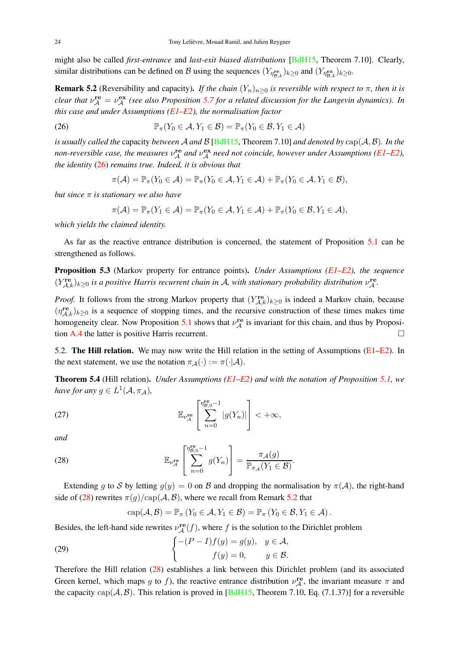might also be called *first-entrance* and *last-exit biased distributions* [BdH15, Theorem 7.10]. Clearly, similar distributions can be defined on B using the sequences  $(Y_{\eta_{\mathcal{B},k}}^{\text{re}})_{k\geq 0}$  and  $(Y_{\eta_{\mathcal{B},k}}^{\text{ex}})_{k\geq 0}$ .

**Remark 5.2** (Reversibility and capacity). *If the chain*  $(Y_n)_{n\geq 0}$  *is reversible with respect to*  $\pi$ *, then it is clear that*  $\nu_A^{\text{re}} = \nu_A^{\text{ex}}$  (see also Proposition 5.7 for a related discussion for the Langevin dynamics). In *this case and under Assumptions (E1–E2), the normalisation factor*

(26) 
$$
\mathbb{P}_{\pi}(Y_0 \in \mathcal{A}, Y_1 \in \mathcal{B}) = \mathbb{P}_{\pi}(Y_0 \in \mathcal{B}, Y_1 \in \mathcal{A})
$$

*is usually called the* capacity *between* A *and* B [BdH15, Theorem 7.10] *and denoted by* cap(A,B)*. In the* non-reversible case, the measures  $\nu_A^{\text{re}}$  and  $\nu_A^{\text{ex}}$  need not coincide, however under Assumptions (E1–E2), *the identity* (26) *remains true. Indeed, it is obvious that*

$$
\pi(\mathcal{A}) = \mathbb{P}_{\pi}(Y_0 \in \mathcal{A}) = \mathbb{P}_{\pi}(Y_0 \in \mathcal{A}, Y_1 \in \mathcal{A}) + \mathbb{P}_{\pi}(Y_0 \in \mathcal{A}, Y_1 \in \mathcal{B}),
$$

*but since* π *is stationary we also have*

$$
\pi(\mathcal{A})=\mathbb{P}_{\pi}(Y_1\in\mathcal{A})=\mathbb{P}_{\pi}(Y_0\in\mathcal{A},Y_1\in\mathcal{A})+\mathbb{P}_{\pi}(Y_0\in\mathcal{B},Y_1\in\mathcal{A}),
$$

*which yields the claimed identity.*

As far as the reactive entrance distribution is concerned, the statement of Proposition 5.1 can be strengthened as follows.

Proposition 5.3 (Markov property for entrance points). *Under Assumptions (E1–E2), the sequence*  $(Y_{\mathcal{A},k}^{\text{re}})_{k\geq 0}$  *is a positive Harris recurrent chain in A, with stationary probability distribution*  $\nu_{\mathcal{A}}^{\text{re}}$ .

*Proof.* It follows from the strong Markov property that  $(Y_{\mathcal{A},k}^{\text{re}})_{k\geq 0}$  is indeed a Markov chain, because  $(\eta_{A,k}^{\text{re}})_{k\geq0}$  is a sequence of stopping times, and the recursive construction of these times makes time homogeneity clear. Now Proposition 5.1 shows that  $\nu_A^{\text{re}}$  is invariant for this chain, and thus by Proposition A.4 the latter is positive Harris recurrent.

5.2. The Hill relation. We may now write the Hill relation in the setting of Assumptions ( $E1-E2$ ). In the next statement, we use the notation  $\pi_{\mathcal{A}}(\cdot) := \pi(\cdot | \mathcal{A})$ .

Theorem 5.4 (Hill relation). *Under Assumptions (E1–E2) and with the notation of Proposition 5.1, we have for any*  $g \in L^1(\mathcal{A}, \pi_{\mathcal{A}})$ ,

(27) 
$$
\mathbb{E}_{\nu_{\mathcal{A}}^{\text{re}}} \left[ \sum_{n=0}^{\eta_{\mathcal{B},0}^{\text{re}}-1} |g(Y_n)| \right] < +\infty,
$$

*and*

(28) 
$$
\mathbb{E}_{\nu_{\mathcal{A}}^{\text{re}}}\left[\sum_{n=0}^{\eta_{\mathcal{B},0}^{\text{re}}-1}g(Y_n)\right]=\frac{\pi_{\mathcal{A}}(g)}{\mathbb{P}_{\pi_{\mathcal{A}}}(Y_1\in\mathcal{B})}.
$$

Extending g to S by letting  $g(y) = 0$  on B and dropping the normalisation by  $\pi(\mathcal{A})$ , the right-hand side of (28) rewrites  $\pi(q)/\text{cap}(\mathcal{A}, \mathcal{B})$ , where we recall from Remark 5.2 that

$$
cap(\mathcal{A}, \mathcal{B}) = \mathbb{P}_{\pi}(Y_0 \in \mathcal{A}, Y_1 \in \mathcal{B}) = \mathbb{P}_{\pi}(Y_0 \in \mathcal{B}, Y_1 \in \mathcal{A}).
$$

Besides, the left-hand side rewrites  $\nu_A^{\text{re}}(f)$ , where f is the solution to the Dirichlet problem

(29) 
$$
\begin{cases}\n-(P-I)f(y) = g(y), & y \in \mathcal{A}, \\
f(y) = 0, & y \in \mathcal{B}.\n\end{cases}
$$

Therefore the Hill relation (28) establishes a link between this Dirichlet problem (and its associated Green kernel, which maps g to f), the reactive entrance distribution  $\nu_A^{\text{re}}$ , the invariant measure  $\pi$  and the capacity  $cap(A, B)$ . This relation is proved in [BdH15, Theorem 7.10, Eq. (7.1.37)] for a reversible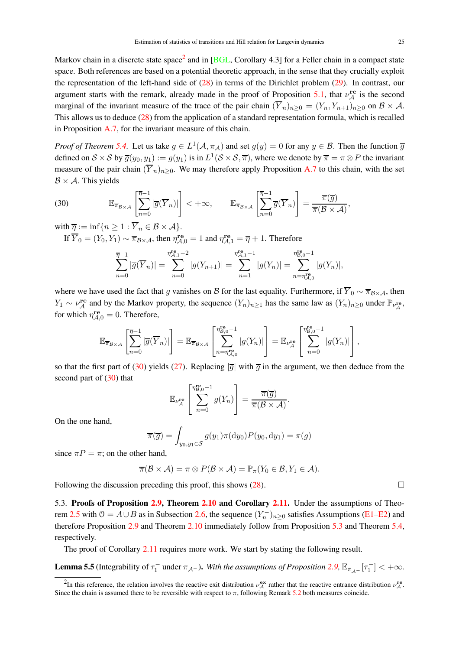Markov chain in a discrete state space<sup>2</sup> and in [BGL, Corollary 4.3] for a Feller chain in a compact state space. Both references are based on a potential theoretic approach, in the sense that they crucially exploit the representation of the left-hand side of (28) in terms of the Dirichlet problem (29). In contrast, our argument starts with the remark, already made in the proof of Proposition 5.1, that  $\nu_A^{\text{re}}$  is the second marginal of the invariant measure of the trace of the pair chain  $(\overline{Y}_n)_{n>0} = (Y_n, Y_{n+1})_{n>0}$  on  $\mathcal{B} \times \mathcal{A}$ . This allows us to deduce (28) from the application of a standard representation formula, which is recalled in Proposition A.7, for the invariant measure of this chain.

*Proof of Theorem* 5.4. Let us take  $g \in L^1(\mathcal{A}, \pi_\mathcal{A})$  and set  $g(y) = 0$  for any  $y \in \mathcal{B}$ . Then the function  $\overline{g}$ defined on  $S \times S$  by  $\overline{g}(y_0, y_1) := g(y_1)$  is in  $L^1(S \times S, \overline{\pi})$ , where we denote by  $\overline{\pi} = \pi \otimes P$  the invariant measure of the pair chain  $(\overline{Y}_n)_{n>0}$ . We may therefore apply Proposition A.7 to this chain, with the set  $B \times A$ . This yields

(30) 
$$
\mathbb{E}_{\overline{\pi}_{\mathcal{B}\times\mathcal{A}}}\left[\sum_{n=0}^{\overline{\eta}-1}|\overline{g}(\overline{Y}_n)|\right]<+\infty, \qquad \mathbb{E}_{\overline{\pi}_{\mathcal{B}\times\mathcal{A}}}\left[\sum_{n=0}^{\overline{\eta}-1}\overline{g}(\overline{Y}_n)\right]=\frac{\overline{\pi}(\overline{g})}{\overline{\pi}(\mathcal{B}\times\mathcal{A})},
$$

with  $\overline{\eta} := \inf\{n \geq 1 : \overline{Y}_n \in \mathcal{B} \times \mathcal{A}\}.$ 

If  $\overline{Y}_0 = (Y_0, Y_1) \sim \overline{\pi}_{\mathcal{B} \times \mathcal{A}}$ , then  $\eta_{\mathcal{A},0}^{\mathbf{re}} = 1$  and  $\eta_{\mathcal{A},1}^{\mathbf{re}} = \overline{\eta} + 1$ . Therefore

$$
\sum_{n=0}^{\overline{\eta}-1} |\overline{g}(\overline{Y}_n)| = \sum_{n=0}^{n_{\mathcal{A},1}^{\text{re}}-2} |g(Y_{n+1})| = \sum_{n=1}^{n_{\mathcal{A},1}^{\text{re}}-1} |g(Y_n)| = \sum_{n=\eta_{\mathcal{A},0}^{\text{re}}}^{\eta_{\mathcal{B},0}^{\text{re}}-1} |g(Y_n)|,
$$

where we have used the fact that g vanishes on B for the last equality. Furthermore, if  $\overline{Y}_0 \sim \overline{\pi}_{\mathcal{B} \times \mathcal{A}}$ , then  $Y_1 \sim \nu_A^{\text{re}}$  and by the Markov property, the sequence  $(Y_n)_{n \geq 1}$  has the same law as  $(Y_n)_{n \geq 0}$  under  $\mathbb{P}_{\nu_A^{\text{re}}}$ , for which  $\eta_{\mathcal{A},0}^{\text{re}} = 0$ . Therefore,

$$
\mathbb{E}_{\overline{\pi}_{\mathcal{B}\times\mathcal{A}}}\left[\sum_{n=0}^{\overline{\eta}-1}|\overline{g}(\overline{Y}_n)|\right] = \mathbb{E}_{\overline{\pi}_{\mathcal{B}\times\mathcal{A}}}\left[\sum_{n=\eta_{\mathcal{A},0}^{\mathbf{r}_{\mathcal{B},0}^{\mathbf{r}}-1}}^{\eta_{\mathcal{B},0}^{\mathbf{r}_{\mathcal{B},0}^{\mathbf{r}}-1}}|g(Y_n)|\right] = \mathbb{E}_{\nu_{\mathcal{A}}^{\mathbf{r}_{\mathcal{B}}^{\mathbf{r}}}}\left[\sum_{n=0}^{\eta_{\mathcal{B},0}^{\mathbf{r}_{\mathcal{B},0}^{\mathbf{r}}-1}}|g(Y_n)|\right],
$$

so that the first part of (30) yields (27). Replacing  $|\overline{g}|$  with  $\overline{g}$  in the argument, we then deduce from the second part of (30) that

$$
\mathbb{E}_{\nu_{\mathcal{A}}^{\text{re}}}\left[\sum_{n=0}^{\eta_{\mathcal{B},0}^{\text{re}}-1}g(Y_n)\right]=\frac{\overline{\pi}(\overline{g})}{\overline{\pi}(\mathcal{B}\times\mathcal{A})}.
$$

On the one hand,

$$
\overline{\pi}(\overline{g}) = \int_{y_0, y_1 \in \mathcal{S}} g(y_1) \pi(\mathrm{d}y_0) P(y_0, \mathrm{d}y_1) = \pi(g)
$$

since  $\pi P = \pi$ ; on the other hand,

$$
\overline{\pi}(\mathcal{B}\times\mathcal{A})=\pi\otimes P(\mathcal{B}\times\mathcal{A})=\mathbb{P}_{\pi}(Y_0\in\mathcal{B},Y_1\in\mathcal{A}).
$$

Following the discussion preceding this proof, this shows  $(28)$ .

5.3. Proofs of Proposition 2.9, Theorem 2.10 and Corollary 2.11. Under the assumptions of Theorem 2.5 with  $\theta = A \cup B$  as in Subsection 2.6, the sequence  $(Y_n^-)_{n \geq 0}$  satisfies Assumptions (E1–E2) and therefore Proposition 2.9 and Theorem 2.10 immediately follow from Proposition 5.3 and Theorem 5.4, respectively.

The proof of Corollary 2.11 requires more work. We start by stating the following result.

**Lemma 5.5** (Integrability of  $\tau_1^-$  under  $\pi_{\mathcal{A}^-}$ ). With the assumptions of Proposition 2.9,  $\mathbb{E}_{\pi_{\mathcal{A}^-}}[\tau_1^-] < +\infty$ .

<sup>&</sup>lt;sup>2</sup>In this reference, the relation involves the reactive exit distribution  $\nu_A^{\text{ex}}$  rather that the reactive entrance distribution  $\nu_A^{\text{re}}$ . Since the chain is assumed there to be reversible with respect to  $\pi$ , following Remark 5.2 both measures coincide.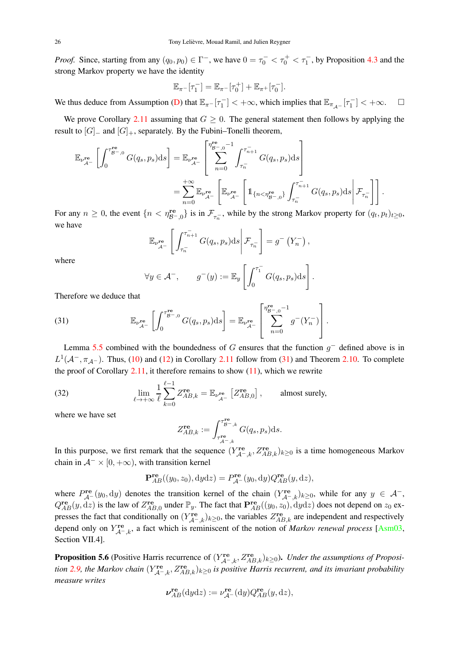*Proof.* Since, starting from any  $(q_0, p_0) \in \Gamma^-$ , we have  $0 = \tau_0^- < \tau_0^+ < \tau_1^-$ , by Proposition 4.3 and the strong Markov property we have the identity

$$
\mathbb{E}_{\pi^-}[\tau_1^-] = \mathbb{E}_{\pi^-}[\tau_0^+] + \mathbb{E}_{\pi^+}[\tau_0^-].
$$

We thus deduce from Assumption (D) that  $\mathbb{E}_{\pi^-}[\tau_1^-] < +\infty$ , which implies that  $\mathbb{E}_{\pi_{\mathcal{A}^-}}[\tau_1^-] < +\infty$ .  $\square$ 

We prove Corollary 2.11 assuming that  $G \geq 0$ . The general statement then follows by applying the result to  $[G]_+$  and  $[G]_+$ , separately. By the Fubini–Tonelli theorem,

$$
\mathbb{E}_{\nu_{\mathcal{A}^-}^{\mathbf{re}}} \left[ \int_0^{\tau_{\mathcal{B}^-,0}^{\mathbf{re}}} G(q_s, p_s) \mathrm{d}s \right] = \mathbb{E}_{\nu_{\mathcal{A}^-}^{\mathbf{re}}} \left[ \sum_{n=0}^{\eta_{\mathcal{B}^-,0}^{\mathbf{re}}-1} \int_{\tau_n^-}^{\tau_{n+1}^-} G(q_s, p_s) \mathrm{d}s \right]
$$
  

$$
= \sum_{n=0}^{+\infty} \mathbb{E}_{\nu_{\mathcal{A}^-}^{\mathbf{re}}} \left[ \mathbb{E}_{\nu_{\mathcal{A}^-}^{\mathbf{re}}} \left[ \mathbb{1}_{\{n < \eta_{\mathcal{B}^-,0}^{\mathbf{re}}\}} \int_{\tau_n^-}^{\tau_{n+1}^-} G(q_s, p_s) \mathrm{d}s \right] \mathcal{F}_{\tau_n^-} \right].
$$

For any  $n \ge 0$ , the event  $\{n < \eta_{\mathcal{B}^-,0}^{\text{re}}\}$  is in  $\mathcal{F}_{\tau_n^-}$ , while by the strong Markov property for  $(q_t, p_t)_{t \ge 0}$ , we have

$$
\mathbb{E}_{\nu_{\mathcal{A}^-}^{\text{re}}}\left[\int_{\tau_n^-}^{\tau_{n+1}^-} G(q_s, p_s) \mathrm{d} s \middle| \mathcal{F}_{\tau_n^-}\right] = g^-\left(Y_n^-\right),
$$

where

$$
\forall y \in \mathcal{A}^-,\qquad g^-(y) := \mathbb{E}_y \left[ \int_0^{\tau_1^-} G(q_s, p_s) \mathrm{d}s \right].
$$

Therefore we deduce that

(31) 
$$
\mathbb{E}_{\nu_{\mathcal{A}^{-}}^{\mathbf{re}}} \left[ \int_{0}^{\tau_{\mathcal{B}^{-},0}^{\mathbf{re}}} G(q_s, p_s) \mathrm{d}s \right] = \mathbb{E}_{\nu_{\mathcal{A}^{-}}^{\mathbf{re}}} \left[ \sum_{n=0}^{\eta_{\mathcal{B}^{-},0}^{\mathbf{re}}-1} g^{-}(Y_n^{-}) \right].
$$

Lemma 5.5 combined with the boundedness of G ensures that the function  $g^-$  defined above is in  $L^1(\mathcal{A}^-,\pi_{\mathcal{A}^-})$ . Thus, (10) and (12) in Corollary 2.11 follow from (31) and Theorem 2.10. To complete the proof of Corollary  $2.11$ , it therefore remains to show  $(11)$ , which we rewrite

(32) 
$$
\lim_{\ell \to +\infty} \frac{1}{\ell} \sum_{k=0}^{\ell-1} Z_{AB,k}^{\mathbf{re}} = \mathbb{E}_{\nu_{\mathcal{A}^-}^{\mathbf{re}}} \left[ Z_{AB,0}^{\mathbf{re}} \right], \text{ almost surely,}
$$

where we have set

$$
Z_{AB,k}^{\mathbf{re}} := \int_{\tau_{A^-,k}^{\mathbf{re}}}^{\tau_{B^-,k}^{\mathbf{re}}} G(q_s, p_s) \mathrm{d}s.
$$

In this purpose, we first remark that the sequence  $(Y_{\mathcal{A}^-,k}^{re}, Z_{AB,k}^{re})_{k\geq 0}$  is a time homogeneous Markov chain in  $A^{-} \times [0, +\infty)$ , with transition kernel

$$
\mathbf{P}_{AB}^{\mathbf{re}}((y_0, z_0), \mathrm{d}y\mathrm{d}z) = P_{\mathcal{A}^-}^{\mathbf{re}}(y_0, \mathrm{d}y) Q_{AB}^{\mathbf{re}}(y, \mathrm{d}z),
$$

where  $P_{A^-}^{\text{re}}(y_0, dy)$  denotes the transition kernel of the chain  $(Y_{A^-}, k)_{k \geq 0}$ , while for any  $y \in A^-$ ,  $Q_{AB}^{\text{re}}(y, dz)$  is the law of  $Z_{AB}^{\text{re}}$  $A_{AB,0}^{T\text{e}}$  under  $\mathbb{P}_y$ . The fact that  $\mathbf{P}_{AB}^{T\text{e}}((y_0, z_0), dydz)$  does not depend on  $z_0$  expresses the fact that conditionally on  $(Y_{\mathcal{A}^{-},k}^{\text{re}})_{k\geq 0}$ , the variables  $Z_{AB,k}^{\text{re}}$  are independent and respectively depend only on  $Y^{\text{re}}_{A^-,k}$ , a fact which is reminiscent of the notion of *Markov renewal process* [Asm03, Section VII.4].

**Proposition 5.6** (Positive Harris recurrence of  $(Y_{\mathcal{A}^{-},k}^{re}, Z_{AB,k}^{re})_{k\geq0}$ ). *Under the assumptions of Proposition* 2.9, the Markov chain  $(Y_{\mathcal{A}^-,k}^{re}, Z_{AB,k}^{re})_{k\geq0}$  is positive Harris recurrent, and its invariant probability *measure writes*

$$
\nu_{AB}^{\mathbf{re}}(\mathrm{d}y\mathrm{d}z) := \nu_{\mathcal{A}^-}^{\mathbf{re}}(\mathrm{d}y)Q_{AB}^{\mathbf{re}}(y,\mathrm{d}z),
$$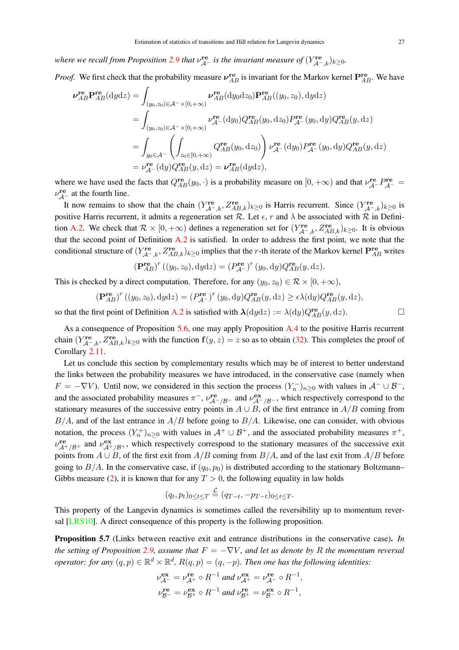where we recall from Proposition 2.9 that  $v_{\mathcal{A}^-}^{\mathbf{re}}$  is the invariant measure of  $(Y_{\mathcal{A}^-,k}^{\mathbf{re}})_{k\geq 0}$ .

*Proof.* We first check that the probability measure  $v_{AB}^{re}$  is invariant for the Markov kernel  $P_{AB}^{re}$ . We have

$$
\nu_{AB}^{\mathbf{re}} \mathbf{P}_{AB}^{\mathbf{re}}(\mathrm{d}y\mathrm{d}z) = \int_{(y_0, z_0) \in \mathcal{A}^{-} \times [0, +\infty)} \nu_{AB}^{\mathbf{re}}(\mathrm{d}y_0\mathrm{d}z_0) \mathbf{P}_{AB}^{\mathbf{re}}((y_0, z_0), \mathrm{d}y\mathrm{d}z)
$$
  
\n
$$
= \int_{(y_0, z_0) \in \mathcal{A}^{-} \times [0, +\infty)} \nu_{\mathcal{A}^{-}}^{\mathbf{re}}(\mathrm{d}y_0) Q_{AB}^{\mathbf{re}}(y_0, \mathrm{d}z_0) P_{\mathcal{A}^{-}}^{\mathbf{re}}(y_0, \mathrm{d}y) Q_{AB}^{\mathbf{re}}(y, \mathrm{d}z)
$$
  
\n
$$
= \int_{y_0 \in \mathcal{A}^{-}} \left( \int_{z_0 \in [0, +\infty)} Q_{AB}^{\mathbf{re}}(y_0, \mathrm{d}z_0) \right) \nu_{\mathcal{A}^{-}}^{\mathbf{re}}(\mathrm{d}y_0) P_{\mathcal{A}^{-}}^{\mathbf{re}}(y_0, \mathrm{d}y) Q_{AB}^{\mathbf{re}}(y, \mathrm{d}z)
$$
  
\n
$$
= \nu_{\mathcal{A}^{-}}^{\mathbf{re}}(\mathrm{d}y) Q_{AB}^{\mathbf{re}}(y, \mathrm{d}z) = \nu_{AB}^{\mathbf{re}}(\mathrm{d}y\mathrm{d}z),
$$

where we have used the facts that  $Q_{AB}^{\text{re}}(y_0, \cdot)$  is a probability measure on  $[0, +\infty)$  and that  $\nu_{\mathcal{A}^-}^{\text{re}}P_{\mathcal{A}^-}^{\text{re}}$  $\nu_{\mathcal{A}^-}^{\text{re}}$  at the fourth line.

It now remains to show that the chain  $(Y_{\mathcal{A}^-,\mathcal{k}}^{\text{re}}, Z_{AB,\mathcal{k}}^{\text{re}})_{\mathcal{k}\geq 0}$  is Harris recurrent. Since  $(Y_{\mathcal{A}^-,\mathcal{k}}^{\text{re}})_{\mathcal{k}\geq 0}$  is positive Harris recurrent, it admits a regeneration set R. Let  $\epsilon$ , r and  $\lambda$  be associated with R in Definition A.2. We check that  $\mathcal{R} \times [0, +\infty)$  defines a regeneration set for  $(Y_{\mathcal{A}^-,k}^{\text{re}}, Z_{AB,k}^{\text{re}})_{k \geq 0}$ . It is obvious that the second point of Definition  $A.2$  is satisfied. In order to address the first point, we note that the conditional structure of  $(Y_{A^-k}^{re}, Z_{AB,k}^{re})_{k\geq 0}$  implies that the *r*-th iterate of the Markov kernel  $P_{AB}^{re}$  writes

$$
(\mathbf{P}_{AB}^{\mathbf{re}})^r ((y_0,z_0),\mathrm{d}y\mathrm{d}z) = (P_{\mathcal{A}^-}^{\mathbf{re}})^r (y_0,\mathrm{d}y) Q_{AB}^{\mathbf{re}}(y,\mathrm{d}z).
$$

This is checked by a direct computation. Therefore, for any  $(y_0, z_0) \in \mathcal{R} \times [0, +\infty)$ ,

$$
(\mathbf{P}_{AB}^{\mathbf{re}})^r ((y_0, z_0), \mathrm{d}y\mathrm{d}z) = (P_{\mathcal{A}^-}^{\mathbf{re}})^r (y_0, \mathrm{d}y) Q_{AB}^{\mathbf{re}}(y, \mathrm{d}z) \ge \epsilon \lambda(\mathrm{d}y) Q_{AB}^{\mathbf{re}}(y, \mathrm{d}z),
$$

so that the first point of Definition A.2 is satisfied with  $\lambda(dydz) := \lambda(dy)Q_{AB}^{re}(y, dz)$ .

As a consequence of Proposition 5.6, one may apply Proposition A.4 to the positive Harris recurrent chain  $(Y_{\mathcal{A}^-,k}^{\text{re}}, Z_{AB,k}^{\text{re}})_{k\geq 0}$  with the function  $f(y, z) = z$  so as to obtain (32). This completes the proof of Corollary 2.11.

Let us conclude this section by complementary results which may be of interest to better understand the links between the probability measures we have introduced, in the conservative case (namely when  $F = -\nabla V$ ). Until now, we considered in this section the process  $(Y_n^-)_{n \geq 0}$  with values in  $\mathcal{A}^- \cup \mathcal{B}^-$ , and the associated probability measures  $\pi^-$ ,  $\nu_{\mathcal{A}^-/\mathcal{B}^-}^{\mathbf{re}}$  and  $\nu_{\mathcal{A}^-/\mathcal{B}^-}^{\mathbf{ex}}$ , which respectively correspond to the stationary measures of the successive entry points in  $A \cup B$ , of the first entrance in  $A/B$  coming from  $B/A$ , and of the last entrance in  $A/B$  before going to  $B/A$ . Likewise, one can consider, with obvious notation, the process  $(Y_n^+)_{n\geq 0}$  with values in  $\mathcal{A}^+\cup\mathcal{B}^+$ , and the associated probability measures  $\pi^+$ ,  $v_{A^+/B^+}^{\text{re}}$  and  $v_{A^+/B^+}^{\text{ex}}$ , which respectively correspond to the stationary measures of the successive exit points from  $A \cup B$ , of the first exit from  $A/B$  coming from  $B/A$ , and of the last exit from  $A/B$  before going to  $B/A$ . In the conservative case, if  $(q_0, p_0)$  is distributed according to the stationary Boltzmann– Gibbs measure (2), it is known that for any  $T > 0$ , the following equality in law holds

$$
(q_t, p_t)_{0 \leq t \leq T} \stackrel{\mathcal{L}}{=} (q_{T-t}, -p_{T-t})_{0 \leq t \leq T}.
$$

This property of the Langevin dynamics is sometimes called the reversibility up to momentum reversal [LRS10]. A direct consequence of this property is the following proposition.

Proposition 5.7 (Links between reactive exit and entrance distributions in the conservative case). *In the setting of Proposition* 2.9, assume that  $F = -\nabla V$ , and let us denote by R the momentum reversal *operator: for any*  $(q, p) \in \mathbb{R}^d \times \mathbb{R}^d$ ,  $R(q, p) = (q, -p)$ . Then one has the following identities:

$$
\nu_{\mathcal{A}^-}^{\mathbf{ex}} = \nu_{\mathcal{A}^+}^{\mathbf{re}} \circ R^{-1} \text{ and } \nu_{\mathcal{A}^+}^{\mathbf{ex}} = \nu_{\mathcal{A}^-}^{\mathbf{re}} \circ R^{-1},
$$
  

$$
\nu_{\mathcal{B}^-}^{\mathbf{re}} = \nu_{\mathcal{B}^+}^{\mathbf{ex}} \circ R^{-1} \text{ and } \nu_{\mathcal{B}^+}^{\mathbf{re}} = \nu_{\mathcal{B}^-}^{\mathbf{ex}} \circ R^{-1},
$$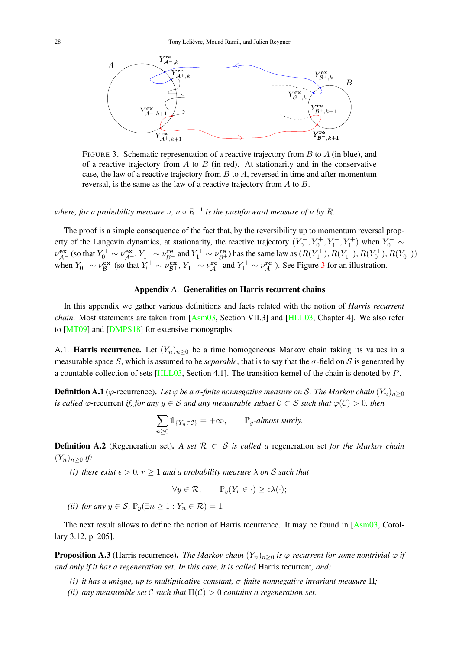

FIGURE 3. Schematic representation of a reactive trajectory from  $B$  to  $A$  (in blue), and of a reactive trajectory from  $A$  to  $B$  (in red). At stationarity and in the conservative case, the law of a reactive trajectory from  $B$  to  $A$ , reversed in time and after momentum reversal, is the same as the law of a reactive trajectory from A to B.

where, for a probability measure  $\nu$ ,  $\nu \circ R^{-1}$  is the pushforward measure of  $\nu$  by  $R$ .

The proof is a simple consequence of the fact that, by the reversibility up to momentum reversal property of the Langevin dynamics, at stationarity, the reactive trajectory  $(Y_0^-, Y_0^+, Y_1^-, Y_1^+)$  when  $Y_0^- \sim$  $\nu_{\mathcal{A}^-}^{\text{ex}}$  (so that  $Y_0^+ \sim \nu_{\mathcal{A}^+}^{\text{ex}}, Y_1^- \sim \nu_{\mathcal{B}^-}^{\text{re}}$  and  $Y_1^+ \sim \nu_{\mathcal{B}^+}^{\text{re}}$ ) has the same law as  $(R(Y_1^+), R(Y_1^-), R(Y_0^+), R(Y_0^-))$ when  $Y_0^- \sim \nu_{\beta}^{\text{ex}}$  (so that  $Y_0^+ \sim \nu_{\beta+}^{\text{ex}}, Y_1^- \sim \nu_{\beta-}^{\text{re}}$  and  $Y_1^+ \sim \nu_{\beta+}^{\text{re}}$ ). See Figure 3 for an illustration.

## Appendix A. Generalities on Harris recurrent chains

In this appendix we gather various definitions and facts related with the notion of *Harris recurrent chain*. Most statements are taken from [Asm03, Section VII.3] and [HLL03, Chapter 4]. We also refer to [MT09] and [DMPS18] for extensive monographs.

A.1. **Harris recurrence.** Let  $(Y_n)_{n>0}$  be a time homogeneous Markov chain taking its values in a measurable space S, which is assumed to be *separable*, that is to say that the  $\sigma$ -field on S is generated by a countable collection of sets [HLL03, Section 4.1]. The transition kernel of the chain is denoted by P.

**Definition A.1** ( $\varphi$ -recurrence). *Let*  $\varphi$  *be a*  $\sigma$ -finite nonnegative measure on S. The Markov chain  $(Y_n)_{n>0}$ *is called*  $\varphi$ -recurrent *if, for any*  $y \in S$  *and any measurable subset*  $C \subset S$  *such that*  $\varphi(C) > 0$ *, then* 

$$
\sum_{n\geq 0} 1_{\{Y_n \in \mathcal{C}\}} = +\infty, \qquad \mathbb{P}_y\text{-almost surely.}
$$

Definition A.2 (Regeneration set). *A set* R ⊂ S *is called a* regeneration set *for the Markov chain*  $(Y_n)_{n>0}$  *if:* 

*(i) there exist*  $\epsilon > 0$ ,  $r \ge 1$  *and a probability measure*  $\lambda$  *on* S *such that* 

$$
\forall y \in \mathcal{R}, \qquad \mathbb{P}_y(Y_r \in \cdot) \ge \epsilon \lambda(\cdot);
$$

*(ii)* for any  $y \in S$ ,  $\mathbb{P}_y(\exists n \geq 1 : Y_n \in \mathcal{R}) = 1$ .

The next result allows to define the notion of Harris recurrence. It may be found in [Asm03, Corollary 3.12, p. 205].

**Proposition A.3** (Harris recurrence). *The Markov chain*  $(Y_n)_{n>0}$  *is*  $\varphi$ *-recurrent for some nontrivial*  $\varphi$  *if and only if it has a regeneration set. In this case, it is called* Harris recurrent*, and:*

- *(i) it has a unique, up to multiplicative constant,* σ*-finite nonnegative invariant measure* Π*;*
- *(ii)* any measurable set C such that  $\Pi(\mathcal{C}) > 0$  contains a regeneration set.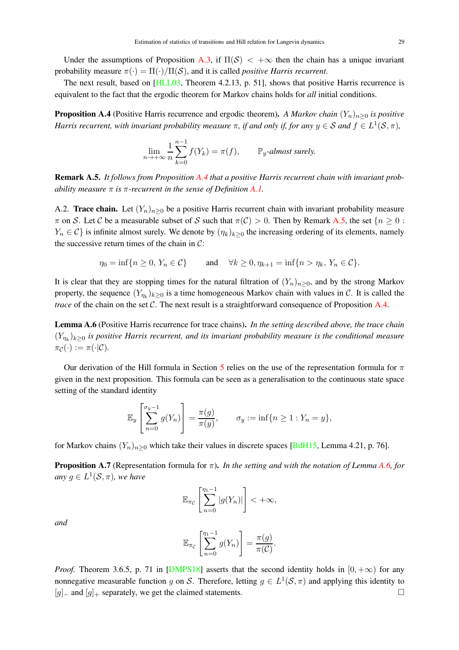Under the assumptions of Proposition A.3, if  $\Pi(S) < +\infty$  then the chain has a unique invariant probability measure  $\pi(\cdot) = \Pi(\cdot)/\Pi(\mathcal{S})$ , and it is called *positive Harris recurrent*.

The next result, based on [HLL03, Theorem 4.2.13, p. 51], shows that positive Harris recurrence is equivalent to the fact that the ergodic theorem for Markov chains holds for *all* initial conditions.

**Proposition A.4** (Positive Harris recurrence and ergodic theorem). A Markov chain  $(Y_n)_{n>0}$  is positive *Harris recurrent, with invariant probability measure*  $\pi$ *, if and only if, for any*  $y \in S$  *and*  $f \in L^1(\mathcal{S}, \pi)$ *,* 

$$
\lim_{n \to +\infty} \frac{1}{n} \sum_{k=0}^{n-1} f(Y_k) = \pi(f), \qquad \mathbb{P}_y\text{-almost surely.}
$$

Remark A.5. *It follows from Proposition A.4 that a positive Harris recurrent chain with invariant probability measure* π *is* π*-recurrent in the sense of Definition A.1.*

A.2. **Trace chain.** Let  $(Y_n)_{n>0}$  be a positive Harris recurrent chain with invariant probability measure  $\pi$  on S. Let C be a measurable subset of S such that  $\pi(C) > 0$ . Then by Remark A.5, the set  $\{n \geq 0 :$  $Y_n \in \mathcal{C}$  is infinite almost surely. We denote by  $(\eta_k)_{k>0}$  the increasing ordering of its elements, namely the successive return times of the chain in  $C$ :

$$
\eta_0 = \inf\{n \ge 0, Y_n \in \mathcal{C}\} \quad \text{and} \quad \forall k \ge 0, \eta_{k+1} = \inf\{n > \eta_k, Y_n \in \mathcal{C}\}.
$$

It is clear that they are stopping times for the natural filtration of  $(Y_n)_{n>0}$ , and by the strong Markov property, the sequence  $(Y_{\eta_k})_{k\geq 0}$  is a time homogeneous Markov chain with values in C. It is called the *trace* of the chain on the set C. The next result is a straightforward consequence of Proposition A.4.

Lemma A.6 (Positive Harris recurrence for trace chains). *In the setting described above, the trace chain*  $(Y_{\eta_k})_{k\geq 0}$  is positive Harris recurrent, and its invariant probability measure is the conditional measure  $\pi_{\mathcal{C}}(\cdot) := \pi(\cdot | \mathcal{C}).$ 

Our derivation of the Hill formula in Section 5 relies on the use of the representation formula for  $\pi$ given in the next proposition. This formula can be seen as a generalisation to the continuous state space setting of the standard identity

$$
\mathbb{E}_y\left[\sum_{n=0}^{\sigma_y-1} g(Y_n)\right] = \frac{\pi(g)}{\pi(y)}, \qquad \sigma_y := \inf\{n \ge 1 : Y_n = y\},\
$$

for Markov chains  $(Y_n)_{n>0}$  which take their values in discrete spaces [BdH15, Lemma 4.21, p. 76].

Proposition A.7 (Representation formula for π). *In the setting and with the notation of Lemma A.6, for* any  $g \in L^1(\mathcal{S}, \pi)$ , we have

$$
\mathbb{E}_{\pi_{\mathcal{C}}} \left[ \sum_{n=0}^{\eta_1 - 1} |g(Y_n)| \right] < +\infty,
$$

*and*

$$
\mathbb{E}_{\pi_{\mathcal{C}}}\left[\sum_{n=0}^{\eta_1-1}g(Y_n)\right]=\frac{\pi(g)}{\pi(\mathcal{C})}.
$$

*Proof.* Theorem 3.6.5, p. 71 in [DMPS18] asserts that the second identity holds in  $[0, +\infty)$  for any nonnegative measurable function g on S. Therefore, letting  $g \in L^1(\mathcal{S}, \pi)$  and applying this identity to  $[g]_$  and  $[g]_+$  separately, we get the claimed statements.  $\Box$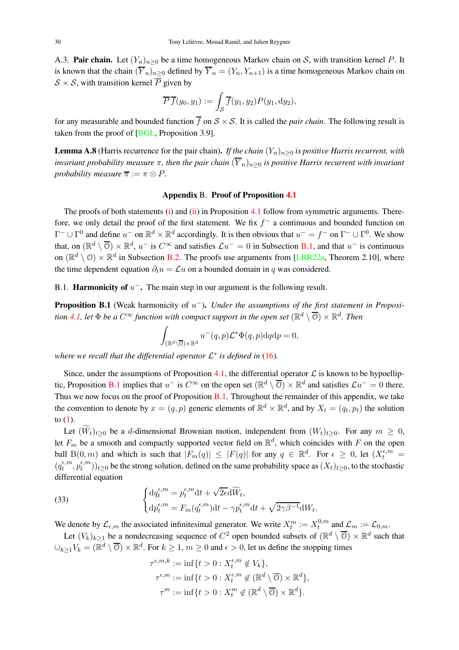A.3. Pair chain. Let  $(Y_n)_{n>0}$  be a time homogeneous Markov chain on S, with transition kernel P. It is known that the chain  $(\overline{Y}_n)_{n>0}$  defined by  $\overline{Y}_n = (Y_n, Y_{n+1})$  is a time homogeneous Markov chain on  $S \times S$ , with transition kernel  $\overline{P}$  given by

$$
\overline{P}\,\overline{f}(y_0,y_1):=\int_{\mathcal{S}}\overline{f}(y_1,y_2)P(y_1,\mathrm{d}y_2),
$$

for any measurable and bounded function  $\overline{f}$  on  $S \times S$ . It is called the *pair chain*. The following result is taken from the proof of [BGL, Proposition 3.9].

**Lemma A.8** (Harris recurrence for the pair chain). *If the chain*  $(Y_n)_{n>0}$  *is positive Harris recurrent, with invariant probability measure*  $\pi$ , then the pair chain  $(\overline{Y}_n)_{n\geq 0}$  is positive Harris recurrent with invariant *probability measure*  $\overline{\pi} := \pi \otimes P$ .

#### Appendix B. Proof of Proposition 4.1

The proofs of both statements (i) and (ii) in Proposition 4.1 follow from symmetric arguments. Therefore, we only detail the proof of the first statement. We fix  $f^-$  a continuous and bounded function on  $\Gamma^- \cup \Gamma^0$  and define  $u^-$  on  $\mathbb{R}^d \times \mathbb{R}^d$  accordingly. It is then obvious that  $u^- = f^-$  on  $\Gamma^- \cup \Gamma^0$ . We show that, on  $(\mathbb{R}^d \setminus \overline{0}) \times \mathbb{R}^d$ ,  $u^-$  is  $C^{\infty}$  and satisfies  $\mathcal{L}u^- = 0$  in Subsection B.1, and that  $u^-$  is continuous on  $(\mathbb{R}^d \setminus \mathcal{O}) \times \mathbb{R}^d$  in Subsection B.2. The proofs use arguments from [LRR22a, Theorem 2.10], where the time dependent equation  $\partial_t u = \mathcal{L}u$  on a bounded domain in q was considered.

B.1. **Harmonicity of**  $u^-$ . The main step in our argument is the following result.

**Proposition B.1** (Weak harmonicity of  $u^-$ ). *Under the assumptions of the first statement in Proposition* 4.1, let  $\Phi$  *be a*  $C^{\infty}$  *function with compact support in the open set*  $(\mathbb{R}^d \setminus \overline{O}) \times \mathbb{R}^d$ *. Then* 

$$
\int_{(\mathbb{R}^d \setminus \overline{\mathbb{O}}) \times \mathbb{R}^d} u^-(q,p) \mathcal{L}^* \Phi(q,p) dq dp = 0,
$$

where we recall that the differential operator  $\mathcal{L}^*$  is defined in (16).

Since, under the assumptions of Proposition 4.1, the differential operator  $\mathcal L$  is known to be hypoelliptic, Proposition B.1 implies that  $u^-$  is  $C^{\infty}$  on the open set  $(\mathbb{R}^d \setminus \overline{O}) \times \mathbb{R}^d$  and satisfies  $\mathcal{L}u^- = 0$  there. Thus we now focus on the proof of Proposition B.1. Throughout the remainder of this appendix, we take the convention to denote by  $x = (q, p)$  generic elements of  $\mathbb{R}^d \times \mathbb{R}^d$ , and by  $X_t = (q_t, p_t)$  the solution to  $(1)$ .

Let  $(\widetilde{W}_t)_{t>0}$  be a d-dimensional Brownian motion, independent from  $(W_t)_{t>0}$ . For any  $m \geq 0$ , let  $F_m$  be a smooth and compactly supported vector field on  $\mathbb{R}^d$ , which coincides with F on the open ball  $B(0, m)$  and which is such that  $|F_m(q)| \leq |F(q)|$  for any  $q \in \mathbb{R}^d$ . For  $\epsilon \geq 0$ , let  $(X_t^{\epsilon, m})$  $(q_t^{\epsilon,m})$  $t^{\epsilon,m},p_t^{\epsilon,m}$  $(t^{(m)}_{t}))_{t\geq0}$  be the strong solution, defined on the same probability space as  $(X_{t})_{t\geq0}$ , to the stochastic differential equation

(33) 
$$
\begin{cases} dq_t^{\epsilon,m} = p_t^{\epsilon,m} dt + \sqrt{2\epsilon} d\widetilde{W}_t, \\ dp_t^{\epsilon,m} = F_m(q_t^{\epsilon,m}) dt - \gamma p_t^{\epsilon,m} dt + \sqrt{2\gamma\beta^{-1}} dW_t. \end{cases}
$$

We denote by  $\mathcal{L}_{\epsilon,m}$  the associated infinitesimal generator. We write  $X_t^m := X_t^{0,m}$  $\mathcal{L}^{0,m}_t$  and  $\mathcal{L}_m := \mathcal{L}_{0,m}$ .

Let  $(V_k)_{k\geq 1}$  be a nondecreasing sequence of  $C^2$  open bounded subsets of  $(\mathbb{R}^d \setminus \overline{O}) \times \mathbb{R}^d$  such that  $\cup_{k\geq 1}V_k=(\mathbb{R}^d\setminus\overline{0})\times\mathbb{R}^d$ . For  $k\geq 1$ ,  $m\geq 0$  and  $\epsilon>0$ , let us define the stopping times

$$
\tau^{\epsilon, m, k} := \inf\{t > 0 : X_t^{\epsilon, m} \notin V_k\},
$$
  

$$
\tau^{\epsilon, m} := \inf\{t > 0 : X_t^{\epsilon, m} \notin (\mathbb{R}^d \setminus \overline{\mathbb{O}}) \times \mathbb{R}^d\},
$$
  

$$
\tau^m := \inf\{t > 0 : X_t^m \notin (\mathbb{R}^d \setminus \overline{\mathbb{O}}) \times \mathbb{R}^d\}.
$$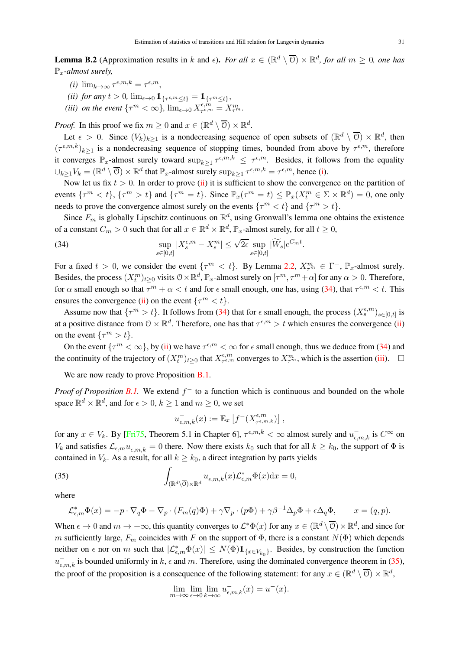**Lemma B.2** (Approximation results in k and  $\epsilon$ ). *For all*  $x \in (\mathbb{R}^d \setminus \overline{O}) \times \mathbb{R}^d$ , *for all*  $m \ge 0$ , *one has* Px*-almost surely,*

- (*i*)  $\lim_{k \to \infty} \tau^{\epsilon, m, k} = \tau^{\epsilon, m},$
- (*ii*) for any  $t > 0$ ,  $\lim_{\epsilon \to 0} 1\!\!1_{\{\tau^{\epsilon,m} \leq t\}} = 1\!\!1_{\{\tau^m \leq t\}},$
- *(iii) on the event*  $\{\tau^m < \infty\}$ ,  $\lim_{\epsilon \to 0} X_{\tau^{\epsilon,m}}^{\epsilon,m}$  $\frac{\epsilon,m}{\tau^{\epsilon,m}}=X^m_{\tau^m}.$

*Proof.* In this proof we fix  $m \ge 0$  and  $x \in (\mathbb{R}^d \setminus \overline{O}) \times \mathbb{R}^d$ .

Let  $\epsilon > 0$ . Since  $(V_k)_{k \geq 1}$  is a nondecreasing sequence of open subsets of  $(\mathbb{R}^d \setminus \overline{O}) \times \mathbb{R}^d$ , then  $(\tau^{\epsilon,m,k})_{k\geq 1}$  is a nondecreasing sequence of stopping times, bounded from above by  $\tau^{\epsilon,m}$ , therefore it converges  $\mathbb{P}_x$ -almost surely toward  $\sup_{k\geq 1} \tau^{\epsilon, m, k} \leq \tau^{\epsilon, m}$ . Besides, it follows from the equality  $\cup_{k\geq 1} V_k = (\mathbb{R}^d \setminus \overline{\mathcal{O}}) \times \mathbb{R}^d$  that  $\mathbb{P}_x$ -almost surely  $\sup_{k\geq 1} \tau^{\epsilon, m, k} = \tau^{\epsilon, m}$ , hence (i).

Now let us fix  $t > 0$ . In order to prove (ii) it is sufficient to show the convergence on the partition of events  $\{\tau^m < t\}$ ,  $\{\tau^m > t\}$  and  $\{\tau^m = t\}$ . Since  $\mathbb{P}_x(\tau^m = t) \leq \mathbb{P}_x(X_t^m \in \Sigma \times \mathbb{R}^d) = 0$ , one only needs to prove the convergence almost surely on the events  $\{\tau^m < t\}$  and  $\{\tau^m > t\}$ .

Since  $F_m$  is globally Lipschitz continuous on  $\mathbb{R}^d$ , using Gronwall's lemma one obtains the existence of a constant  $C_m > 0$  such that for all  $x \in \mathbb{R}^d \times \mathbb{R}^d$ ,  $\mathbb{P}_x$ -almost surely, for all  $t \ge 0$ ,

(34) 
$$
\sup_{s\in[0,t]}|X_s^{\epsilon,m}-X_s^m|\leq \sqrt{2\epsilon}\sup_{s\in[0,t]}|\widetilde{W}_s|e^{C_mt}.
$$

For a fixed  $t > 0$ , we consider the event  $\{\tau^m < t\}$ . By Lemma 2.2,  $X_{\tau^m}^m \in \Gamma^-$ ,  $\mathbb{P}_x$ -almost surely. Besides, the process  $(X_t^m)_{t\geq 0}$  visits  $0 \times \mathbb{R}^d$ ,  $\mathbb{P}_x$ -almost surely on  $[\tau^m, \tau^m + \alpha]$  for any  $\alpha > 0$ . Therefore, for  $\alpha$  small enough so that  $\tau^m + \alpha < t$  and for  $\epsilon$  small enough, one has, using (34), that  $\tau^{\epsilon,m} < t$ . This ensures the convergence (ii) on the event  $\{\tau^m < t\}$ .

Assume now that  $\{\tau^m > t\}$ . It follows from (34) that for  $\epsilon$  small enough, the process  $(X_s^{\epsilon,m})_{s \in [0,t]}$  is at a positive distance from  $0 \times \mathbb{R}^d$ . Therefore, one has that  $\tau^{\epsilon,m} > t$  which ensures the convergence (ii) on the event  $\{\tau^m > t\}.$ 

On the event  $\{\tau^m < \infty\}$ , by (ii) we have  $\tau^{\epsilon,m} < \infty$  for  $\epsilon$  small enough, thus we deduce from (34) and the continuity of the trajectory of  $(X_t^m)_{t\geq 0}$  that  $X_{\tau^{\epsilon,m}}^{\epsilon,m}$  $\tau^{\epsilon,m}_{\tau^{\epsilon,m}}$  converges to  $X^m_{\tau^m}$ , which is the assertion (iii).  $\square$ 

We are now ready to prove Proposition **B**.1.

*Proof of Proposition B.1.* We extend  $f^-$  to a function which is continuous and bounded on the whole space  $\mathbb{R}^d \times \mathbb{R}^d$ , and for  $\epsilon > 0$ ,  $k \ge 1$  and  $m \ge 0$ , we set

$$
u_{\epsilon,m,k}^-(x) := \mathbb{E}_x \left[ f^-(X_{\tau^{\epsilon,m,k}}^{\epsilon,m}) \right],
$$

for any  $x \in V_k$ . By [Fri75, Theorem 5.1 in Chapter 6],  $\tau^{\epsilon,m,k} < \infty$  almost surely and  $u_{\epsilon,m,k}^-$  is  $C^{\infty}$  on  $V_k$  and satisfies  $\mathcal{L}_{\epsilon,m}u_{\epsilon,m,k}^- = 0$  there. Now there exists  $k_0$  such that for all  $k \ge k_0$ , the support of  $\Phi$  is contained in  $V_k$ . As a result, for all  $k \geq k_0$ , a direct integration by parts yields

(35) 
$$
\int_{(\mathbb{R}^d \setminus \overline{\mathbb{O}}) \times \mathbb{R}^d} u_{\epsilon,m,k}^{-}(x) \mathcal{L}_{\epsilon,m}^* \Phi(x) dx = 0,
$$

where

$$
\mathcal{L}_{\epsilon,m}^* \Phi(x) = -p \cdot \nabla_q \Phi - \nabla_p \cdot (F_m(q)\Phi) + \gamma \nabla_p \cdot (p\Phi) + \gamma \beta^{-1} \Delta_p \Phi + \epsilon \Delta_q \Phi, \qquad x = (q, p).
$$

When  $\epsilon \to 0$  and  $m \to +\infty$ , this quantity converges to  $\mathcal{L}^*\Phi(x)$  for any  $x \in (\mathbb{R}^d \setminus \overline{0}) \times \mathbb{R}^d$ , and since for m sufficiently large,  $F_m$  coincides with F on the support of  $\Phi$ , there is a constant  $N(\Phi)$  which depends neither on  $\epsilon$  nor on m such that  $|\mathcal{L}_{\epsilon,m}^*\Phi(x)| \leq N(\Phi) 1\!\!1_{\{\mathcal{X}\in V_{k_0}\}}$ . Besides, by construction the function  $u_{\epsilon,m,k}^-$  is bounded uniformly in k,  $\epsilon$  and m. Therefore, using the dominated convergence theorem in (35), the proof of the proposition is a consequence of the following statement: for any  $x \in (\mathbb{R}^d \setminus \overline{O}) \times \mathbb{R}^d$ ,

$$
\lim_{m \to \infty} \lim_{\epsilon \to 0} \lim_{k \to \infty} u_{\epsilon,m,k}^-(x) = u^-(x).
$$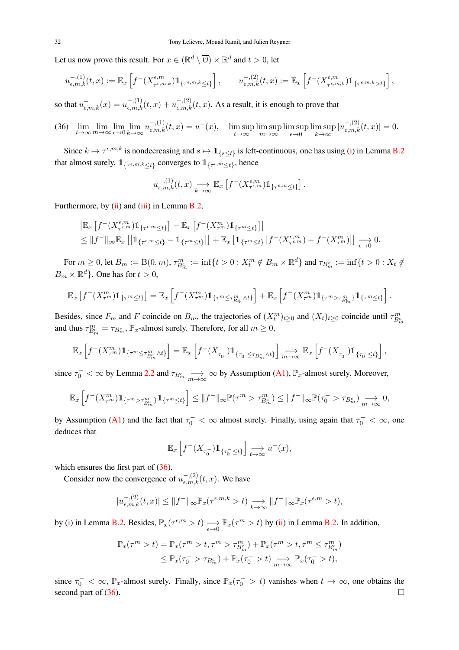Let us now prove this result. For  $x \in (\mathbb{R}^d \setminus \overline{O}) \times \mathbb{R}^d$  and  $t > 0$ , let

$$
u_{\epsilon,m,k}^{-(1)}(t,x):=\mathbb{E}_x\left[f^{-}(X^{\epsilon,m}_{\tau^{\epsilon,m,k}})\mathbb{1}_{\{\tau^{\epsilon,m,k}\leq t\}}\right],\qquad u_{\epsilon,m,k}^{-(2)}(t,x):=\mathbb{E}_x\left[f^{-}(X^{\epsilon,m}_{\tau^{\epsilon,m,k}})\mathbb{1}_{\{\tau^{\epsilon,m,k}>t\}}\right],
$$

so that  $u_{\epsilon,m,k}^-(x) = u_{\epsilon,m,k}^{-(1)}(t,x) + u_{\epsilon,m,k}^{-(2)}(t,x)$ . As a result, it is enough to prove that

(36) 
$$
\lim_{t \to \infty} \lim_{m \to \infty} \lim_{\epsilon \to 0} \lim_{k \to \infty} u_{\epsilon,m,k}^{-(1)}(t,x) = u^-(x), \quad \limsup_{t \to \infty} \limsup_{m \to \infty} \limsup_{\epsilon \to 0} \limsup_{k \to \infty} |u_{\epsilon,m,k}^{-(2)}(t,x)| = 0.
$$

Since  $k \mapsto \tau^{\epsilon, m, k}$  is nondecreasing and  $s \mapsto \mathbb{1}_{\{s \le t\}}$  is left-continuous, one has using (i) in Lemma B.2 that almost surely,  $1_{\{\tau^{\epsilon,m}, k \leq t\}}$  converges to  $1_{\{\tau^{\epsilon,m} \leq t\}}$ , hence

$$
u_{\epsilon,m,k}^{(-, (1)}(t, x) \longrightarrow_{k \to \infty} \mathbb{E}_x \left[ f^-(X_{\tau^{\epsilon,m}}^{\epsilon,m}) 1\!\!1_{\{\tau^{\epsilon,m} \leq t\}} \right].
$$

Furthermore, by (ii) and (iii) in Lemma B.2,

$$
\begin{split} &\left| \mathbb{E}_x \left[ f^-(X^{\epsilon,m}_{\tau^{\epsilon,m}}) 1\!\!1_{\{\tau^{\epsilon,m}\leq t\}} \right] - \mathbb{E}_x \left[ f^-(X^m_{\tau^m}) 1\!\!1_{\{\tau^m\leq t\}} \right] \right| \\ &\leq \| f^-\|_\infty \mathbb{E}_x \left[ \left| 1\!\!1_{\{\tau^{\epsilon,m}\leq t\}} - 1\!\!1_{\{\tau^m\leq t\}} \right| \right] + \mathbb{E}_x \left[ 1\!\!1_{\{\tau^m\leq t\}} \left| f^-(X^{\epsilon,m}_{\tau^{\epsilon,m}}) - f^-(X^m_{\tau^m}) \right| \right] \xrightarrow[\epsilon \to 0]{} 0. \end{split}
$$

For  $m \geq 0$ , let  $B_m := B(0, m)$ ,  $\tau_{B_m^c}^m := \inf\{t > 0 : X_t^m \notin B_m \times \mathbb{R}^d\}$  and  $\tau_{B_m^c} := \inf\{t > 0 : X_t \notin B_m\}$  $B_m \times \mathbb{R}^d$ . One has for  $t > 0$ ,

$$
\mathbb{E}_x\left[f^{-}(X_{\tau^m}^m)1\!\!1_{\{\tau^m\leq t\}}\right] = \mathbb{E}_x\left[f^{-}(X_{\tau^m}^m)1\!\!1_{\{\tau^m\leq \tau^m_{B_m^c}\wedge t\}}\right] + \mathbb{E}_x\left[f^{-}(X_{\tau^m}^m)1\!\!1_{\{\tau^m>\tau^m_{B_m^c}\}}1\!\!1_{\{\tau^m\leq t\}}\right].
$$

Besides, since  $F_m$  and F coincide on  $B_m$ , the trajectories of  $(X_t^m)_{t\geq 0}$  and  $(X_t)_{t\geq 0}$  coincide until  $\tau_{B_m^c}^m$ and thus  $\tau_{B_m^c}^m = \tau_{B_m^c}$ ,  $\mathbb{P}_x$ -almost surely. Therefore, for all  $m \ge 0$ ,

$$
\mathbb{E}_x\left[f^{-}(X_{\tau^m}^m)1\!\!1_{\{\tau^m\leq \tau^m_{B_m^c}\wedge t\}}\right] = \mathbb{E}_x\left[f^{-}(X_{\tau_0^-})1\!\!1_{\{\tau_0^{-}\leq \tau_{B_m^c}\wedge t\}}\right]\underset{m\to\infty}{\longrightarrow}\mathbb{E}_x\left[f^{-}(X_{\tau_0^-})1\!\!1_{\{\tau_0^{-}\leq t\}}\right],
$$

since  $\tau_0^- < \infty$  by Lemma 2.2 and  $\tau_{B_m^c} \longrightarrow \infty$  by Assumption (A1),  $\mathbb{P}_x$ -almost surely. Moreover,

$$
\mathbb{E}_x\left[f^-(X_{\tau^m}^m)1\!\!1_{\{\tau^m>\tau^m_{B_m^c}\}}1\!\!1_{\{\tau^m\leq t\}}\right] \leq \|f^-\|_{\infty}\mathbb{P}(\tau^m>\tau^m_{B_m^c}) \leq \|f^-\|_{\infty}\mathbb{P}(\tau_0^->\tau_{B_m^c})\underset{m\to\infty}{\longrightarrow} 0,
$$

by Assumption (A1) and the fact that  $\tau_0^- < \infty$  almost surely. Finally, using again that  $\tau_0^- < \infty$ , one deduces that

$$
\mathbb{E}_x\left[f^-(X_{\tau_0^-})1\!\!1_{\{\tau_0^-\leq t\}}\right]\underset{t\to\infty}{\longrightarrow} u^-(x),
$$

which ensures the first part of  $(36)$ .

Consider now the convergence of  $u_{\epsilon,m,k}^{-(2)}(t, x)$ . We have

$$
|u_{\epsilon,m,k}^{-(2)}(t,x)| \leq ||f^-||_{\infty} \mathbb{P}_x(\tau^{\epsilon,m,k} > t) \underset{k \to \infty}{\longrightarrow} ||f^-||_{\infty} \mathbb{P}_x(\tau^{\epsilon,m} > t),
$$

by (i) in Lemma B.2. Besides,  $\mathbb{P}_x(\tau^{\epsilon,m} > t) \longrightarrow_{\epsilon \to 0} \mathbb{P}_x(\tau^m > t)$  by (ii) in Lemma B.2. In addition,

$$
\mathbb{P}_x(\tau^m > t) = \mathbb{P}_x(\tau^m > t, \tau^m > \tau^m_{B_m^c}) + \mathbb{P}_x(\tau^m > t, \tau^m \leq \tau^m_{B_m^c})
$$
  

$$
\leq \mathbb{P}_x(\tau_0^- > \tau_{B_m^c}) + \mathbb{P}_x(\tau_0^- > t) \underset{m \to \infty}{\longrightarrow} \mathbb{P}_x(\tau_0^- > t),
$$

since  $\tau_0^- < \infty$ ,  $\mathbb{P}_x$ -almost surely. Finally, since  $\mathbb{P}_x(\tau_0^- > t)$  vanishes when  $t \to \infty$ , one obtains the second part of (36).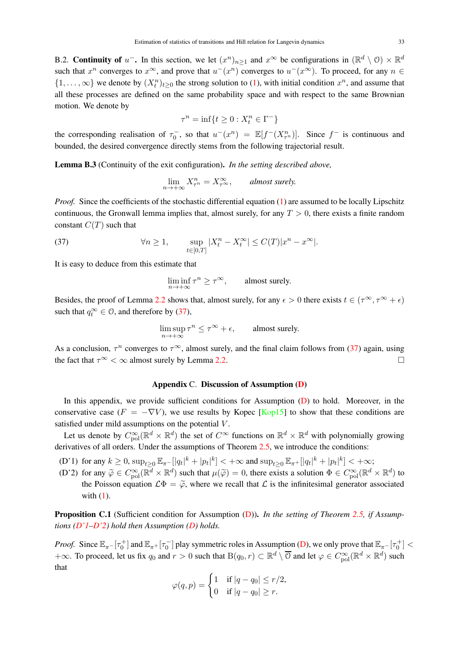B.2. Continuity of  $u^-$ . In this section, we let  $(x^n)_{n\geq 1}$  and  $x^{\infty}$  be configurations in  $(\mathbb{R}^d \setminus \mathcal{O}) \times \mathbb{R}^d$ such that  $x^n$  converges to  $x^{\infty}$ , and prove that  $u^-(x^n)$  converges to  $u^-(x^{\infty})$ . To proceed, for any  $n \in$  $\{1,\ldots,\infty\}$  we denote by  $(X_t^n)_{t\geq0}$  the strong solution to (1), with initial condition  $x^n$ , and assume that all these processes are defined on the same probability space and with respect to the same Brownian motion. We denote by

$$
\tau^n = \inf\{t \ge 0 : X_t^n \in \Gamma^-\}
$$

the corresponding realisation of  $\tau_0^-$ , so that  $u^-(x^n) = \mathbb{E}[f^-(X_{\tau}^n)]$ . Since  $f^-$  is continuous and bounded, the desired convergence directly stems from the following trajectorial result.

Lemma B.3 (Continuity of the exit configuration). *In the setting described above,*

$$
\lim_{n \to +\infty} X_{\tau^n}^n = X_{\tau^\infty}^\infty, \qquad \text{almost surely.}
$$

*Proof.* Since the coefficients of the stochastic differential equation (1) are assumed to be locally Lipschitz continuous, the Gronwall lemma implies that, almost surely, for any  $T > 0$ , there exists a finite random constant  $C(T)$  such that

(37) 
$$
\forall n \geq 1, \qquad \sup_{t \in [0,T]} |X_t^n - X_t^{\infty}| \leq C(T)|x^n - x^{\infty}|.
$$

It is easy to deduce from this estimate that

$$
\liminf_{n \to +\infty} \tau^n \ge \tau^{\infty}, \qquad \text{almost surely.}
$$

Besides, the proof of Lemma 2.2 shows that, almost surely, for any  $\epsilon > 0$  there exists  $t \in (\tau^{\infty}, \tau^{\infty} + \epsilon)$ such that  $q_t^{\infty} \in \mathcal{O}$ , and therefore by (37),

$$
\limsup_{n \to +\infty} \tau^n \le \tau^{\infty} + \epsilon, \qquad \text{almost surely.}
$$

As a conclusion,  $\tau^n$  converges to  $\tau^{\infty}$ , almost surely, and the final claim follows from (37) again, using the fact that  $\tau^{\infty} < \infty$  almost surely by Lemma 2.2.

# Appendix C. Discussion of Assumption (D)

In this appendix, we provide sufficient conditions for Assumption (D) to hold. Moreover, in the conservative case  $(F = -\nabla V)$ , we use results by Kopec [Kop15] to show that these conditions are satisfied under mild assumptions on the potential V.

Let us denote by  $C_{pol}^{\infty}(\mathbb{R}^d \times \mathbb{R}^d)$  the set of  $C^{\infty}$  functions on  $\mathbb{R}^d \times \mathbb{R}^d$  with polynomially growing derivatives of all orders. Under the assumptions of Theorem 2.5, we introduce the conditions:

- (D'1) for any  $k \ge 0$ ,  $\sup_{t \ge 0} \mathbb{E}_{\pi}$ - $[|q_t|^k + |p_t|^k]$  <  $+\infty$  and  $\sup_{t \ge 0} \mathbb{E}_{\pi}$ + $[|q_t|^k + |p_t|^k]$  <  $+\infty$ ;
- (D'2) for any  $\widetilde{\varphi} \in C_{\text{pol}}^{\infty}(\mathbb{R}^d \times \mathbb{R}^d)$  such that  $\mu(\widetilde{\varphi}) = 0$ , there exists a solution  $\Phi \in C_{\text{pol}}^{\infty}(\mathbb{R}^d \times \mathbb{R}^d)$  to the Poisson equation  $\mathcal{L}\Phi = \tilde{\varphi}$ , where we recall that  $\mathcal L$  is the infinitesimal generator associated with  $(1)$ .

Proposition C.1 (Sufficient condition for Assumption (D)). *In the setting of Theorem 2.5, if Assumptions (D'1–D'2) hold then Assumption (D) holds.*

*Proof.* Since  $\mathbb{E}_{\pi}$ - $[\tau_0^+]$  and  $\mathbb{E}_{\pi^+}[\tau_0^-]$  play symmetric roles in Assumption (D), we only prove that  $\mathbb{E}_{\pi^-}[\tau_0^+]$  < +∞. To proceed, let us fix  $q_0$  and  $r > 0$  such that  $\text{B}(q_0, r) \subset \mathbb{R}^d \setminus \overline{\text{O}}$  and let  $\varphi \in C_{\text{pol}}^{\infty}(\mathbb{R}^d \times \mathbb{R}^d)$  such that

$$
\varphi(q,p) = \begin{cases} 1 & \text{if } |q - q_0| \le r/2, \\ 0 & \text{if } |q - q_0| \ge r. \end{cases}
$$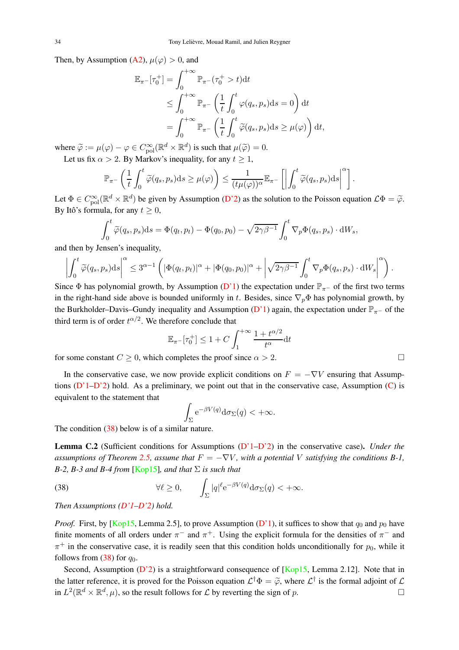Then, by Assumption (A2),  $\mu(\varphi) > 0$ , and

$$
\mathbb{E}_{\pi^{-}}[\tau_{0}^{+}] = \int_{0}^{+\infty} \mathbb{P}_{\pi^{-}}(\tau_{0}^{+} > t) dt
$$
  
\n
$$
\leq \int_{0}^{+\infty} \mathbb{P}_{\pi^{-}}\left(\frac{1}{t} \int_{0}^{t} \varphi(q_{s}, p_{s}) ds = 0\right) dt
$$
  
\n
$$
= \int_{0}^{+\infty} \mathbb{P}_{\pi^{-}}\left(\frac{1}{t} \int_{0}^{t} \widetilde{\varphi}(q_{s}, p_{s}) ds \geq \mu(\varphi)\right) dt,
$$

where  $\widetilde{\varphi} := \mu(\varphi) - \varphi \in C^{\infty}_{\text{pol}}(\mathbb{R}^d \times \mathbb{R}^d)$  is such that  $\mu(\widetilde{\varphi}) = 0$ .

Let us fix  $\alpha > 2$ . By Markov's inequality, for any  $t \ge 1$ ,

$$
\mathbb{P}_{\pi^-}\left(\frac{1}{t}\int_0^t\widetilde{\varphi}(q_s,p_s)\mathrm{d} s\geq \mu(\varphi)\right)\leq \frac{1}{(t\mu(\varphi))^{\alpha}}\mathbb{E}_{\pi^-}\left[\left|\int_0^t\widetilde{\varphi}(q_s,p_s)\mathrm{d} s\right|^{\alpha}\right].
$$

Let  $\Phi \in C_{\text{pol}}^{\infty}(\mathbb{R}^d \times \mathbb{R}^d)$  be given by Assumption (D'2) as the solution to the Poisson equation  $\mathcal{L}\Phi = \tilde{\varphi}$ . By Itô's formula, for any  $t > 0$ ,

$$
\int_0^t \widetilde{\varphi}(q_s, p_s) \mathrm{d}s = \Phi(q_t, p_t) - \Phi(q_0, p_0) - \sqrt{2\gamma\beta^{-1}} \int_0^t \nabla_p \Phi(q_s, p_s) \cdot \mathrm{d}W_s,
$$

and then by Jensen's inequality,

$$
\left| \int_0^t \widetilde{\varphi}(q_s, p_s) \mathrm{d} s \right|^{\alpha} \leq 3^{\alpha - 1} \left( \left| \Phi(q_t, p_t) \right|^{\alpha} + \left| \Phi(q_0, p_0) \right|^{\alpha} + \left| \sqrt{2\gamma \beta^{-1}} \int_0^t \nabla_p \Phi(q_s, p_s) \cdot \mathrm{d} W_s \right|^{\alpha} \right).
$$

Since Φ has polynomial growth, by Assumption (D'1) the expectation under  $\mathbb{P}_{\pi-}$  of the first two terms in the right-hand side above is bounded uniformly in t. Besides, since  $\nabla_p \Phi$  has polynomial growth, by the Burkholder–Davis–Gundy inequality and Assumption (D'1) again, the expectation under  $\mathbb{P}_{\pi-}$  of the third term is of order  $t^{\alpha/2}$ . We therefore conclude that

$$
\mathbb{E}_{\pi^-}[\tau_0^+] \le 1 + C \int_1^{+\infty} \frac{1 + t^{\alpha/2}}{t^{\alpha}} dt
$$

for some constant  $C \ge 0$ , which completes the proof since  $\alpha > 2$ .

In the conservative case, we now provide explicit conditions on  $F = -\nabla V$  ensuring that Assumptions  $(D'1-D'2)$  hold. As a preliminary, we point out that in the conservative case, Assumption  $(C)$  is equivalent to the statement that

$$
\int_{\Sigma} e^{-\beta V(q)} d\sigma_{\Sigma}(q) < +\infty.
$$

The condition (38) below is of a similar nature.

Lemma C.2 (Sufficient conditions for Assumptions (D'1–D'2) in the conservative case). *Under the assumptions of Theorem 2.5, assume that*  $F = -\nabla V$ *, with a potential* V *satisfying the conditions B-1*, *B-2, B-3 and B-4 from* [Kop15]*, and that* Σ *is such that*

(38) 
$$
\forall \ell \geq 0, \qquad \int_{\Sigma} |q|^{e} e^{-\beta V(q)} d\sigma_{\Sigma}(q) < +\infty.
$$

*Then Assumptions (D'1–D'2) hold.*

*Proof.* First, by [Kop15, Lemma 2.5], to prove Assumption (D'1), it suffices to show that  $q_0$  and  $p_0$  have finite moments of all orders under  $\pi^-$  and  $\pi^+$ . Using the explicit formula for the densities of  $\pi^-$  and  $\pi^{+}$  in the conservative case, it is readily seen that this condition holds unconditionally for  $p_0$ , while it follows from (38) for  $q_0$ .

Second, Assumption  $(D'2)$  is a straightforward consequence of [Kop15, Lemma 2.12]. Note that in the latter reference, it is proved for the Poisson equation  $\mathcal{L}^{\dagger} \Phi = \tilde{\varphi}$ , where  $\mathcal{L}^{\dagger}$  is the formal adjoint of  $\mathcal{L}$ in  $L^2(\mathbb{R}^d \times \mathbb{R}^d, \mu)$ , so the result follows for  $\mathcal L$  by reverting the sign of  $p$ .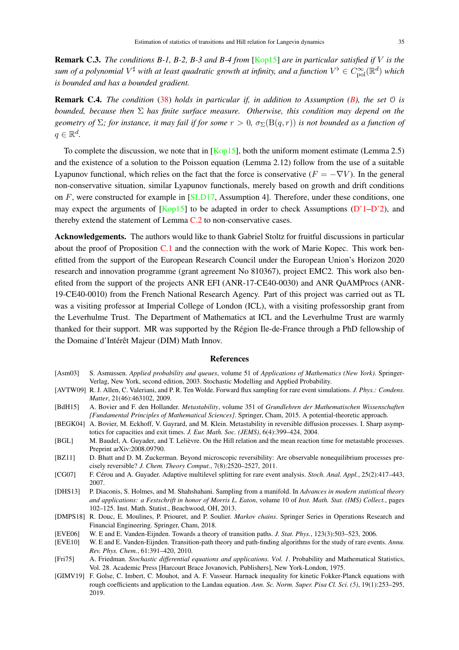Remark C.3. *The conditions B-1, B-2, B-3 and B-4 from* [Kop15] *are in particular satisfied if* V *is the* sum of a polynomial  $V^\sharp$  with at least quadratic growth at infinity, and a function  $V^\flat\in C^\infty_{\rm pol}(\R^d)$  which *is bounded and has a bounded gradient.*

Remark C.4. *The condition* (38) *holds in particular if, in addition to Assumption (B), the set* O *is bounded, because then* Σ *has finite surface measure. Otherwise, this condition may depend on the geometry of*  $\Sigma$ *; for instance, it may fail if for some*  $r > 0$ ,  $\sigma_{\Sigma}(\mathrm{B}(q, r))$  *is not bounded as a function of*  $q \in \mathbb{R}^d$ .

To complete the discussion, we note that in  $\lfloor \text{Kop15} \rfloor$ , both the uniform moment estimate (Lemma 2.5) and the existence of a solution to the Poisson equation (Lemma 2.12) follow from the use of a suitable Lyapunov functional, which relies on the fact that the force is conservative  $(F = -\nabla V)$ . In the general non-conservative situation, similar Lyapunov functionals, merely based on growth and drift conditions on F, were constructed for example in [SLD17, Assumption 4]. Therefore, under these conditions, one may expect the arguments of  $[Kop15]$  to be adapted in order to check Assumptions  $(D'1-D'2)$ , and thereby extend the statement of Lemma C.2 to non-conservative cases.

Acknowledgements. The authors would like to thank Gabriel Stoltz for fruitful discussions in particular about the proof of Proposition C.1 and the connection with the work of Marie Kopec. This work benefitted from the support of the European Research Council under the European Union's Horizon 2020 research and innovation programme (grant agreement No 810367), project EMC2. This work also benefited from the support of the projects ANR EFI (ANR-17-CE40-0030) and ANR QuAMProcs (ANR-19-CE40-0010) from the French National Research Agency. Part of this project was carried out as TL was a visiting professor at Imperial College of London (ICL), with a visiting professorship grant from the Leverhulme Trust. The Department of Mathematics at ICL and the Leverhulme Trust are warmly thanked for their support. MR was supported by the Région Ile-de-France through a PhD fellowship of the Domaine d'Intérêt Majeur (DIM) Math Innov.

#### References

- [Asm03] S. Asmussen. *Applied probability and queues*, volume 51 of *Applications of Mathematics (New York)*. Springer-Verlag, New York, second edition, 2003. Stochastic Modelling and Applied Probability.
- [AVTW09] R. J. Allen, C. Valeriani, and P. R. Ten Wolde. Forward flux sampling for rare event simulations. *J. Phys.: Condens. Matter*, 21(46):463102, 2009.
- [BdH15] A. Bovier and F. den Hollander. *Metastability*, volume 351 of *Grundlehren der Mathematischen Wissenschaften [Fundamental Principles of Mathematical Sciences]*. Springer, Cham, 2015. A potential-theoretic approach.
- [BEGK04] A. Bovier, M. Eckhoff, V. Gayrard, and M. Klein. Metastability in reversible diffusion processes. I. Sharp asymptotics for capacities and exit times. *J. Eur. Math. Soc. (JEMS)*, 6(4):399–424, 2004.
- [BGL] M. Baudel, A. Guyader, and T. Lelièvre. On the Hill relation and the mean reaction time for metastable processes. Preprint arXiv:2008.09790.
- [BZ11] D. Bhatt and D. M. Zuckerman. Beyond microscopic reversibility: Are observable nonequilibrium processes precisely reversible? *J. Chem. Theory Comput.*, 7(8):2520–2527, 2011.
- [CG07] F. Cérou and A. Guyader. Adaptive multilevel splitting for rare event analysis. *Stoch. Anal. Appl.*, 25(2):417–443, 2007.
- [DHS13] P. Diaconis, S. Holmes, and M. Shahshahani. Sampling from a manifold. In *Advances in modern statistical theory and applications: a Festschrift in honor of Morris L. Eaton*, volume 10 of *Inst. Math. Stat. (IMS) Collect.*, pages 102–125. Inst. Math. Statist., Beachwood, OH, 2013.

[DMPS18] R. Douc, E. Moulines, P. Priouret, and P. Soulier. *Markov chains*. Springer Series in Operations Research and Financial Engineering. Springer, Cham, 2018.

- [EVE06] W. E and E. Vanden-Eijnden. Towards a theory of transition paths. *J. Stat. Phys.*, 123(3):503–523, 2006.
- [EVE10] W. E and E. Vanden-Eijnden. Transition-path theory and path-finding algorithms for the study of rare events. *Annu. Rev. Phys. Chem.*, 61:391–420, 2010.
- [Fri75] A. Friedman. *Stochastic differential equations and applications. Vol. 1*. Probability and Mathematical Statistics, Vol. 28. Academic Press [Harcourt Brace Jovanovich, Publishers], New York-London, 1975.
- [GIMV19] F. Golse, C. Imbert, C. Mouhot, and A. F. Vasseur. Harnack inequality for kinetic Fokker-Planck equations with rough coefficients and application to the Landau equation. *Ann. Sc. Norm. Super. Pisa Cl. Sci. (5)*, 19(1):253–295, 2019.